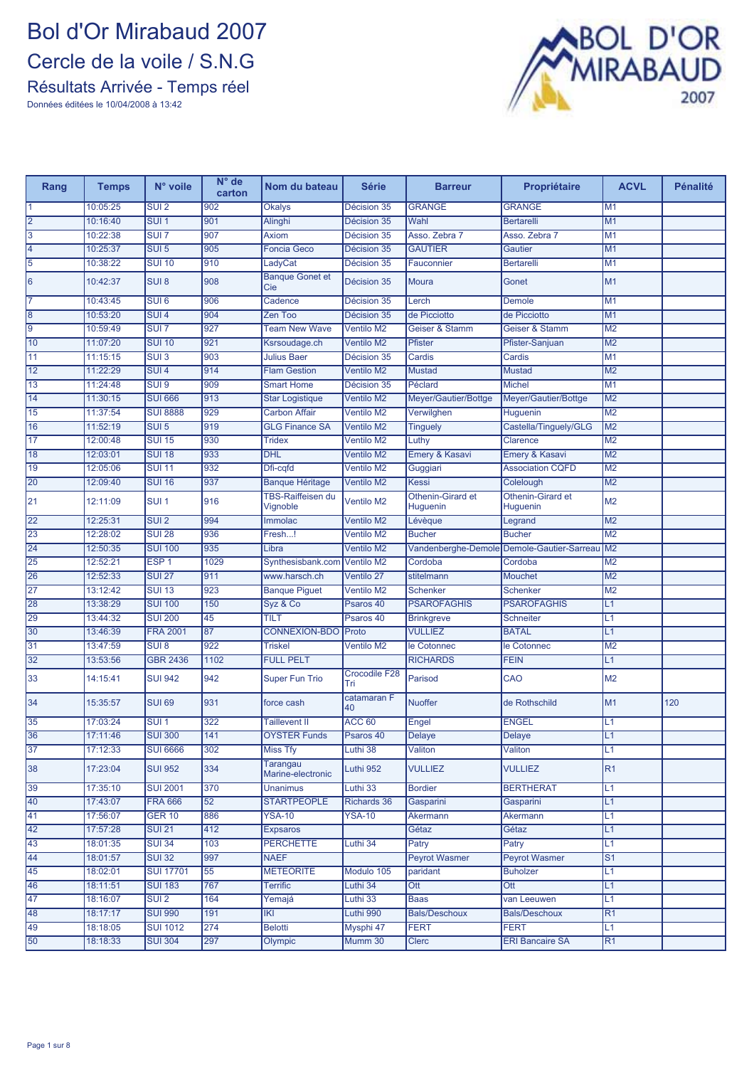### Bol d'Or Mirabaud 2007 Cercle de la voile / S.N.G Résultats Arrivée - Temps réel



| Rang            | <b>Temps</b> | N° voile         | N° de<br>carton | Nom du bateau                        | <b>Série</b>         | <b>Barreur</b>                | Propriétaire                               | <b>ACVL</b>    | <b>Pénalité</b> |
|-----------------|--------------|------------------|-----------------|--------------------------------------|----------------------|-------------------------------|--------------------------------------------|----------------|-----------------|
|                 | 10:05:25     | SUI2             | 902             | <b>Okalys</b>                        | Décision 35          | <b>GRANGE</b>                 | <b>GRANGE</b>                              | M <sub>1</sub> |                 |
| 12              | 10:16:40     | $SUI$ 1          | 901             | Alinghi                              | Décision 35          | Wahl                          | <b>Bertarelli</b>                          | M1             |                 |
| 3               | 10:22:38     | SUI7             | 907             | <b>Axiom</b>                         | Décision 35          | Asso. Zebra 7                 | Asso. Zebra 7                              | M1             |                 |
| 4               | 10:25:37     | $SUI$ 5          | 905             | <b>Foncia Geco</b>                   | Décision 35          | <b>GAUTIER</b>                | Gautier                                    | M1             |                 |
| 5               | 10:38:22     | <b>SUI 10</b>    | 910             | LadyCat                              | Décision 35          | Fauconnier                    | <b>Bertarelli</b>                          | M1             |                 |
| 6               | 10:42:37     | SUI <sub>8</sub> | 908             | <b>Banque Gonet et</b><br>Cie        | Décision 35          | <b>Moura</b>                  | Gonet                                      | M1             |                 |
|                 | 10:43:45     | SUI <sub>6</sub> | 906             | Cadence                              | Décision 35          | Lerch                         | Demole                                     | M1             |                 |
| 8               | 10:53:20     | SUI <sub>4</sub> | 904             | Zen Too                              | Décision 35          | de Picciotto                  | de Picciotto                               | M1             |                 |
| l9              | 10:59:49     | SUI <sub>7</sub> | 927             | <b>Team New Wave</b>                 | Ventilo M2           | Geiser & Stamm                | Geiser & Stamm                             | M <sub>2</sub> |                 |
| 10              | 11:07:20     | <b>SUI 10</b>    | 921             | Ksrsoudage.ch                        | Ventilo M2           | <b>Pfister</b>                | Pfister-Sanjuan                            | M <sub>2</sub> |                 |
| 11              | 11:15:15     | SUI <sub>3</sub> | 903             | <b>Julius Baer</b>                   | Décision 35          | Cardis                        | Cardis                                     | M <sub>1</sub> |                 |
| $\overline{12}$ | 11:22:29     | SUI <sub>4</sub> | 914             | <b>Flam Gestion</b>                  | Ventilo M2           | <b>Mustad</b>                 | <b>Mustad</b>                              | M <sub>2</sub> |                 |
| 13              | 11:24:48     | SUI <sub>9</sub> | 909             | <b>Smart Home</b>                    | Décision 35          | Péclard                       | <b>Michel</b>                              | M1             |                 |
| 14              | 11:30:15     | <b>SUI 666</b>   | 913             | <b>Star Logistique</b>               | Ventilo M2           | Meyer/Gautier/Bottge          | Meyer/Gautier/Bottge                       | M <sub>2</sub> |                 |
| 15              | 11:37:54     | <b>SUI 8888</b>  | 929             | <b>Carbon Affair</b>                 | Ventilo M2           | Verwilghen                    | Huguenin                                   | M <sub>2</sub> |                 |
| 16              | 11:52:19     | $SUI$ 5          | 919             | <b>GLG Finance SA</b>                | Ventilo M2           | <b>Tinguely</b>               | Castella/Tinguely/GLG                      | M <sub>2</sub> |                 |
| 17              | 12:00:48     | <b>SUI 15</b>    | 930             | <b>Tridex</b>                        | Ventilo M2           | Luthy                         | Clarence                                   | M <sub>2</sub> |                 |
| 18              | 12:03:01     | <b>SUI 18</b>    | 933             | <b>DHL</b>                           | <b>Ventilo M2</b>    | <b>Emery &amp; Kasavi</b>     | Emery & Kasavi                             | M <sub>2</sub> |                 |
| 19              | 12:05:06     | <b>SUI 11</b>    | 932             | Dfi-cafd                             | Ventilo M2           | Guggiari                      | <b>Association CQFD</b>                    | M <sub>2</sub> |                 |
| 20              | 12:09:40     | <b>SUI 16</b>    | 937             | <b>Banque Héritage</b>               | Ventilo M2           | <b>Kessi</b>                  | Colelough                                  | M <sub>2</sub> |                 |
| 21              | 12:11:09     | SUI <sub>1</sub> | 916             | <b>TBS-Raiffeisen du</b><br>Vignoble | <b>Ventilo M2</b>    | Othenin-Girard et<br>Huguenin | Othenin-Girard et<br>Huguenin              | M <sub>2</sub> |                 |
| 22              | 12:25:31     | SUI <sub>2</sub> | 994             | <b>Immolac</b>                       | Ventilo M2           | Lévèque                       | Legrand                                    | M <sub>2</sub> |                 |
| 23              | 12:28:02     | <b>SUI 28</b>    | 936             | Fresh!                               | <b>Ventilo M2</b>    | <b>Bucher</b>                 | <b>Bucher</b>                              | M <sub>2</sub> |                 |
| 24              | 12:50:35     | <b>SUI 100</b>   | 935             | Libra                                | Ventilo M2           |                               | Vandenberghe-Demole Demole-Gautier-Sarreau | M <sub>2</sub> |                 |
| 25              | 12:52:21     | ESP <sub>1</sub> | 1029            | Synthesisbank.com                    | Ventilo M2           | Cordoba                       | Cordoba                                    | M <sub>2</sub> |                 |
| 26              | 12:52:33     | <b>SUI 27</b>    | 911             | www.harsch.ch                        | Ventilo 27           | stitelmann                    | <b>Mouchet</b>                             | M <sub>2</sub> |                 |
| 27              | 13:12:42     | <b>SUI 13</b>    | 923             | <b>Banque Piguet</b>                 | Ventilo M2           | <b>Schenker</b>               | <b>Schenker</b>                            | M <sub>2</sub> |                 |
| 28              | 13:38:29     | <b>SUI 100</b>   | 150             | Syz & Co                             | Psaros 40            | <b>PSAROFAGHIS</b>            | <b>PSAROFAGHIS</b>                         | L1             |                 |
| 29              | 13:44:32     | <b>SUI 200</b>   | 45              | <b>TILT</b>                          | Psaros 40            | <b>Brinkgreve</b>             | <b>Schneiter</b>                           | L1             |                 |
| 30              | 13:46:39     | <b>FRA 2001</b>  | 87              | <b>CONNEXION-BDO</b>                 | Proto                | <b>VULLIEZ</b>                | <b>BATAL</b>                               | L1             |                 |
| 31              | 13:47:59     | SUI <sub>8</sub> | 922             | <b>Triskel</b>                       | Ventilo M2           | le Cotonnec                   | le Cotonnec                                | M <sub>2</sub> |                 |
| 32              | 13:53:56     | <b>GBR 2436</b>  | 1102            | <b>FULL PELT</b>                     |                      | <b>RICHARDS</b>               | <b>FEIN</b>                                | L1             |                 |
| 33              | 14:15:41     | <b>SUI 942</b>   | 942             | <b>Super Fun Trio</b>                | Crocodile F28<br>Tri | Parisod                       | CAO                                        | M <sub>2</sub> |                 |
| 34              | 15:35:57     | <b>SUI 69</b>    | 931             | force cash                           | catamaran F<br>40    | <b>Nuoffer</b>                | de Rothschild                              | M1             | 120             |
| 35              | 17:03:24     | SUI <sub>1</sub> | 322             | <b>Taillevent II</b>                 | ACC <sub>60</sub>    | Engel                         | <b>ENGEL</b>                               | L1             |                 |
| 36              | 17:11:46     | <b>SUI 300</b>   | 141             | <b>OYSTER Funds</b>                  | Psaros 40            | <b>Delaye</b>                 | <b>Delaye</b>                              | L1             |                 |
| 37              | 17:12:33     | <b>SUI 6666</b>  | 302             | <b>Miss Tfy</b>                      | Luthi 38             | Valiton                       | Valiton                                    | L1             |                 |
| 38              | 17:23:04     | <b>SUI 952</b>   | 334             | Tarangau<br>Marine-electronic        | Luthi 952            | <b>VULLIEZ</b>                | <b>VULLIEZ</b>                             | R1             |                 |
| 39              | 17:35:10     | <b>SUI 2001</b>  | 370             | <b>Unanimus</b>                      | Luthi 33             | <b>Bordier</b>                | <b>BERTHERAT</b>                           | L1             |                 |
| 40              | 17:43:07     | <b>FRA 666</b>   | 52              | <b>STARTPEOPLE</b>                   | Richards 36          | Gasparini                     | Gasparini                                  | L1             |                 |
| 41              | 17:56:07     | <b>GER 10</b>    | 886             | <b>YSA-10</b>                        | <b>YSA-10</b>        | Akermann                      | Akermann                                   | L1             |                 |
| 42              | 17:57:28     | <b>SUI 21</b>    | 412             | <b>Expsaros</b>                      |                      | Gétaz                         | Gétaz                                      | L1             |                 |
| 43              | 18:01:35     | <b>SUI 34</b>    | 103             | <b>PERCHETTE</b>                     | Luthi 34             | Patry                         | Patry                                      | L1             |                 |
| 44              | 18:01:57     | <b>SUI 32</b>    | 997             | <b>NAEF</b>                          |                      | <b>Peyrot Wasmer</b>          | <b>Peyrot Wasmer</b>                       | S <sub>1</sub> |                 |
| 45              | 18:02:01     | <b>SUI 17701</b> | 55              | <b>METEORITE</b>                     | Modulo 105           | paridant                      | <b>Buholzer</b>                            | L1             |                 |
| 46              | 18:11:51     | <b>SUI 183</b>   | 767             | <b>Terrific</b>                      | Luthi 34             | Ott                           | Ott                                        | L1             |                 |
| 47              | 18:16:07     | SUI <sub>2</sub> | 164             | Yemajá                               | Luthi 33             | <b>Baas</b>                   | van Leeuwen                                | L1             |                 |
| 48              | 18:17:17     | <b>SUI 990</b>   | 191             | IKI                                  | Luthi 990            | <b>Bals/Deschoux</b>          | <b>Bals/Deschoux</b>                       | R1             |                 |
| 49              | 18:18:05     | <b>SUI 1012</b>  | 274             | Belotti                              | Mysphi 47            | <b>FERT</b>                   | <b>FERT</b>                                | L1             |                 |
| 50              | 18:18:33     | <b>SUI 304</b>   | 297             | Olympic                              | Mumm 30              | <b>Clerc</b>                  | <b>ERI Bancaire SA</b>                     | R1             |                 |
|                 |              |                  |                 |                                      |                      |                               |                                            |                |                 |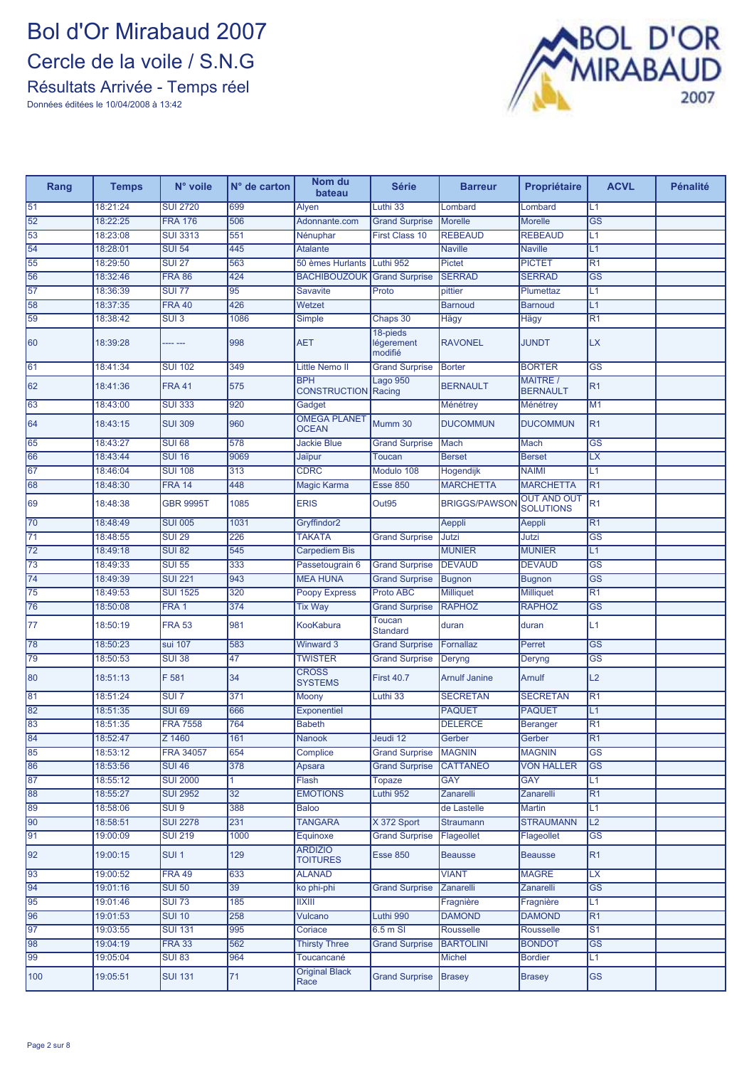### **Bol d'Or Mirabaud 2007** Cercle de la voile / S.N.G Résultats Arrivée - Temps réel

**ABOL D'OR<br>MIRABAUD** 2007

| Rang            | <b>Temps</b>         | N° voile                            | N° de carton    | Nom du<br>bateau                    | <b>Série</b>                             | <b>Barreur</b>          | <b>Propriétaire</b>                    | <b>ACVL</b>            | <b>Pénalité</b> |
|-----------------|----------------------|-------------------------------------|-----------------|-------------------------------------|------------------------------------------|-------------------------|----------------------------------------|------------------------|-----------------|
| 51              | 18:21:24             | <b>SUI 2720</b>                     | 699             | Alyen                               | Luthi 33                                 | Lombard                 | Lombard                                | L1                     |                 |
| 52              | 18:22:25             | <b>FRA 176</b>                      | 506             | Adonnante.com                       | <b>Grand Surprise</b>                    | <b>Morelle</b>          | <b>Morelle</b>                         | $\overline{\text{GS}}$ |                 |
| 53              | 18:23:08             | <b>SUI 3313</b>                     | 551             | Nénuphar                            | <b>First Class 10</b>                    | <b>REBEAUD</b>          | <b>REBEAUD</b>                         | L1                     |                 |
| 54              | 18:28:01             | <b>SUI 54</b>                       | 445             | <b>Atalante</b>                     |                                          | <b>Naville</b>          | <b>Naville</b>                         | L1                     |                 |
| 55              | 18:29:50             | <b>SUI 27</b>                       | 563             | 50 èmes Hurlants                    | Luthi 952                                | Pictet                  | <b>PICTET</b>                          | R <sub>1</sub>         |                 |
| 56              | 18:32:46             | <b>FRA 86</b>                       | 424             | <b>BACHIBOUZOUK</b>                 | <b>Grand Surprise</b>                    | <b>SERRAD</b>           | <b>SERRAD</b>                          | $\overline{\text{GS}}$ |                 |
| 57              | 18:36:39             | <b>SUI 77</b>                       | 95              | <b>Savavite</b>                     | Proto                                    | pittier                 | Plumettaz                              | L1                     |                 |
| 58              | 18:37:35             | <b>FRA 40</b>                       | 426             | Wetzet                              |                                          | <b>Barnoud</b>          | <b>Barnoud</b>                         | L1                     |                 |
| 59              | 18:38:42             | SUI <sub>3</sub>                    | 1086            | Simple                              | Chaps 30                                 | Hägy                    | <b>Hägy</b>                            | R1                     |                 |
| 60              | 18:39:28             |                                     | 998             | <b>AET</b>                          | 18-pieds<br>légerement<br>modifié        | <b>RAVONEL</b>          | <b>JUNDT</b>                           | <b>LX</b>              |                 |
| 61              | 18:41:34             | <b>SUI 102</b>                      | 349             | <b>Little Nemo II</b>               | <b>Grand Surprise</b>                    | <b>Borter</b>           | <b>BORTER</b>                          | <b>GS</b>              |                 |
| 62              | 18:41:36             | <b>FRA 41</b>                       | 575             | <b>BPH</b><br><b>CONSTRUCTION</b>   | Lago 950<br>Racing                       | <b>BERNAULT</b>         | <b>MAITRE/</b><br><b>BERNAULT</b>      | R <sub>1</sub>         |                 |
| 63              | 18:43:00             | <b>SUI 333</b>                      | 920             | Gadget                              |                                          | Ménétrey                | Ménétrey                               | M1                     |                 |
| 64              | 18:43:15             | <b>SUI 309</b>                      | 960             | <b>OMEGA PLANET</b><br><b>OCEAN</b> | Mumm 30                                  | <b>DUCOMMUN</b>         | <b>DUCOMMUN</b>                        | R1                     |                 |
| 65              | 18:43:27             | <b>SUI 68</b>                       | 578             | <b>Jackie Blue</b>                  | <b>Grand Surprise</b>                    | Mach                    | Mach                                   | GS                     |                 |
| 66              | 18:43:44             | <b>SUI 16</b>                       | 9069            | Jaïpur                              | <b>Toucan</b>                            | <b>Berset</b>           | <b>Berset</b>                          | LX                     |                 |
| 67              | 18:46:04             | <b>SUI 108</b>                      | 313             | <b>CDRC</b>                         | Modulo 108                               | Hogendijk               | <b>NAIMI</b>                           | L1                     |                 |
| 68              | 18:48:30             | <b>FRA 14</b>                       | 448             | Magic Karma                         | <b>Esse 850</b>                          | <b>MARCHETTA</b>        | <b>MARCHETTA</b>                       | R <sub>1</sub>         |                 |
| 69              | 18:48:38             | <b>GBR 9995T</b>                    | 1085            | <b>ERIS</b>                         | Out95                                    | <b>BRIGGS/PAWSON</b>    | <b>OUT AND OUT</b><br><b>SOLUTIONS</b> | R <sub>1</sub>         |                 |
| 70              | 18:48:49             | <b>SUI 005</b>                      | 1031            | Gryffindor2                         |                                          | Aeppli                  | Aeppli                                 | R <sub>1</sub>         |                 |
| $\overline{71}$ | 18:48:55             | <b>SUI 29</b>                       | 226             | <b>TAKATA</b>                       | <b>Grand Surprise</b>                    | Jutzi                   | Jutzi                                  | $\overline{\text{GS}}$ |                 |
| 72              | 18:49:18             | <b>SUI 82</b>                       | 545             | <b>Carpediem Bis</b>                |                                          | <b>MUNIER</b>           | <b>MUNIER</b>                          | L1                     |                 |
| 73              | 18:49:33             | <b>SUI 55</b>                       | 333             | Passetougrain 6                     | <b>Grand Surprise</b>                    | <b>DEVAUD</b>           | <b>DEVAUD</b>                          | GS                     |                 |
| 74              | 18:49:39             | <b>SUI 221</b>                      | 943             | <b>MEA HUNA</b>                     | <b>Grand Surprise</b>                    | <b>Bugnon</b>           | <b>Bugnon</b>                          | $\overline{\text{GS}}$ |                 |
| 75              | 18:49:53             | <b>SUI 1525</b>                     | 320             | <b>Poopy Express</b>                | Proto ABC                                | <b>Milliquet</b>        | <b>Milliquet</b>                       | $\overline{R1}$        |                 |
| 76              | 18:50:08             | FRA <sub>1</sub>                    | 374             | <b>Tix Way</b>                      | <b>Grand Surprise</b>                    | <b>RAPHOZ</b>           | <b>RAPHOZ</b>                          | $\overline{\text{GS}}$ |                 |
| 77              | 18:50:19             | <b>FRA 53</b>                       | 981             | KooKabura                           | Toucan<br><b>Standard</b>                | duran                   | duran                                  | L1                     |                 |
| 78              | 18:50:23             | sui 107                             | 583             | Winward 3                           | <b>Grand Surprise</b>                    | Fornallaz               | Perret                                 | $\overline{\text{GS}}$ |                 |
| 79              | 18:50:53             | <b>SUI 38</b>                       | 47              | <b>TWISTER</b>                      | <b>Grand Surprise</b>                    | Deryng                  | Deryng                                 | $\overline{\text{GS}}$ |                 |
| 80              | 18:51:13             | F 581                               | 34              | <b>CROSS</b><br><b>SYSTEMS</b>      | <b>First 40.7</b>                        | <b>Arnulf Janine</b>    | Arnulf                                 | L2                     |                 |
| 81              | 18:51:24             | SUI7                                | 371             | Moony                               | Luthi 33                                 | <b>SECRETAN</b>         | <b>SECRETAN</b>                        | R1                     |                 |
| 82              | 18:51:35             | <b>SUI 69</b>                       | 666             | Exponentiel                         |                                          | <b>PAQUET</b>           | <b>PAQUET</b>                          | L1                     |                 |
| 83              | 18:51:35             | <b>FRA 7558</b>                     | 764             | <b>Babeth</b>                       |                                          | <b>DELERCE</b>          | <b>Beranger</b>                        | R <sub>1</sub>         |                 |
| 84              | 18:52:47             | Z 1460                              | 161             | Nanook                              | Jeudi 12                                 | Gerber                  | Gerber                                 | $\overline{R1}$        |                 |
| 85              | 18:53:12             | <b>FRA 34057</b>                    | 654             | Complice                            | <b>Grand Surprise</b>                    | <b>MAGNIN</b>           | <b>MAGNIN</b>                          | GS                     |                 |
| 86              | 18:53:56             | <b>SUI 46</b>                       | 378             | Apsara                              | <b>Grand Surprise</b>                    | <b>CATTANEO</b>         | <b>VON HALLER</b>                      | $\overline{\text{GS}}$ |                 |
| 87              | 18:55:12             | <b>SUI 2000</b>                     | 1               | <b>Flash</b>                        | Topaze                                   | <b>GAY</b>              | <b>GAY</b>                             | L1                     |                 |
| 88              | 18:55:27             | <b>SUI 2952</b>                     | $\overline{32}$ | <b>EMOTIONS</b>                     | Luthi 952                                | Zanarelli               | Zanarelli                              | R1                     |                 |
| 89              | 18:58:06             | SUI <sub>9</sub><br><b>SUI 2278</b> | 388             | Baloo<br><b>TANGARA</b>             | X 372 Sport                              | de Lastelle             | <b>Martin</b>                          | L1                     |                 |
| 90              | 18:58:51             |                                     | 231             | Equinoxe                            |                                          | Straumann<br>Flageollet | <b>STRAUMANN</b>                       | L2                     |                 |
| 91<br>92        | 19:00:09<br>19:00:15 | <b>SUI 219</b><br>SUI <sub>1</sub>  | 1000<br>129     | <b>ARDIZIO</b>                      | <b>Grand Surprise</b><br><b>Esse 850</b> | <b>Beausse</b>          | Flageollet<br><b>Beausse</b>           | GS<br>R1               |                 |
| 93              | 19:00:52             | <b>FRA 49</b>                       | 633             | <b>TOITURES</b><br><b>ALANAD</b>    |                                          | <b>VIANT</b>            | <b>MAGRE</b>                           | LX                     |                 |
| 94              | 19:01:16             | <b>SUI 50</b>                       | 39              | ko phi-phi                          | <b>Grand Surprise</b>                    | Zanarelli               | Zanarelli                              | $\overline{\text{GS}}$ |                 |
| 95              | 19:01:46             | <b>SUI 73</b>                       | 185             | $\overline{  X  }$                  |                                          | Fragnière               | Fragnière                              | L1                     |                 |
| 96              | 19:01:53             | <b>SUI 10</b>                       | 258             | <b>Vulcano</b>                      | Luthi 990                                | <b>DAMOND</b>           | <b>DAMOND</b>                          | R1                     |                 |
| 97              | 19:03:55             | <b>SUI 131</b>                      | 995             | Coriace                             | $6.5m$ SI                                | Rousselle               | Rousselle                              | $\overline{S1}$        |                 |
| 98              | 19:04:19             | <b>FRA 33</b>                       | 562             | <b>Thirsty Three</b>                | <b>Grand Surprise</b>                    | <b>BARTOLINI</b>        | <b>BONDOT</b>                          | $\overline{\text{GS}}$ |                 |
| 99              | 19:05:04             | <b>SUI 83</b>                       | 964             | Toucancané                          |                                          | Michel                  | <b>Bordier</b>                         | L1                     |                 |
|                 |                      |                                     |                 | <b>Original Black</b>               |                                          |                         |                                        |                        |                 |
| 100             | 19:05:51             | <b>SUI 131</b>                      | 71              | Race                                | <b>Grand Surprise</b>                    | <b>Brasey</b>           | <b>Brasey</b>                          | <b>GS</b>              |                 |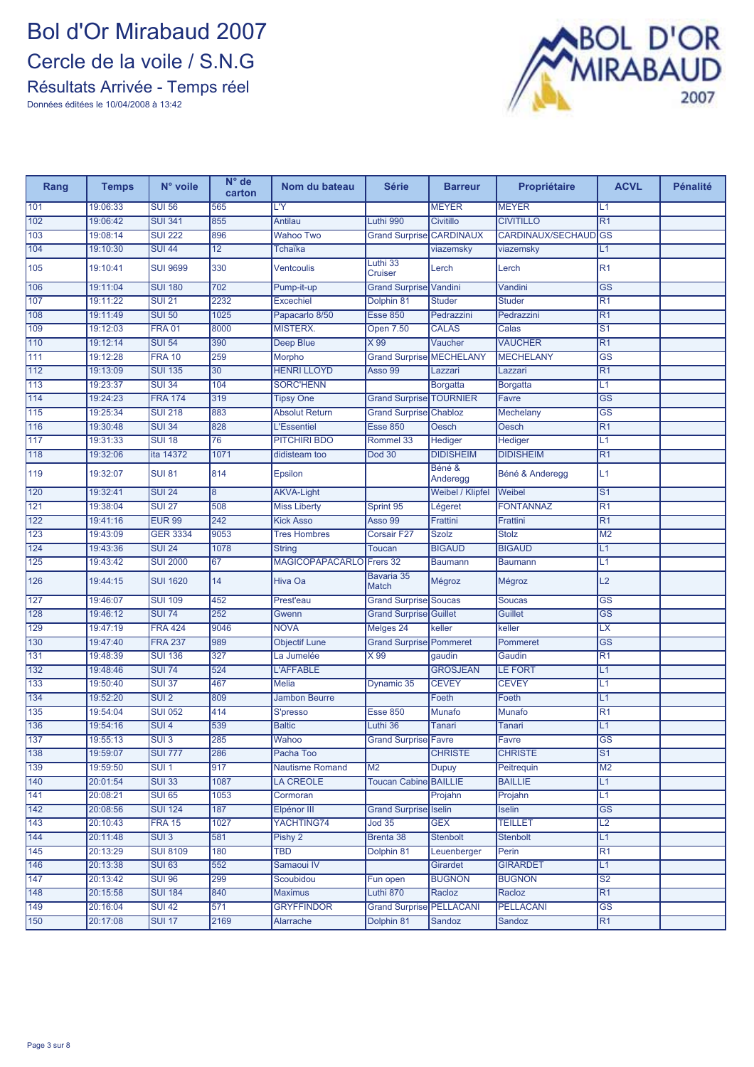### **Bol d'Or Mirabaud 2007** Cercle de la voile / S.N.G Résultats Arrivée - Temps réel



| Rang             | <b>Temps</b> | N° voile         | N° de<br>carton | Nom du bateau          | Série                           | <b>Barreur</b>          | Propriétaire      | <b>ACVL</b>                       | <b>Pénalité</b> |
|------------------|--------------|------------------|-----------------|------------------------|---------------------------------|-------------------------|-------------------|-----------------------------------|-----------------|
| 101              | 19:06:33     | <b>SUI 56</b>    | 565             | L'Y                    |                                 | <b>MEYER</b>            | <b>MEYER</b>      | L1                                |                 |
| 102              | 19:06:42     | <b>SUI 341</b>   | 855             | Antilau                | Luthi 990                       | Civitillo               | <b>CIVITILLO</b>  | R1                                |                 |
| 103              | 19:08:14     | <b>SUI 222</b>   | 896             | <b>Wahoo Two</b>       | Grand Surprise CARDINAUX        |                         | CARDINAUX/SECHAUD | <b>GS</b>                         |                 |
| 104              | 19:10:30     | <b>SUI 44</b>    | $\overline{12}$ | Tchaïka                |                                 | viazemsky               | viazemsky         | L1                                |                 |
| 105              | 19:10:41     | <b>SUI 9699</b>  | 330             | <b>Ventcoulis</b>      | Luthi 33<br><b>Cruiser</b>      | Lerch                   | Lerch             | R <sub>1</sub>                    |                 |
| 106              | 19:11:04     | <b>SUI 180</b>   | 702             | Pump-it-up             | Grand Surprise Vandini          |                         | Vandini           | $\overline{\text{GS}}$            |                 |
| 107              | 19:11:22     | <b>SUI 21</b>    | 2232            | <b>Excechiel</b>       | Dolphin 81                      | <b>Studer</b>           | <b>Studer</b>     | $\overline{R1}$                   |                 |
| 108              | 19:11:49     | <b>SUI 50</b>    | 1025            | Papacarlo 8/50         | <b>Esse 850</b>                 | Pedrazzini              | Pedrazzini        | R <sub>1</sub>                    |                 |
| 109              | 19:12:03     | <b>FRA 01</b>    | 8000            | <b>MISTERX.</b>        | Open 7.50                       | <b>CALAS</b>            | Calas             | S <sub>1</sub>                    |                 |
| 110              | 19:12:14     | <b>SUI 54</b>    | 390             | Deep Blue              | $X$ 99                          | Vaucher                 | <b>VAUCHER</b>    | $\overline{R1}$                   |                 |
| $\overline{111}$ | 19:12:28     | <b>FRA 10</b>    | 259             | Morpho                 | <b>Grand Surprise MECHELANY</b> |                         | <b>MECHELANY</b>  | <b>GS</b>                         |                 |
| $\overline{112}$ | 19:13:09     | <b>SUI 135</b>   | 30              | <b>HENRI LLOYD</b>     | Asso 99                         | Lazzari                 | Lazzari           | $\overline{R1}$                   |                 |
| 113              | 19:23:37     | <b>SUI 34</b>    | 104             | <b>SORC'HENN</b>       |                                 | Borgatta                | Borgatta          | L1                                |                 |
| 114              | 19:24:23     | <b>FRA 174</b>   | 319             | <b>Tipsy One</b>       | Grand Surprise TOURNIER         |                         | Favre             | <b>GS</b>                         |                 |
| 115              | 19:25:34     | <b>SUI 218</b>   | 883             | <b>Absolut Return</b>  | Grand Surprise Chabloz          |                         | Mechelany         | $\overline{\text{GS}}$            |                 |
| 116              | 19:30:48     | <b>SUI 34</b>    | 828             | <b>L'Essentiel</b>     | <b>Esse 850</b>                 | Oesch                   | Oesch             | R1                                |                 |
| $\boxed{117}$    | 19:31:33     | <b>SUI 18</b>    | 76              | PITCHIRI BDO           | Rommel 33                       | Hediger                 | Hediger           | L1                                |                 |
| 118              | 19:32:06     | ita 14372        | 1071            | didisteam too          | <b>Dod 30</b>                   | <b>DIDISHEIM</b>        | <b>DIDISHEIM</b>  | $\overline{R1}$                   |                 |
| 119              | 19:32:07     | <b>SUI 81</b>    | 814             | <b>Epsilon</b>         |                                 | Béné &<br>Anderegg      | Béné & Anderegg   | L1                                |                 |
| 120              | 19:32:41     | <b>SUI 24</b>    | $\overline{8}$  | <b>AKVA-Light</b>      |                                 | <b>Weibel / Klipfel</b> | <b>Weibel</b>     | $\overline{S1}$                   |                 |
| 121              | 19:38:04     | <b>SUI 27</b>    | 508             | <b>Miss Liberty</b>    | Sprint 95                       | Légeret                 | <b>FONTANNAZ</b>  | $\overline{R1}$                   |                 |
| $\boxed{122}$    | 19:41:16     | <b>EUR 99</b>    | 242             | <b>Kick Asso</b>       | Asso 99                         | Frattini                | Frattini          | $\overline{R1}$                   |                 |
| 123              | 19:43:09     | <b>GER 3334</b>  | 9053            | <b>Tres Hombres</b>    | <b>Corsair F27</b>              | <b>Szolz</b>            | <b>Stolz</b>      | M <sub>2</sub>                    |                 |
| 124              | 19:43:36     | <b>SUI 24</b>    | 1078            | <b>String</b>          | <b>Toucan</b>                   | <b>BIGAUD</b>           | <b>BIGAUD</b>     | L1                                |                 |
| 125              | 19:43:42     | <b>SUI 2000</b>  | 67              | <b>MAGICOPAPACARLO</b> | Frers 32                        | Baumann                 | <b>Baumann</b>    | L1                                |                 |
| 126              | 19:44:15     | <b>SUI 1620</b>  | 14              | Hiva Oa                | Bavaria 35<br>Match             | Mégroz                  | Mégroz            | L2                                |                 |
| 127              | 19:46:07     | <b>SUI 109</b>   | 452             | Prest'eau              | <b>Grand Surprise Soucas</b>    |                         | <b>Soucas</b>     | <b>GS</b>                         |                 |
| 128              | 19:46:12     | <b>SUI 74</b>    | 252             | Gwenn                  | <b>Grand Surprise Guillet</b>   |                         | <b>Guillet</b>    | $\overline{\text{GS}}$            |                 |
| 129              | 19:47:19     | <b>FRA 424</b>   | 9046            | <b>NOVA</b>            | Melges 24                       | keller                  | keller            | $\overline{\mathsf{L}\mathsf{X}}$ |                 |
| $\boxed{130}$    | 19:47:40     | <b>FRA 237</b>   | 989             | <b>Objectif Lune</b>   | <b>Grand Surprise Pommeret</b>  |                         | Pommeret          | <b>GS</b>                         |                 |
| 131              | 19:48:39     | <b>SUI 136</b>   | 327             | La Jumelée             | X 99                            | gaudin                  | Gaudin            | $\overline{R1}$                   |                 |
| 132              | 19:48:46     | <b>SUI 74</b>    | 524             | <b>L'AFFABLE</b>       |                                 | <b>GROSJEAN</b>         | <b>LE FORT</b>    | L1                                |                 |
| 133              | 19:50:40     | <b>SUI 37</b>    | 467             | <b>Melia</b>           | Dynamic 35                      | <b>CEVEY</b>            | <b>CEVEY</b>      | L1                                |                 |
| 134              | 19:52:20     | SUI <sub>2</sub> | 809             | <b>Jambon Beurre</b>   |                                 | Foeth                   | Foeth             | L1                                |                 |
| 135              | 19:54:04     | <b>SUI 052</b>   | 414             | S'presso               | <b>Esse 850</b>                 | Munafo                  | <b>Munafo</b>     | $\overline{R1}$                   |                 |
| 136              | 19:54:16     | SUI <sub>4</sub> | 539             | <b>Baltic</b>          | Luthi 36                        | Tanari                  | Tanari            | L1                                |                 |
| 137              | 19:55:13     | $SUI$ 3          | 285             | Wahoo                  | <b>Grand Surprise Favre</b>     |                         | Favre             | $\overline{\text{GS}}$            |                 |
| 138              | 19:59:07     | <b>SUI 777</b>   | 286             | Pacha Too              |                                 | <b>CHRISTE</b>          | <b>CHRISTE</b>    | S <sub>1</sub>                    |                 |
| 139              | 19:59:50     | SUI <sub>1</sub> | 917             | <b>Nautisme Romand</b> | M <sub>2</sub>                  | <b>Dupuy</b>            | Peitrequin        | M <sub>2</sub>                    |                 |
| 140              | 20:01:54     | <b>SUI 33</b>    | 1087            | <b>LA CREOLE</b>       | <b>Toucan Cabine BAILLIE</b>    |                         | <b>BAILLIE</b>    | L1                                |                 |
| $\overline{141}$ | 20:08:21     | <b>SUI 65</b>    | 1053            | Cormoran               |                                 | Projahn                 | Projahn           | L1                                |                 |
| 142              | 20:08:56     | <b>SUI 124</b>   | 187             | Elpénor III            | Grand Surprise Iselin           |                         | Iselin            | $\overline{\text{GS}}$            |                 |
| $\overline{143}$ | 20:10:43     | <b>FRA 15</b>    | 1027            | YACHTING74             | <b>Jod 35</b>                   | <b>GEX</b>              | TEILLET           | L <sub>2</sub>                    |                 |
| 144              | 20:11:48     | SUI3             | 581             | Pishy 2                | Brenta 38                       | <b>Stenbolt</b>         | Stenbolt          | L1                                |                 |
| 145              | 20:13:29     | <b>SUI 8109</b>  | 180             | TBD                    | Dolphin 81                      | Leuenberger             | Perin             | R <sub>1</sub>                    |                 |
| 146              | 20:13:38     | <b>SUI 63</b>    | 552             | Samaoui <sub>IV</sub>  |                                 | Girardet                | <b>GIRARDET</b>   | L1                                |                 |
| $\boxed{147}$    | 20:13:42     | <b>SUI 96</b>    | 299             | Scoubidou              | Fun open                        | <b>BUGNON</b>           | <b>BUGNON</b>     | $\overline{S2}$                   |                 |
| 148              | 20:15:58     | <b>SUI 184</b>   | 840             | <b>Maximus</b>         | Luthi 870                       | Racloz                  | Racloz            | R <sub>1</sub>                    |                 |
| 149              | 20:16:04     | <b>SUI 42</b>    | 571             | <b>GRYFFINDOR</b>      | <b>Grand Surprise PELLACANI</b> |                         | <b>PELLACANI</b>  | $\overline{\text{GS}}$            |                 |
| 150              | 20:17:08     | <b>SUI 17</b>    | 2169            | Alarrache              | Dolphin 81                      | Sandoz                  | Sandoz            | R1                                |                 |
|                  |              |                  |                 |                        |                                 |                         |                   |                                   |                 |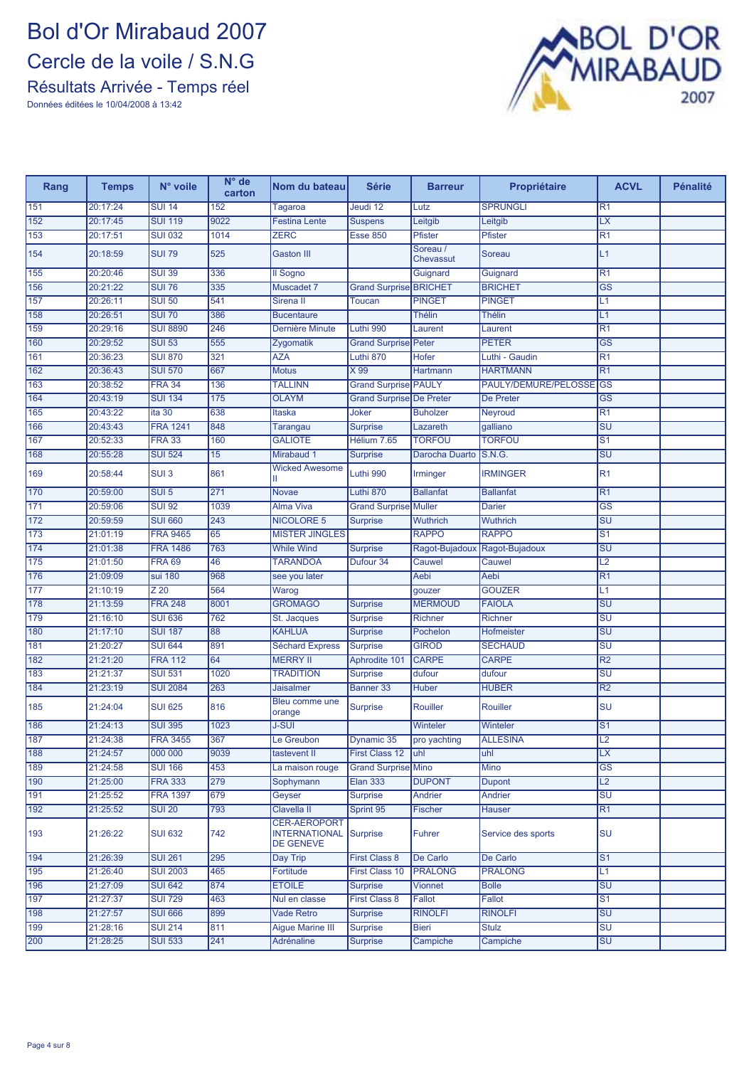### Bol d'Or Mirabaud 2007 Cercle de la voile / S.N.G Résultats Arrivée - Temps réel



| Rang             | <b>Temps</b> | N° voile          | $N^{\circ}$ de<br>carton | Nom du bateau                                                   | <b>Série</b>                  | <b>Barreur</b>        | Propriétaire         | <b>ACVL</b>                       | <b>Pénalité</b> |
|------------------|--------------|-------------------|--------------------------|-----------------------------------------------------------------|-------------------------------|-----------------------|----------------------|-----------------------------------|-----------------|
| 151              | 20:17:24     | <b>SUI 14</b>     | 152                      | Tagaroa                                                         | Jeudi 12                      | Lutz                  | <b>SPRUNGLI</b>      | R <sub>1</sub>                    |                 |
| 152              | 20:17:45     | <b>SUI 119</b>    | 9022                     | <b>Festina Lente</b>                                            | <b>Suspens</b>                | Leitgib               | Leitgib              | $\overline{\mathsf{L}\mathsf{X}}$ |                 |
| 153              | 20:17:51     | <b>SUI 032</b>    | 1014                     | <b>ZERC</b>                                                     | <b>Esse 850</b>               | Pfister               | Pfister              | $\overline{R1}$                   |                 |
| 154              | 20:18:59     | <b>SUI 79</b>     | 525                      | <b>Gaston III</b>                                               |                               | Soreau /<br>Chevassut | Soreau               | L1                                |                 |
| 155              | 20:20:46     | <b>SUI 39</b>     | 336                      | Il Sogno                                                        |                               | Guignard              | Guignard             | $\overline{R1}$                   |                 |
| 156              | 20:21:22     | <b>SUI 76</b>     | 335                      | Muscadet 7                                                      | <b>Grand Surprise BRICHET</b> |                       | <b>BRICHET</b>       | $\overline{\text{GS}}$            |                 |
| 157              | 20:26:11     | <b>SUI 50</b>     | 541                      | Sirena II                                                       | Toucan                        | <b>PINGET</b>         | <b>PINGET</b>        | L1                                |                 |
| 158              | 20:26:51     | <b>SUI 70</b>     | 386                      | <b>Bucentaure</b>                                               |                               | <b>Thélin</b>         | <b>Thélin</b>        | L1                                |                 |
| 159              | 20:29:16     | <b>SUI 8890</b>   | 246                      | Dernière Minute                                                 | Luthi 990                     | Laurent               | Laurent              | R <sub>1</sub>                    |                 |
| 160              | 20:29:52     | <b>SUI 53</b>     | 555                      | Zygomatik                                                       | <b>Grand Surprise Peter</b>   |                       | <b>PETER</b>         | $\overline{\text{GS}}$            |                 |
| 161              | 20:36:23     | <b>SUI 870</b>    | 321                      | <b>AZA</b>                                                      | Luthi 870                     | Hofer                 | Luthi - Gaudin       | $\overline{R1}$                   |                 |
| 162              | 20:36:43     | <b>SUI 570</b>    | 667                      | <b>Motus</b>                                                    | $\times 99$                   | Hartmann              | <b>HARTMANN</b>      | $\overline{R1}$                   |                 |
| 163              | 20:38:52     | <b>FRA 34</b>     | 136                      | <b>TALLINN</b>                                                  | <b>Grand Surprise PAULY</b>   |                       | PAULY/DEMURE/PELOSSE | <b>GS</b>                         |                 |
| 164              | 20:43:19     | <b>SUI 134</b>    | $\frac{175}{175}$        | <b>OLAYM</b>                                                    | Grand Surprise De Preter      |                       | De Preter            | <b>GS</b>                         |                 |
| 165              | 20:43:22     | ita 30            | 638                      | Itaska                                                          | Joker                         | <b>Buholzer</b>       | Neyroud              | R <sub>1</sub>                    |                 |
| 166              | 20:43:43     | <b>FRA 1241</b>   | 848                      | Tarangau                                                        | <b>Surprise</b>               | Lazareth              | galliano             | $\overline{\mathsf{SU}}$          |                 |
| 167              | 20:52:33     | <b>FRA 33</b>     | 160                      | <b>GALIOTE</b>                                                  | Hélium 7.65                   | <b>TORFOU</b>         | <b>TORFOU</b>        | S <sub>1</sub>                    |                 |
| 168              | 20:55:28     | <b>SUI 524</b>    | 15                       | Mirabaud 1                                                      | <b>Surprise</b>               | Darocha Duarto        | <b>S.N.G.</b>        | $\overline{\mathsf{SU}}$          |                 |
| 169              | 20:58:44     | SUI <sub>3</sub>  | 861                      | <b>Wicked Awesome</b><br>Ш                                      | Luthi 990                     | Irminger              | <b>IRMINGER</b>      | R <sub>1</sub>                    |                 |
| 170              | 20:59:00     | $SUI$ 5           | 271                      | <b>Novae</b>                                                    | Luthi 870                     | <b>Ballanfat</b>      | <b>Ballanfat</b>     | R <sub>1</sub>                    |                 |
| 171              | 20:59:06     | <b>SUI 92</b>     | 1039                     | <b>Alma Viva</b>                                                | <b>Grand Surprise Muller</b>  |                       | <b>Darier</b>        | $\overline{\text{GS}}$            |                 |
| 172              | 20:59:59     | <b>SUI 660</b>    | 243                      | <b>NICOLORE 5</b>                                               | <b>Surprise</b>               | Wuthrich              | Wuthrich             | SU                                |                 |
| 173              | 21:01:19     | <b>FRA 9465</b>   | 65                       | <b>MISTER JINGLES</b>                                           |                               | <b>RAPPO</b>          | <b>RAPPO</b>         | $\overline{S1}$                   |                 |
| 174              | 21:01:38     | <b>FRA 1486</b>   | 763                      | <b>While Wind</b>                                               | <b>Surprise</b>               | Ragot-Bujadoux        | Ragot-Bujadoux       | SU                                |                 |
| $\boxed{175}$    | 21:01:50     | <b>FRA 69</b>     | 46                       | <b>TARANDOA</b>                                                 | Dufour 34                     | Cauwel                | Cauwel               | $\overline{L2}$                   |                 |
| 176              | 21:09:09     | sui 180           | 968                      | see you later                                                   |                               | Aebi                  | Aebi                 | $\overline{R1}$                   |                 |
| 177              | 21:10:19     | $\overline{Z}$ 20 | 564                      | Warog                                                           |                               | gouzer                | <b>GOUZER</b>        | L1                                |                 |
| 178              | 21:13:59     | <b>FRA 248</b>    | 8001                     | <b>GROMAGO</b>                                                  | <b>Surprise</b>               | <b>MERMOUD</b>        | <b>FAIOLA</b>        | $\overline{\mathsf{S}\mathsf{U}}$ |                 |
| 179              | 21:16:10     | <b>SUI 636</b>    | 762                      | St. Jacques                                                     | <b>Surprise</b>               | <b>Richner</b>        | <b>Richner</b>       | SU                                |                 |
| 180              | 21:17:10     | <b>SUI 187</b>    | 88                       | <b>KAHLUA</b>                                                   | <b>Surprise</b>               | Pochelon              | Hofmeister           | $\overline{\mathsf{SU}}$          |                 |
| $\overline{181}$ | 21:20:27     | <b>SUI 644</b>    | 891                      | <b>Séchard Express</b>                                          | <b>Surprise</b>               | <b>GIROD</b>          | <b>SECHAUD</b>       | SU                                |                 |
| 182              | 21:21:20     | <b>FRA 112</b>    | 64                       | <b>MERRY II</b>                                                 | Aphrodite 101                 | <b>CARPE</b>          | <b>CARPE</b>         | R2                                |                 |
| 183              | 21:21:37     | <b>SUI 531</b>    | 1020                     | <b>TRADITION</b>                                                | <b>Surprise</b>               | dufour                | dufour               | $\overline{\mathsf{SU}}$          |                 |
| 184              | 21:23:19     | <b>SUI 2084</b>   | 263                      | <b>Jaisalmer</b>                                                | Banner 33                     | Huber                 | <b>HUBER</b>         | R2                                |                 |
| 185              | 21:24:04     | <b>SUI 625</b>    | 816                      | Bleu comme une<br>orange                                        | <b>Surprise</b>               | Rouiller              | Rouiller             | SU                                |                 |
| 186              | 21:24:13     | <b>SUI 395</b>    | 1023                     | <b>J-SUI</b>                                                    |                               | Winteler              | Winteler             | $\overline{S1}$                   |                 |
| 187              | 21:24:38     | <b>FRA 3455</b>   | 367                      | Le Greubon                                                      | <b>Dynamic 35</b>             | pro yachting          | <b>ALLESINA</b>      | L2                                |                 |
| 188              | 21:24:57     | 000 000           | 9039                     | tastevent II                                                    | <b>First Class 12</b>         | uhl                   | uhl                  | <b>LX</b>                         |                 |
| 189              | 21:24:58     | <b>SUI 166</b>    | 453                      | La maison rouge                                                 | Grand Surprise Mino           |                       | Mino                 | $\overline{\text{GS}}$            |                 |
| 190              | 21:25:00     | <b>FRA 333</b>    | 279                      | Sophymann                                                       | <b>Elan 333</b>               | <b>DUPONT</b>         | <b>Dupont</b>        | $\overline{L2}$                   |                 |
| 191              | 21:25:52     | <b>FRA 1397</b>   | 679                      | Geyser                                                          | <b>Surprise</b>               | Andrier               | Andrier              | $\overline{\text{SU}}$            |                 |
| 192              | 21:25:52     | <b>SUI 20</b>     | 793                      | <b>Clavella II</b>                                              | Sprint 95                     | Fischer               | Hauser               | R1                                |                 |
| 193              | 21:26:22     | <b>SUI 632</b>    | 742                      | <b>CER-AEROPORT</b><br><b>INTERNATIONAL</b><br><b>DE GENEVE</b> | Surprise                      | Fuhrer                | Service des sports   | SU                                |                 |
| 194              | 21:26:39     | <b>SUI 261</b>    | 295                      | Day Trip                                                        | <b>First Class 8</b>          | De Carlo              | De Carlo             | $\overline{S1}$                   |                 |
| 195              | 21:26:40     | <b>SUI 2003</b>   | 465                      | Fortitude                                                       | <b>First Class 10</b>         | <b>PRALONG</b>        | <b>PRALONG</b>       | L1                                |                 |
| 196              | 21:27:09     | <b>SUI 642</b>    | 874                      | <b>ETOILE</b>                                                   | <b>Surprise</b>               | Vionnet               | <b>Bolle</b>         | SU                                |                 |
| 197              | 21:27:37     | <b>SUI 729</b>    | 463                      | Nul en classe                                                   | <b>First Class 8</b>          | Fallot                | Fallot               | S <sub>1</sub>                    |                 |
| 198              | 21:27:57     | <b>SUI 666</b>    | 899                      | <b>Vade Retro</b>                                               | <b>Surprise</b>               | <b>RINOLFI</b>        | <b>RINOLFI</b>       | $\overline{\text{SU}}$            |                 |
| 199              | 21:28:16     | <b>SUI 214</b>    | 811                      | <b>Aigue Marine III</b>                                         | <b>Surprise</b>               | <b>Bieri</b>          | <b>Stulz</b>         | SU                                |                 |
| 200              | 21:28:25     | <b>SUI 533</b>    | 241                      | Adrénaline                                                      | <b>Surprise</b>               | Campiche              | Campiche             | $\overline{\mathsf{SU}}$          |                 |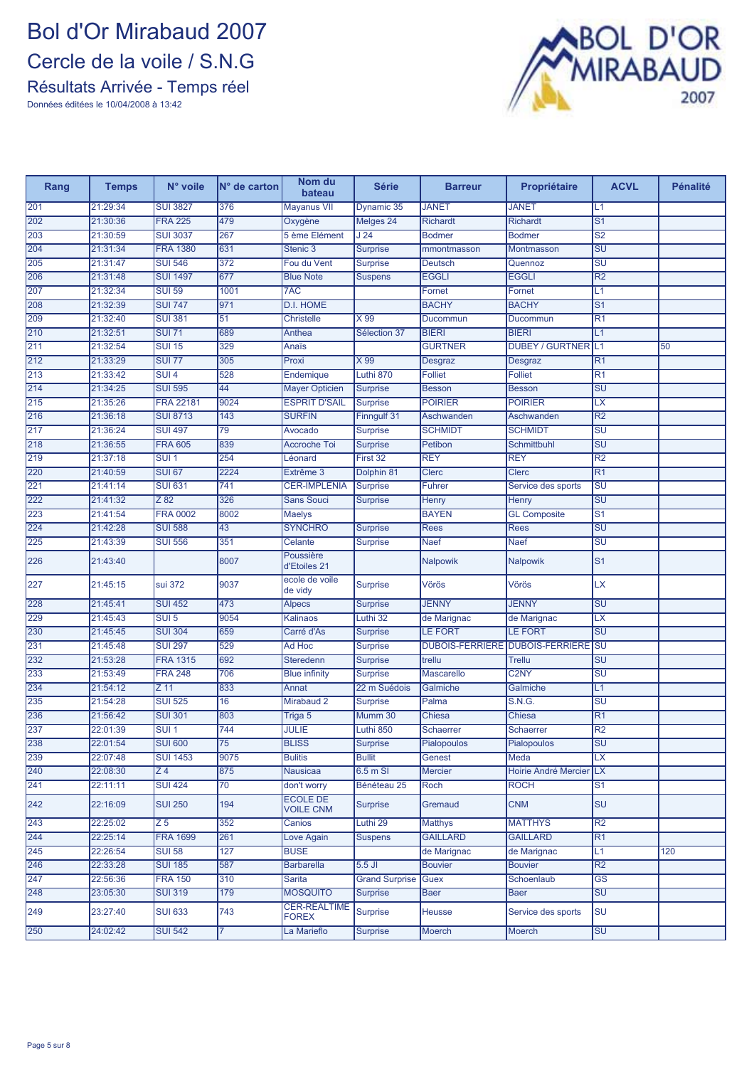### **Bol d'Or Mirabaud 2007** Cercle de la voile / S.N.G Résultats Arrivée - Temps réel



| 21:29:34<br>201<br><b>SUI 3827</b><br>376<br><b>Mayanus VII</b><br>Dynamic 35<br><b>JANET</b><br><b>JANET</b><br>L1<br>202<br>21:30:36<br><b>FRA 225</b><br>479<br>Melges 24<br><b>Richardt</b><br>S <sub>1</sub><br>Oxygène<br>Richardt<br>267<br>J <sub>24</sub><br>$\overline{\mathsf{S2}}$<br>203<br>21:30:59<br><b>SUI 3037</b><br>5 ème Elément<br><b>Bodmer</b><br><b>Bodmer</b><br>204<br>$\overline{\mathsf{S}\mathsf{U}}$<br>21:31:34<br><b>FRA 1380</b><br>631<br>Stenic 3<br><b>Surprise</b><br>Montmasson<br>mmontmasson<br>205<br>$\overline{372}$<br>$\overline{\mathsf{s}\mathsf{u}}$<br>21:31:47<br><b>SUI 546</b><br>Fou du Vent<br>Surprise<br><b>Deutsch</b><br>Quennoz<br>677<br><b>EGGLI</b><br>$\overline{\mathsf{R2}}$<br>206<br>21:31:48<br><b>SUI 1497</b><br><b>EGGLI</b><br><b>Blue Note</b><br><b>Suspens</b><br>207<br>21:32:34<br><b>SUI 59</b><br>1001<br>7AC<br>Fornet<br>Fornet<br>L1<br>208<br>21:32:39<br><b>SUI 747</b><br>971<br><b>D.I. HOME</b><br><b>BACHY</b><br><b>BACHY</b><br>S <sub>1</sub><br>$\times 99$<br>209<br>21:32:40<br><b>SUI 381</b><br>51<br>R <sub>1</sub><br><b>Christelle</b><br>Ducommun<br>Ducommun<br>21:32:51<br>689<br><b>BIERI</b><br>210<br><b>SUI 71</b><br>Sélection 37<br><b>BIERI</b><br>L1<br>Anthea<br>211<br>329<br><b>GURTNER</b><br><b>DUBEY / GURTNER</b><br>21:32:54<br><b>SUI 15</b><br>L1<br>50<br>Anaïs<br>21:33:29<br><b>SUI 77</b><br>305<br>X 99<br>212<br>Proxi<br>R1<br><b>Desgraz</b><br>Desgraz<br>213<br>21:33:42<br>SUI <sub>4</sub><br>528<br>Luthi 870<br><b>Folliet</b><br>R <sub>1</sub><br>Endemique<br><b>Folliet</b><br>214<br>21:34:25<br><b>SUI 595</b><br>44<br>SU<br><b>Mayer Opticien</b><br><b>Surprise</b><br><b>Besson</b><br><b>Besson</b><br><b>ESPRIT D'SAIL</b><br>LX<br>215<br>21:35:26<br><b>FRA 22181</b><br>9024<br><b>POIRIER</b><br><b>POIRIER</b><br><b>Surprise</b><br>$\overline{\mathsf{R2}}$<br>216<br>21:36:18<br><b>SUI 8713</b><br>143<br><b>SURFIN</b><br>Finngulf 31<br>Aschwanden<br>Aschwanden<br>217<br>79<br><b>SCHMIDT</b><br>$\overline{\mathsf{s}\mathsf{u}}$<br>21:36:24<br><b>SUI 497</b><br><b>SCHMIDT</b><br><b>Surprise</b><br>Avocado<br><b>FRA 605</b><br>839<br>SU<br>218<br>21:36:55<br>Petibon<br>Schmittbuhl<br><b>Accroche Toi</b><br><b>Surprise</b><br>219<br><b>REY</b><br>$\overline{\mathsf{R2}}$<br>21:37:18<br>SUI <sub>1</sub><br>254<br>First 32<br><b>REY</b><br>Léonard<br>2224<br>220<br>21:40:59<br><b>SUI 67</b><br><b>Clerc</b><br>R <sub>1</sub><br>Extrême 3<br>Dolphin 81<br><b>Clerc</b><br>741<br>SU<br>221<br>21:41:14<br><b>SUI 631</b><br><b>CER-IMPLENIA</b><br>Fuhrer<br>Service des sports<br><b>Surprise</b><br>222<br>$\overline{Z82}$<br>326<br>$\overline{\mathsf{S}\mathsf{U}}$<br>21:41:32<br><b>Sans Souci</b><br><b>Surprise</b><br>Henry<br><b>Henry</b><br>223<br>8002<br><b>BAYEN</b><br>$\overline{S1}$<br>21:41:54<br><b>FRA 0002</b><br><b>GL</b> Composite<br><b>Maelys</b><br>$\overline{\mathsf{S}\mathsf{U}}$<br>224<br>21:42:28<br><b>SUI 588</b><br>43<br><b>SYNCHRO</b><br><b>Surprise</b><br><b>Rees</b><br><b>Rees</b><br>225<br>$\overline{\mathsf{S}}\mathsf{U}$<br>21:43:39<br><b>SUI 556</b><br>351<br><b>Naef</b><br>Celante<br><b>Surprise</b><br>Naef<br>Poussière<br>S <sub>1</sub><br>226<br>8007<br>21:43:40<br>Nalpowik<br>Nalpowik<br>d'Etoiles 21<br>ecole de voile<br>LX<br>227<br>sui 372<br>9037<br>Vörös<br>21:45:15<br><b>Surprise</b><br>Vörös<br>de vidy<br>$\overline{\mathsf{S}\mathsf{U}}$<br>473<br><b>JENNY</b><br><b>JENNY</b><br>228<br>21:45:41<br><b>SUI 452</b><br><b>Alpecs</b><br><b>Surprise</b><br>229<br>21:45:43<br>SUI <sub>5</sub><br>9054<br>Luthi 32<br>LX<br>Kalinaos<br>de Marignac<br>de Marignac<br><b>LE FORT</b><br>230<br>21:45:45<br><b>SUI 304</b><br>659<br><b>LE FORT</b><br>SU<br>Carré d'As<br><b>Surprise</b><br>529<br><b>DUBOIS-FERRIERE SU</b><br>231<br>21:45:48<br><b>SUI 297</b><br>Ad Hoc<br><b>DUBOIS-FERRIERE</b><br><b>Surprise</b><br>692<br>21:53:28<br><b>FRA 1315</b><br>trellu<br>SU<br>Steredenn<br><b>Surprise</b><br>Trellu<br>706<br>C <sub>2</sub> NY<br>$\overline{\mathsf{s}\mathsf{u}}$<br>21:53:49<br><b>FRA 248</b><br><b>Mascarello</b><br><b>Blue infinity</b><br><b>Surprise</b><br>234<br>21:54:12<br>Z 11<br>833<br>22 m Suédois<br>Galmiche<br>L1<br>Annat<br>Galmiche<br>235<br>$\overline{\mathsf{S}}\mathsf{U}$<br>21:54:28<br><b>SUI 525</b><br>16<br>Palma<br><b>S.N.G.</b><br>Mirabaud 2<br><b>Surprise</b><br>236<br>21:56:42<br><b>SUI 301</b><br>803<br>R <sub>1</sub><br>Triga 5<br>Mumm 30<br>Chiesa<br>Chiesa<br>744<br>237<br>22:01:39<br>SUI <sub>1</sub><br>JULIE<br>R <sub>2</sub><br>Luthi 850<br><b>Schaerrer</b><br><b>Schaerrer</b><br>238<br><b>BLISS</b><br>22:01:54<br><b>SUI 600</b><br>75<br>Pialopoulos<br>$\overline{\mathsf{SU}}$<br><b>Surprise</b><br>Pialopoulos<br>22:07:48<br><b>Bullit</b><br><b>SUI 1453</b><br>9075<br>LХ<br><b>Bulitis</b><br>Genest<br>Meda<br>240<br>22:08:30<br>$6.5m$ SI<br>Z 4<br>875<br>Mercier<br>Hoirie André Mercier<br><b>LX</b><br>Nausicaa<br>22:11:11<br>Bénéteau 25<br>241<br><b>SUI 424</b><br>70<br>don't worry<br>Roch<br><b>ROCH</b><br>S <sub>1</sub><br><b>ECOLE DE</b><br>194<br>SU<br><b>SUI 250</b><br>Gremaud<br><b>CNM</b><br>22:16:09<br><b>Surprise</b><br><b>VOILE CNM</b><br>243<br>22:25:02<br>Z 5<br>352<br>Luthi 29<br><b>Matthys</b><br><b>MATTHYS</b><br>R2<br>Canios<br>$\overline{244}$<br>22:25:14<br><b>FRA 1699</b><br><b>GAILLARD</b><br><b>GAILLARD</b><br>261<br>R <sub>1</sub><br>Love Again<br><b>Suspens</b><br>22:26:54<br><b>BUSE</b><br>245<br><b>SUI 58</b><br>127<br>de Marignac<br>de Marignac<br>L1<br>120<br>246<br>22:33:28<br><b>SUI 185</b><br>587<br>R2<br><b>Barbarella</b><br>$5.5$ JI<br><b>Bouvier</b><br><b>Bouvier</b><br>247<br>22:56:36<br><b>FRA 150</b><br><b>Grand Surprise</b><br>$\overline{\text{GS}}$<br>310<br>Sarita<br>Guex<br>Schoenlaub<br><b>MOSQUITO</b><br>$\overline{\text{SU}}$<br>248<br>23:05:30<br><b>SUI 319</b><br>179<br><b>Surprise</b><br>Baer<br><b>Baer</b><br><b>CER-REALTIME</b><br>743<br>SU<br>249<br><b>SUI 633</b><br><b>Surprise</b><br>Service des sports<br>23:27:40<br>Heusse<br>FOREX | Rang | <b>Temps</b> | N° voile       | N° de carton   | Nom du<br>bateau | <b>Série</b> | <b>Barreur</b> | Propriétaire | <b>ACVL</b> | <b>Pénalité</b> |
|------------------------------------------------------------------------------------------------------------------------------------------------------------------------------------------------------------------------------------------------------------------------------------------------------------------------------------------------------------------------------------------------------------------------------------------------------------------------------------------------------------------------------------------------------------------------------------------------------------------------------------------------------------------------------------------------------------------------------------------------------------------------------------------------------------------------------------------------------------------------------------------------------------------------------------------------------------------------------------------------------------------------------------------------------------------------------------------------------------------------------------------------------------------------------------------------------------------------------------------------------------------------------------------------------------------------------------------------------------------------------------------------------------------------------------------------------------------------------------------------------------------------------------------------------------------------------------------------------------------------------------------------------------------------------------------------------------------------------------------------------------------------------------------------------------------------------------------------------------------------------------------------------------------------------------------------------------------------------------------------------------------------------------------------------------------------------------------------------------------------------------------------------------------------------------------------------------------------------------------------------------------------------------------------------------------------------------------------------------------------------------------------------------------------------------------------------------------------------------------------------------------------------------------------------------------------------------------------------------------------------------------------------------------------------------------------------------------------------------------------------------------------------------------------------------------------------------------------------------------------------------------------------------------------------------------------------------------------------------------------------------------------------------------------------------------------------------------------------------------------------------------------------------------------------------------------------------------------------------------------------------------------------------------------------------------------------------------------------------------------------------------------------------------------------------------------------------------------------------------------------------------------------------------------------------------------------------------------------------------------------------------------------------------------------------------------------------------------------------------------------------------------------------------------------------------------------------------------------------------------------------------------------------------------------------------------------------------------------------------------------------------------------------------------------------------------------------------------------------------------------------------------------------------------------------------------------------------------------------------------------------------------------------------------------------------------------------------------------------------------------------------------------------------------------------------------------------------------------------------------------------------------------------------------------------------------------------------------------------------------------------------------------------------------------------------------------------------------------------------------------------------------------------------------------------------------------------------------------------------------------------------------------------------------------------------------------------------------------------------------------------------------------------------------------------------------------------------------------------------------------------------------------------------------------------------------------------------------------------------------------------------------------------------------------------------------------------------------------------------------------------------------------------------------------------------------------------------------------------------------------------------------------------------------------------------------------------------------------------------------------------------------------------------------------------------------------------------------------------------------------------------------------------------------------------------------------------------------------------------------------------------------------------------------------------------------------------------------------------------------------------------------------------------------------------------------------------------------------------------------------------------------------------------------------------------------------------------------------------------|------|--------------|----------------|----------------|------------------|--------------|----------------|--------------|-------------|-----------------|
|                                                                                                                                                                                                                                                                                                                                                                                                                                                                                                                                                                                                                                                                                                                                                                                                                                                                                                                                                                                                                                                                                                                                                                                                                                                                                                                                                                                                                                                                                                                                                                                                                                                                                                                                                                                                                                                                                                                                                                                                                                                                                                                                                                                                                                                                                                                                                                                                                                                                                                                                                                                                                                                                                                                                                                                                                                                                                                                                                                                                                                                                                                                                                                                                                                                                                                                                                                                                                                                                                                                                                                                                                                                                                                                                                                                                                                                                                                                                                                                                                                                                                                                                                                                                                                                                                                                                                                                                                                                                                                                                                                                                                                                                                                                                                                                                                                                                                                                                                                                                                                                                                                                                                                                                                                                                                                                                                                                                                                                                                                                                                                                                                                                                                                                                                                                                                                                                                                                                                                                                                                                                                                                                                                                                                                          |      |              |                |                |                  |              |                |              |             |                 |
|                                                                                                                                                                                                                                                                                                                                                                                                                                                                                                                                                                                                                                                                                                                                                                                                                                                                                                                                                                                                                                                                                                                                                                                                                                                                                                                                                                                                                                                                                                                                                                                                                                                                                                                                                                                                                                                                                                                                                                                                                                                                                                                                                                                                                                                                                                                                                                                                                                                                                                                                                                                                                                                                                                                                                                                                                                                                                                                                                                                                                                                                                                                                                                                                                                                                                                                                                                                                                                                                                                                                                                                                                                                                                                                                                                                                                                                                                                                                                                                                                                                                                                                                                                                                                                                                                                                                                                                                                                                                                                                                                                                                                                                                                                                                                                                                                                                                                                                                                                                                                                                                                                                                                                                                                                                                                                                                                                                                                                                                                                                                                                                                                                                                                                                                                                                                                                                                                                                                                                                                                                                                                                                                                                                                                                          |      |              |                |                |                  |              |                |              |             |                 |
|                                                                                                                                                                                                                                                                                                                                                                                                                                                                                                                                                                                                                                                                                                                                                                                                                                                                                                                                                                                                                                                                                                                                                                                                                                                                                                                                                                                                                                                                                                                                                                                                                                                                                                                                                                                                                                                                                                                                                                                                                                                                                                                                                                                                                                                                                                                                                                                                                                                                                                                                                                                                                                                                                                                                                                                                                                                                                                                                                                                                                                                                                                                                                                                                                                                                                                                                                                                                                                                                                                                                                                                                                                                                                                                                                                                                                                                                                                                                                                                                                                                                                                                                                                                                                                                                                                                                                                                                                                                                                                                                                                                                                                                                                                                                                                                                                                                                                                                                                                                                                                                                                                                                                                                                                                                                                                                                                                                                                                                                                                                                                                                                                                                                                                                                                                                                                                                                                                                                                                                                                                                                                                                                                                                                                                          |      |              |                |                |                  |              |                |              |             |                 |
|                                                                                                                                                                                                                                                                                                                                                                                                                                                                                                                                                                                                                                                                                                                                                                                                                                                                                                                                                                                                                                                                                                                                                                                                                                                                                                                                                                                                                                                                                                                                                                                                                                                                                                                                                                                                                                                                                                                                                                                                                                                                                                                                                                                                                                                                                                                                                                                                                                                                                                                                                                                                                                                                                                                                                                                                                                                                                                                                                                                                                                                                                                                                                                                                                                                                                                                                                                                                                                                                                                                                                                                                                                                                                                                                                                                                                                                                                                                                                                                                                                                                                                                                                                                                                                                                                                                                                                                                                                                                                                                                                                                                                                                                                                                                                                                                                                                                                                                                                                                                                                                                                                                                                                                                                                                                                                                                                                                                                                                                                                                                                                                                                                                                                                                                                                                                                                                                                                                                                                                                                                                                                                                                                                                                                                          |      |              |                |                |                  |              |                |              |             |                 |
|                                                                                                                                                                                                                                                                                                                                                                                                                                                                                                                                                                                                                                                                                                                                                                                                                                                                                                                                                                                                                                                                                                                                                                                                                                                                                                                                                                                                                                                                                                                                                                                                                                                                                                                                                                                                                                                                                                                                                                                                                                                                                                                                                                                                                                                                                                                                                                                                                                                                                                                                                                                                                                                                                                                                                                                                                                                                                                                                                                                                                                                                                                                                                                                                                                                                                                                                                                                                                                                                                                                                                                                                                                                                                                                                                                                                                                                                                                                                                                                                                                                                                                                                                                                                                                                                                                                                                                                                                                                                                                                                                                                                                                                                                                                                                                                                                                                                                                                                                                                                                                                                                                                                                                                                                                                                                                                                                                                                                                                                                                                                                                                                                                                                                                                                                                                                                                                                                                                                                                                                                                                                                                                                                                                                                                          |      |              |                |                |                  |              |                |              |             |                 |
|                                                                                                                                                                                                                                                                                                                                                                                                                                                                                                                                                                                                                                                                                                                                                                                                                                                                                                                                                                                                                                                                                                                                                                                                                                                                                                                                                                                                                                                                                                                                                                                                                                                                                                                                                                                                                                                                                                                                                                                                                                                                                                                                                                                                                                                                                                                                                                                                                                                                                                                                                                                                                                                                                                                                                                                                                                                                                                                                                                                                                                                                                                                                                                                                                                                                                                                                                                                                                                                                                                                                                                                                                                                                                                                                                                                                                                                                                                                                                                                                                                                                                                                                                                                                                                                                                                                                                                                                                                                                                                                                                                                                                                                                                                                                                                                                                                                                                                                                                                                                                                                                                                                                                                                                                                                                                                                                                                                                                                                                                                                                                                                                                                                                                                                                                                                                                                                                                                                                                                                                                                                                                                                                                                                                                                          |      |              |                |                |                  |              |                |              |             |                 |
|                                                                                                                                                                                                                                                                                                                                                                                                                                                                                                                                                                                                                                                                                                                                                                                                                                                                                                                                                                                                                                                                                                                                                                                                                                                                                                                                                                                                                                                                                                                                                                                                                                                                                                                                                                                                                                                                                                                                                                                                                                                                                                                                                                                                                                                                                                                                                                                                                                                                                                                                                                                                                                                                                                                                                                                                                                                                                                                                                                                                                                                                                                                                                                                                                                                                                                                                                                                                                                                                                                                                                                                                                                                                                                                                                                                                                                                                                                                                                                                                                                                                                                                                                                                                                                                                                                                                                                                                                                                                                                                                                                                                                                                                                                                                                                                                                                                                                                                                                                                                                                                                                                                                                                                                                                                                                                                                                                                                                                                                                                                                                                                                                                                                                                                                                                                                                                                                                                                                                                                                                                                                                                                                                                                                                                          |      |              |                |                |                  |              |                |              |             |                 |
|                                                                                                                                                                                                                                                                                                                                                                                                                                                                                                                                                                                                                                                                                                                                                                                                                                                                                                                                                                                                                                                                                                                                                                                                                                                                                                                                                                                                                                                                                                                                                                                                                                                                                                                                                                                                                                                                                                                                                                                                                                                                                                                                                                                                                                                                                                                                                                                                                                                                                                                                                                                                                                                                                                                                                                                                                                                                                                                                                                                                                                                                                                                                                                                                                                                                                                                                                                                                                                                                                                                                                                                                                                                                                                                                                                                                                                                                                                                                                                                                                                                                                                                                                                                                                                                                                                                                                                                                                                                                                                                                                                                                                                                                                                                                                                                                                                                                                                                                                                                                                                                                                                                                                                                                                                                                                                                                                                                                                                                                                                                                                                                                                                                                                                                                                                                                                                                                                                                                                                                                                                                                                                                                                                                                                                          |      |              |                |                |                  |              |                |              |             |                 |
|                                                                                                                                                                                                                                                                                                                                                                                                                                                                                                                                                                                                                                                                                                                                                                                                                                                                                                                                                                                                                                                                                                                                                                                                                                                                                                                                                                                                                                                                                                                                                                                                                                                                                                                                                                                                                                                                                                                                                                                                                                                                                                                                                                                                                                                                                                                                                                                                                                                                                                                                                                                                                                                                                                                                                                                                                                                                                                                                                                                                                                                                                                                                                                                                                                                                                                                                                                                                                                                                                                                                                                                                                                                                                                                                                                                                                                                                                                                                                                                                                                                                                                                                                                                                                                                                                                                                                                                                                                                                                                                                                                                                                                                                                                                                                                                                                                                                                                                                                                                                                                                                                                                                                                                                                                                                                                                                                                                                                                                                                                                                                                                                                                                                                                                                                                                                                                                                                                                                                                                                                                                                                                                                                                                                                                          |      |              |                |                |                  |              |                |              |             |                 |
|                                                                                                                                                                                                                                                                                                                                                                                                                                                                                                                                                                                                                                                                                                                                                                                                                                                                                                                                                                                                                                                                                                                                                                                                                                                                                                                                                                                                                                                                                                                                                                                                                                                                                                                                                                                                                                                                                                                                                                                                                                                                                                                                                                                                                                                                                                                                                                                                                                                                                                                                                                                                                                                                                                                                                                                                                                                                                                                                                                                                                                                                                                                                                                                                                                                                                                                                                                                                                                                                                                                                                                                                                                                                                                                                                                                                                                                                                                                                                                                                                                                                                                                                                                                                                                                                                                                                                                                                                                                                                                                                                                                                                                                                                                                                                                                                                                                                                                                                                                                                                                                                                                                                                                                                                                                                                                                                                                                                                                                                                                                                                                                                                                                                                                                                                                                                                                                                                                                                                                                                                                                                                                                                                                                                                                          |      |              |                |                |                  |              |                |              |             |                 |
|                                                                                                                                                                                                                                                                                                                                                                                                                                                                                                                                                                                                                                                                                                                                                                                                                                                                                                                                                                                                                                                                                                                                                                                                                                                                                                                                                                                                                                                                                                                                                                                                                                                                                                                                                                                                                                                                                                                                                                                                                                                                                                                                                                                                                                                                                                                                                                                                                                                                                                                                                                                                                                                                                                                                                                                                                                                                                                                                                                                                                                                                                                                                                                                                                                                                                                                                                                                                                                                                                                                                                                                                                                                                                                                                                                                                                                                                                                                                                                                                                                                                                                                                                                                                                                                                                                                                                                                                                                                                                                                                                                                                                                                                                                                                                                                                                                                                                                                                                                                                                                                                                                                                                                                                                                                                                                                                                                                                                                                                                                                                                                                                                                                                                                                                                                                                                                                                                                                                                                                                                                                                                                                                                                                                                                          |      |              |                |                |                  |              |                |              |             |                 |
|                                                                                                                                                                                                                                                                                                                                                                                                                                                                                                                                                                                                                                                                                                                                                                                                                                                                                                                                                                                                                                                                                                                                                                                                                                                                                                                                                                                                                                                                                                                                                                                                                                                                                                                                                                                                                                                                                                                                                                                                                                                                                                                                                                                                                                                                                                                                                                                                                                                                                                                                                                                                                                                                                                                                                                                                                                                                                                                                                                                                                                                                                                                                                                                                                                                                                                                                                                                                                                                                                                                                                                                                                                                                                                                                                                                                                                                                                                                                                                                                                                                                                                                                                                                                                                                                                                                                                                                                                                                                                                                                                                                                                                                                                                                                                                                                                                                                                                                                                                                                                                                                                                                                                                                                                                                                                                                                                                                                                                                                                                                                                                                                                                                                                                                                                                                                                                                                                                                                                                                                                                                                                                                                                                                                                                          |      |              |                |                |                  |              |                |              |             |                 |
|                                                                                                                                                                                                                                                                                                                                                                                                                                                                                                                                                                                                                                                                                                                                                                                                                                                                                                                                                                                                                                                                                                                                                                                                                                                                                                                                                                                                                                                                                                                                                                                                                                                                                                                                                                                                                                                                                                                                                                                                                                                                                                                                                                                                                                                                                                                                                                                                                                                                                                                                                                                                                                                                                                                                                                                                                                                                                                                                                                                                                                                                                                                                                                                                                                                                                                                                                                                                                                                                                                                                                                                                                                                                                                                                                                                                                                                                                                                                                                                                                                                                                                                                                                                                                                                                                                                                                                                                                                                                                                                                                                                                                                                                                                                                                                                                                                                                                                                                                                                                                                                                                                                                                                                                                                                                                                                                                                                                                                                                                                                                                                                                                                                                                                                                                                                                                                                                                                                                                                                                                                                                                                                                                                                                                                          |      |              |                |                |                  |              |                |              |             |                 |
|                                                                                                                                                                                                                                                                                                                                                                                                                                                                                                                                                                                                                                                                                                                                                                                                                                                                                                                                                                                                                                                                                                                                                                                                                                                                                                                                                                                                                                                                                                                                                                                                                                                                                                                                                                                                                                                                                                                                                                                                                                                                                                                                                                                                                                                                                                                                                                                                                                                                                                                                                                                                                                                                                                                                                                                                                                                                                                                                                                                                                                                                                                                                                                                                                                                                                                                                                                                                                                                                                                                                                                                                                                                                                                                                                                                                                                                                                                                                                                                                                                                                                                                                                                                                                                                                                                                                                                                                                                                                                                                                                                                                                                                                                                                                                                                                                                                                                                                                                                                                                                                                                                                                                                                                                                                                                                                                                                                                                                                                                                                                                                                                                                                                                                                                                                                                                                                                                                                                                                                                                                                                                                                                                                                                                                          |      |              |                |                |                  |              |                |              |             |                 |
|                                                                                                                                                                                                                                                                                                                                                                                                                                                                                                                                                                                                                                                                                                                                                                                                                                                                                                                                                                                                                                                                                                                                                                                                                                                                                                                                                                                                                                                                                                                                                                                                                                                                                                                                                                                                                                                                                                                                                                                                                                                                                                                                                                                                                                                                                                                                                                                                                                                                                                                                                                                                                                                                                                                                                                                                                                                                                                                                                                                                                                                                                                                                                                                                                                                                                                                                                                                                                                                                                                                                                                                                                                                                                                                                                                                                                                                                                                                                                                                                                                                                                                                                                                                                                                                                                                                                                                                                                                                                                                                                                                                                                                                                                                                                                                                                                                                                                                                                                                                                                                                                                                                                                                                                                                                                                                                                                                                                                                                                                                                                                                                                                                                                                                                                                                                                                                                                                                                                                                                                                                                                                                                                                                                                                                          |      |              |                |                |                  |              |                |              |             |                 |
|                                                                                                                                                                                                                                                                                                                                                                                                                                                                                                                                                                                                                                                                                                                                                                                                                                                                                                                                                                                                                                                                                                                                                                                                                                                                                                                                                                                                                                                                                                                                                                                                                                                                                                                                                                                                                                                                                                                                                                                                                                                                                                                                                                                                                                                                                                                                                                                                                                                                                                                                                                                                                                                                                                                                                                                                                                                                                                                                                                                                                                                                                                                                                                                                                                                                                                                                                                                                                                                                                                                                                                                                                                                                                                                                                                                                                                                                                                                                                                                                                                                                                                                                                                                                                                                                                                                                                                                                                                                                                                                                                                                                                                                                                                                                                                                                                                                                                                                                                                                                                                                                                                                                                                                                                                                                                                                                                                                                                                                                                                                                                                                                                                                                                                                                                                                                                                                                                                                                                                                                                                                                                                                                                                                                                                          |      |              |                |                |                  |              |                |              |             |                 |
|                                                                                                                                                                                                                                                                                                                                                                                                                                                                                                                                                                                                                                                                                                                                                                                                                                                                                                                                                                                                                                                                                                                                                                                                                                                                                                                                                                                                                                                                                                                                                                                                                                                                                                                                                                                                                                                                                                                                                                                                                                                                                                                                                                                                                                                                                                                                                                                                                                                                                                                                                                                                                                                                                                                                                                                                                                                                                                                                                                                                                                                                                                                                                                                                                                                                                                                                                                                                                                                                                                                                                                                                                                                                                                                                                                                                                                                                                                                                                                                                                                                                                                                                                                                                                                                                                                                                                                                                                                                                                                                                                                                                                                                                                                                                                                                                                                                                                                                                                                                                                                                                                                                                                                                                                                                                                                                                                                                                                                                                                                                                                                                                                                                                                                                                                                                                                                                                                                                                                                                                                                                                                                                                                                                                                                          |      |              |                |                |                  |              |                |              |             |                 |
|                                                                                                                                                                                                                                                                                                                                                                                                                                                                                                                                                                                                                                                                                                                                                                                                                                                                                                                                                                                                                                                                                                                                                                                                                                                                                                                                                                                                                                                                                                                                                                                                                                                                                                                                                                                                                                                                                                                                                                                                                                                                                                                                                                                                                                                                                                                                                                                                                                                                                                                                                                                                                                                                                                                                                                                                                                                                                                                                                                                                                                                                                                                                                                                                                                                                                                                                                                                                                                                                                                                                                                                                                                                                                                                                                                                                                                                                                                                                                                                                                                                                                                                                                                                                                                                                                                                                                                                                                                                                                                                                                                                                                                                                                                                                                                                                                                                                                                                                                                                                                                                                                                                                                                                                                                                                                                                                                                                                                                                                                                                                                                                                                                                                                                                                                                                                                                                                                                                                                                                                                                                                                                                                                                                                                                          |      |              |                |                |                  |              |                |              |             |                 |
|                                                                                                                                                                                                                                                                                                                                                                                                                                                                                                                                                                                                                                                                                                                                                                                                                                                                                                                                                                                                                                                                                                                                                                                                                                                                                                                                                                                                                                                                                                                                                                                                                                                                                                                                                                                                                                                                                                                                                                                                                                                                                                                                                                                                                                                                                                                                                                                                                                                                                                                                                                                                                                                                                                                                                                                                                                                                                                                                                                                                                                                                                                                                                                                                                                                                                                                                                                                                                                                                                                                                                                                                                                                                                                                                                                                                                                                                                                                                                                                                                                                                                                                                                                                                                                                                                                                                                                                                                                                                                                                                                                                                                                                                                                                                                                                                                                                                                                                                                                                                                                                                                                                                                                                                                                                                                                                                                                                                                                                                                                                                                                                                                                                                                                                                                                                                                                                                                                                                                                                                                                                                                                                                                                                                                                          |      |              |                |                |                  |              |                |              |             |                 |
|                                                                                                                                                                                                                                                                                                                                                                                                                                                                                                                                                                                                                                                                                                                                                                                                                                                                                                                                                                                                                                                                                                                                                                                                                                                                                                                                                                                                                                                                                                                                                                                                                                                                                                                                                                                                                                                                                                                                                                                                                                                                                                                                                                                                                                                                                                                                                                                                                                                                                                                                                                                                                                                                                                                                                                                                                                                                                                                                                                                                                                                                                                                                                                                                                                                                                                                                                                                                                                                                                                                                                                                                                                                                                                                                                                                                                                                                                                                                                                                                                                                                                                                                                                                                                                                                                                                                                                                                                                                                                                                                                                                                                                                                                                                                                                                                                                                                                                                                                                                                                                                                                                                                                                                                                                                                                                                                                                                                                                                                                                                                                                                                                                                                                                                                                                                                                                                                                                                                                                                                                                                                                                                                                                                                                                          |      |              |                |                |                  |              |                |              |             |                 |
|                                                                                                                                                                                                                                                                                                                                                                                                                                                                                                                                                                                                                                                                                                                                                                                                                                                                                                                                                                                                                                                                                                                                                                                                                                                                                                                                                                                                                                                                                                                                                                                                                                                                                                                                                                                                                                                                                                                                                                                                                                                                                                                                                                                                                                                                                                                                                                                                                                                                                                                                                                                                                                                                                                                                                                                                                                                                                                                                                                                                                                                                                                                                                                                                                                                                                                                                                                                                                                                                                                                                                                                                                                                                                                                                                                                                                                                                                                                                                                                                                                                                                                                                                                                                                                                                                                                                                                                                                                                                                                                                                                                                                                                                                                                                                                                                                                                                                                                                                                                                                                                                                                                                                                                                                                                                                                                                                                                                                                                                                                                                                                                                                                                                                                                                                                                                                                                                                                                                                                                                                                                                                                                                                                                                                                          |      |              |                |                |                  |              |                |              |             |                 |
|                                                                                                                                                                                                                                                                                                                                                                                                                                                                                                                                                                                                                                                                                                                                                                                                                                                                                                                                                                                                                                                                                                                                                                                                                                                                                                                                                                                                                                                                                                                                                                                                                                                                                                                                                                                                                                                                                                                                                                                                                                                                                                                                                                                                                                                                                                                                                                                                                                                                                                                                                                                                                                                                                                                                                                                                                                                                                                                                                                                                                                                                                                                                                                                                                                                                                                                                                                                                                                                                                                                                                                                                                                                                                                                                                                                                                                                                                                                                                                                                                                                                                                                                                                                                                                                                                                                                                                                                                                                                                                                                                                                                                                                                                                                                                                                                                                                                                                                                                                                                                                                                                                                                                                                                                                                                                                                                                                                                                                                                                                                                                                                                                                                                                                                                                                                                                                                                                                                                                                                                                                                                                                                                                                                                                                          |      |              |                |                |                  |              |                |              |             |                 |
|                                                                                                                                                                                                                                                                                                                                                                                                                                                                                                                                                                                                                                                                                                                                                                                                                                                                                                                                                                                                                                                                                                                                                                                                                                                                                                                                                                                                                                                                                                                                                                                                                                                                                                                                                                                                                                                                                                                                                                                                                                                                                                                                                                                                                                                                                                                                                                                                                                                                                                                                                                                                                                                                                                                                                                                                                                                                                                                                                                                                                                                                                                                                                                                                                                                                                                                                                                                                                                                                                                                                                                                                                                                                                                                                                                                                                                                                                                                                                                                                                                                                                                                                                                                                                                                                                                                                                                                                                                                                                                                                                                                                                                                                                                                                                                                                                                                                                                                                                                                                                                                                                                                                                                                                                                                                                                                                                                                                                                                                                                                                                                                                                                                                                                                                                                                                                                                                                                                                                                                                                                                                                                                                                                                                                                          |      |              |                |                |                  |              |                |              |             |                 |
|                                                                                                                                                                                                                                                                                                                                                                                                                                                                                                                                                                                                                                                                                                                                                                                                                                                                                                                                                                                                                                                                                                                                                                                                                                                                                                                                                                                                                                                                                                                                                                                                                                                                                                                                                                                                                                                                                                                                                                                                                                                                                                                                                                                                                                                                                                                                                                                                                                                                                                                                                                                                                                                                                                                                                                                                                                                                                                                                                                                                                                                                                                                                                                                                                                                                                                                                                                                                                                                                                                                                                                                                                                                                                                                                                                                                                                                                                                                                                                                                                                                                                                                                                                                                                                                                                                                                                                                                                                                                                                                                                                                                                                                                                                                                                                                                                                                                                                                                                                                                                                                                                                                                                                                                                                                                                                                                                                                                                                                                                                                                                                                                                                                                                                                                                                                                                                                                                                                                                                                                                                                                                                                                                                                                                                          |      |              |                |                |                  |              |                |              |             |                 |
|                                                                                                                                                                                                                                                                                                                                                                                                                                                                                                                                                                                                                                                                                                                                                                                                                                                                                                                                                                                                                                                                                                                                                                                                                                                                                                                                                                                                                                                                                                                                                                                                                                                                                                                                                                                                                                                                                                                                                                                                                                                                                                                                                                                                                                                                                                                                                                                                                                                                                                                                                                                                                                                                                                                                                                                                                                                                                                                                                                                                                                                                                                                                                                                                                                                                                                                                                                                                                                                                                                                                                                                                                                                                                                                                                                                                                                                                                                                                                                                                                                                                                                                                                                                                                                                                                                                                                                                                                                                                                                                                                                                                                                                                                                                                                                                                                                                                                                                                                                                                                                                                                                                                                                                                                                                                                                                                                                                                                                                                                                                                                                                                                                                                                                                                                                                                                                                                                                                                                                                                                                                                                                                                                                                                                                          |      |              |                |                |                  |              |                |              |             |                 |
|                                                                                                                                                                                                                                                                                                                                                                                                                                                                                                                                                                                                                                                                                                                                                                                                                                                                                                                                                                                                                                                                                                                                                                                                                                                                                                                                                                                                                                                                                                                                                                                                                                                                                                                                                                                                                                                                                                                                                                                                                                                                                                                                                                                                                                                                                                                                                                                                                                                                                                                                                                                                                                                                                                                                                                                                                                                                                                                                                                                                                                                                                                                                                                                                                                                                                                                                                                                                                                                                                                                                                                                                                                                                                                                                                                                                                                                                                                                                                                                                                                                                                                                                                                                                                                                                                                                                                                                                                                                                                                                                                                                                                                                                                                                                                                                                                                                                                                                                                                                                                                                                                                                                                                                                                                                                                                                                                                                                                                                                                                                                                                                                                                                                                                                                                                                                                                                                                                                                                                                                                                                                                                                                                                                                                                          |      |              |                |                |                  |              |                |              |             |                 |
|                                                                                                                                                                                                                                                                                                                                                                                                                                                                                                                                                                                                                                                                                                                                                                                                                                                                                                                                                                                                                                                                                                                                                                                                                                                                                                                                                                                                                                                                                                                                                                                                                                                                                                                                                                                                                                                                                                                                                                                                                                                                                                                                                                                                                                                                                                                                                                                                                                                                                                                                                                                                                                                                                                                                                                                                                                                                                                                                                                                                                                                                                                                                                                                                                                                                                                                                                                                                                                                                                                                                                                                                                                                                                                                                                                                                                                                                                                                                                                                                                                                                                                                                                                                                                                                                                                                                                                                                                                                                                                                                                                                                                                                                                                                                                                                                                                                                                                                                                                                                                                                                                                                                                                                                                                                                                                                                                                                                                                                                                                                                                                                                                                                                                                                                                                                                                                                                                                                                                                                                                                                                                                                                                                                                                                          |      |              |                |                |                  |              |                |              |             |                 |
|                                                                                                                                                                                                                                                                                                                                                                                                                                                                                                                                                                                                                                                                                                                                                                                                                                                                                                                                                                                                                                                                                                                                                                                                                                                                                                                                                                                                                                                                                                                                                                                                                                                                                                                                                                                                                                                                                                                                                                                                                                                                                                                                                                                                                                                                                                                                                                                                                                                                                                                                                                                                                                                                                                                                                                                                                                                                                                                                                                                                                                                                                                                                                                                                                                                                                                                                                                                                                                                                                                                                                                                                                                                                                                                                                                                                                                                                                                                                                                                                                                                                                                                                                                                                                                                                                                                                                                                                                                                                                                                                                                                                                                                                                                                                                                                                                                                                                                                                                                                                                                                                                                                                                                                                                                                                                                                                                                                                                                                                                                                                                                                                                                                                                                                                                                                                                                                                                                                                                                                                                                                                                                                                                                                                                                          |      |              |                |                |                  |              |                |              |             |                 |
|                                                                                                                                                                                                                                                                                                                                                                                                                                                                                                                                                                                                                                                                                                                                                                                                                                                                                                                                                                                                                                                                                                                                                                                                                                                                                                                                                                                                                                                                                                                                                                                                                                                                                                                                                                                                                                                                                                                                                                                                                                                                                                                                                                                                                                                                                                                                                                                                                                                                                                                                                                                                                                                                                                                                                                                                                                                                                                                                                                                                                                                                                                                                                                                                                                                                                                                                                                                                                                                                                                                                                                                                                                                                                                                                                                                                                                                                                                                                                                                                                                                                                                                                                                                                                                                                                                                                                                                                                                                                                                                                                                                                                                                                                                                                                                                                                                                                                                                                                                                                                                                                                                                                                                                                                                                                                                                                                                                                                                                                                                                                                                                                                                                                                                                                                                                                                                                                                                                                                                                                                                                                                                                                                                                                                                          |      |              |                |                |                  |              |                |              |             |                 |
|                                                                                                                                                                                                                                                                                                                                                                                                                                                                                                                                                                                                                                                                                                                                                                                                                                                                                                                                                                                                                                                                                                                                                                                                                                                                                                                                                                                                                                                                                                                                                                                                                                                                                                                                                                                                                                                                                                                                                                                                                                                                                                                                                                                                                                                                                                                                                                                                                                                                                                                                                                                                                                                                                                                                                                                                                                                                                                                                                                                                                                                                                                                                                                                                                                                                                                                                                                                                                                                                                                                                                                                                                                                                                                                                                                                                                                                                                                                                                                                                                                                                                                                                                                                                                                                                                                                                                                                                                                                                                                                                                                                                                                                                                                                                                                                                                                                                                                                                                                                                                                                                                                                                                                                                                                                                                                                                                                                                                                                                                                                                                                                                                                                                                                                                                                                                                                                                                                                                                                                                                                                                                                                                                                                                                                          |      |              |                |                |                  |              |                |              |             |                 |
|                                                                                                                                                                                                                                                                                                                                                                                                                                                                                                                                                                                                                                                                                                                                                                                                                                                                                                                                                                                                                                                                                                                                                                                                                                                                                                                                                                                                                                                                                                                                                                                                                                                                                                                                                                                                                                                                                                                                                                                                                                                                                                                                                                                                                                                                                                                                                                                                                                                                                                                                                                                                                                                                                                                                                                                                                                                                                                                                                                                                                                                                                                                                                                                                                                                                                                                                                                                                                                                                                                                                                                                                                                                                                                                                                                                                                                                                                                                                                                                                                                                                                                                                                                                                                                                                                                                                                                                                                                                                                                                                                                                                                                                                                                                                                                                                                                                                                                                                                                                                                                                                                                                                                                                                                                                                                                                                                                                                                                                                                                                                                                                                                                                                                                                                                                                                                                                                                                                                                                                                                                                                                                                                                                                                                                          |      |              |                |                |                  |              |                |              |             |                 |
|                                                                                                                                                                                                                                                                                                                                                                                                                                                                                                                                                                                                                                                                                                                                                                                                                                                                                                                                                                                                                                                                                                                                                                                                                                                                                                                                                                                                                                                                                                                                                                                                                                                                                                                                                                                                                                                                                                                                                                                                                                                                                                                                                                                                                                                                                                                                                                                                                                                                                                                                                                                                                                                                                                                                                                                                                                                                                                                                                                                                                                                                                                                                                                                                                                                                                                                                                                                                                                                                                                                                                                                                                                                                                                                                                                                                                                                                                                                                                                                                                                                                                                                                                                                                                                                                                                                                                                                                                                                                                                                                                                                                                                                                                                                                                                                                                                                                                                                                                                                                                                                                                                                                                                                                                                                                                                                                                                                                                                                                                                                                                                                                                                                                                                                                                                                                                                                                                                                                                                                                                                                                                                                                                                                                                                          | 232  |              |                |                |                  |              |                |              |             |                 |
|                                                                                                                                                                                                                                                                                                                                                                                                                                                                                                                                                                                                                                                                                                                                                                                                                                                                                                                                                                                                                                                                                                                                                                                                                                                                                                                                                                                                                                                                                                                                                                                                                                                                                                                                                                                                                                                                                                                                                                                                                                                                                                                                                                                                                                                                                                                                                                                                                                                                                                                                                                                                                                                                                                                                                                                                                                                                                                                                                                                                                                                                                                                                                                                                                                                                                                                                                                                                                                                                                                                                                                                                                                                                                                                                                                                                                                                                                                                                                                                                                                                                                                                                                                                                                                                                                                                                                                                                                                                                                                                                                                                                                                                                                                                                                                                                                                                                                                                                                                                                                                                                                                                                                                                                                                                                                                                                                                                                                                                                                                                                                                                                                                                                                                                                                                                                                                                                                                                                                                                                                                                                                                                                                                                                                                          | 233  |              |                |                |                  |              |                |              |             |                 |
|                                                                                                                                                                                                                                                                                                                                                                                                                                                                                                                                                                                                                                                                                                                                                                                                                                                                                                                                                                                                                                                                                                                                                                                                                                                                                                                                                                                                                                                                                                                                                                                                                                                                                                                                                                                                                                                                                                                                                                                                                                                                                                                                                                                                                                                                                                                                                                                                                                                                                                                                                                                                                                                                                                                                                                                                                                                                                                                                                                                                                                                                                                                                                                                                                                                                                                                                                                                                                                                                                                                                                                                                                                                                                                                                                                                                                                                                                                                                                                                                                                                                                                                                                                                                                                                                                                                                                                                                                                                                                                                                                                                                                                                                                                                                                                                                                                                                                                                                                                                                                                                                                                                                                                                                                                                                                                                                                                                                                                                                                                                                                                                                                                                                                                                                                                                                                                                                                                                                                                                                                                                                                                                                                                                                                                          |      |              |                |                |                  |              |                |              |             |                 |
|                                                                                                                                                                                                                                                                                                                                                                                                                                                                                                                                                                                                                                                                                                                                                                                                                                                                                                                                                                                                                                                                                                                                                                                                                                                                                                                                                                                                                                                                                                                                                                                                                                                                                                                                                                                                                                                                                                                                                                                                                                                                                                                                                                                                                                                                                                                                                                                                                                                                                                                                                                                                                                                                                                                                                                                                                                                                                                                                                                                                                                                                                                                                                                                                                                                                                                                                                                                                                                                                                                                                                                                                                                                                                                                                                                                                                                                                                                                                                                                                                                                                                                                                                                                                                                                                                                                                                                                                                                                                                                                                                                                                                                                                                                                                                                                                                                                                                                                                                                                                                                                                                                                                                                                                                                                                                                                                                                                                                                                                                                                                                                                                                                                                                                                                                                                                                                                                                                                                                                                                                                                                                                                                                                                                                                          |      |              |                |                |                  |              |                |              |             |                 |
|                                                                                                                                                                                                                                                                                                                                                                                                                                                                                                                                                                                                                                                                                                                                                                                                                                                                                                                                                                                                                                                                                                                                                                                                                                                                                                                                                                                                                                                                                                                                                                                                                                                                                                                                                                                                                                                                                                                                                                                                                                                                                                                                                                                                                                                                                                                                                                                                                                                                                                                                                                                                                                                                                                                                                                                                                                                                                                                                                                                                                                                                                                                                                                                                                                                                                                                                                                                                                                                                                                                                                                                                                                                                                                                                                                                                                                                                                                                                                                                                                                                                                                                                                                                                                                                                                                                                                                                                                                                                                                                                                                                                                                                                                                                                                                                                                                                                                                                                                                                                                                                                                                                                                                                                                                                                                                                                                                                                                                                                                                                                                                                                                                                                                                                                                                                                                                                                                                                                                                                                                                                                                                                                                                                                                                          |      |              |                |                |                  |              |                |              |             |                 |
|                                                                                                                                                                                                                                                                                                                                                                                                                                                                                                                                                                                                                                                                                                                                                                                                                                                                                                                                                                                                                                                                                                                                                                                                                                                                                                                                                                                                                                                                                                                                                                                                                                                                                                                                                                                                                                                                                                                                                                                                                                                                                                                                                                                                                                                                                                                                                                                                                                                                                                                                                                                                                                                                                                                                                                                                                                                                                                                                                                                                                                                                                                                                                                                                                                                                                                                                                                                                                                                                                                                                                                                                                                                                                                                                                                                                                                                                                                                                                                                                                                                                                                                                                                                                                                                                                                                                                                                                                                                                                                                                                                                                                                                                                                                                                                                                                                                                                                                                                                                                                                                                                                                                                                                                                                                                                                                                                                                                                                                                                                                                                                                                                                                                                                                                                                                                                                                                                                                                                                                                                                                                                                                                                                                                                                          |      |              |                |                |                  |              |                |              |             |                 |
|                                                                                                                                                                                                                                                                                                                                                                                                                                                                                                                                                                                                                                                                                                                                                                                                                                                                                                                                                                                                                                                                                                                                                                                                                                                                                                                                                                                                                                                                                                                                                                                                                                                                                                                                                                                                                                                                                                                                                                                                                                                                                                                                                                                                                                                                                                                                                                                                                                                                                                                                                                                                                                                                                                                                                                                                                                                                                                                                                                                                                                                                                                                                                                                                                                                                                                                                                                                                                                                                                                                                                                                                                                                                                                                                                                                                                                                                                                                                                                                                                                                                                                                                                                                                                                                                                                                                                                                                                                                                                                                                                                                                                                                                                                                                                                                                                                                                                                                                                                                                                                                                                                                                                                                                                                                                                                                                                                                                                                                                                                                                                                                                                                                                                                                                                                                                                                                                                                                                                                                                                                                                                                                                                                                                                                          |      |              |                |                |                  |              |                |              |             |                 |
|                                                                                                                                                                                                                                                                                                                                                                                                                                                                                                                                                                                                                                                                                                                                                                                                                                                                                                                                                                                                                                                                                                                                                                                                                                                                                                                                                                                                                                                                                                                                                                                                                                                                                                                                                                                                                                                                                                                                                                                                                                                                                                                                                                                                                                                                                                                                                                                                                                                                                                                                                                                                                                                                                                                                                                                                                                                                                                                                                                                                                                                                                                                                                                                                                                                                                                                                                                                                                                                                                                                                                                                                                                                                                                                                                                                                                                                                                                                                                                                                                                                                                                                                                                                                                                                                                                                                                                                                                                                                                                                                                                                                                                                                                                                                                                                                                                                                                                                                                                                                                                                                                                                                                                                                                                                                                                                                                                                                                                                                                                                                                                                                                                                                                                                                                                                                                                                                                                                                                                                                                                                                                                                                                                                                                                          | 239  |              |                |                |                  |              |                |              |             |                 |
|                                                                                                                                                                                                                                                                                                                                                                                                                                                                                                                                                                                                                                                                                                                                                                                                                                                                                                                                                                                                                                                                                                                                                                                                                                                                                                                                                                                                                                                                                                                                                                                                                                                                                                                                                                                                                                                                                                                                                                                                                                                                                                                                                                                                                                                                                                                                                                                                                                                                                                                                                                                                                                                                                                                                                                                                                                                                                                                                                                                                                                                                                                                                                                                                                                                                                                                                                                                                                                                                                                                                                                                                                                                                                                                                                                                                                                                                                                                                                                                                                                                                                                                                                                                                                                                                                                                                                                                                                                                                                                                                                                                                                                                                                                                                                                                                                                                                                                                                                                                                                                                                                                                                                                                                                                                                                                                                                                                                                                                                                                                                                                                                                                                                                                                                                                                                                                                                                                                                                                                                                                                                                                                                                                                                                                          |      |              |                |                |                  |              |                |              |             |                 |
|                                                                                                                                                                                                                                                                                                                                                                                                                                                                                                                                                                                                                                                                                                                                                                                                                                                                                                                                                                                                                                                                                                                                                                                                                                                                                                                                                                                                                                                                                                                                                                                                                                                                                                                                                                                                                                                                                                                                                                                                                                                                                                                                                                                                                                                                                                                                                                                                                                                                                                                                                                                                                                                                                                                                                                                                                                                                                                                                                                                                                                                                                                                                                                                                                                                                                                                                                                                                                                                                                                                                                                                                                                                                                                                                                                                                                                                                                                                                                                                                                                                                                                                                                                                                                                                                                                                                                                                                                                                                                                                                                                                                                                                                                                                                                                                                                                                                                                                                                                                                                                                                                                                                                                                                                                                                                                                                                                                                                                                                                                                                                                                                                                                                                                                                                                                                                                                                                                                                                                                                                                                                                                                                                                                                                                          |      |              |                |                |                  |              |                |              |             |                 |
|                                                                                                                                                                                                                                                                                                                                                                                                                                                                                                                                                                                                                                                                                                                                                                                                                                                                                                                                                                                                                                                                                                                                                                                                                                                                                                                                                                                                                                                                                                                                                                                                                                                                                                                                                                                                                                                                                                                                                                                                                                                                                                                                                                                                                                                                                                                                                                                                                                                                                                                                                                                                                                                                                                                                                                                                                                                                                                                                                                                                                                                                                                                                                                                                                                                                                                                                                                                                                                                                                                                                                                                                                                                                                                                                                                                                                                                                                                                                                                                                                                                                                                                                                                                                                                                                                                                                                                                                                                                                                                                                                                                                                                                                                                                                                                                                                                                                                                                                                                                                                                                                                                                                                                                                                                                                                                                                                                                                                                                                                                                                                                                                                                                                                                                                                                                                                                                                                                                                                                                                                                                                                                                                                                                                                                          | 242  |              |                |                |                  |              |                |              |             |                 |
|                                                                                                                                                                                                                                                                                                                                                                                                                                                                                                                                                                                                                                                                                                                                                                                                                                                                                                                                                                                                                                                                                                                                                                                                                                                                                                                                                                                                                                                                                                                                                                                                                                                                                                                                                                                                                                                                                                                                                                                                                                                                                                                                                                                                                                                                                                                                                                                                                                                                                                                                                                                                                                                                                                                                                                                                                                                                                                                                                                                                                                                                                                                                                                                                                                                                                                                                                                                                                                                                                                                                                                                                                                                                                                                                                                                                                                                                                                                                                                                                                                                                                                                                                                                                                                                                                                                                                                                                                                                                                                                                                                                                                                                                                                                                                                                                                                                                                                                                                                                                                                                                                                                                                                                                                                                                                                                                                                                                                                                                                                                                                                                                                                                                                                                                                                                                                                                                                                                                                                                                                                                                                                                                                                                                                                          |      |              |                |                |                  |              |                |              |             |                 |
|                                                                                                                                                                                                                                                                                                                                                                                                                                                                                                                                                                                                                                                                                                                                                                                                                                                                                                                                                                                                                                                                                                                                                                                                                                                                                                                                                                                                                                                                                                                                                                                                                                                                                                                                                                                                                                                                                                                                                                                                                                                                                                                                                                                                                                                                                                                                                                                                                                                                                                                                                                                                                                                                                                                                                                                                                                                                                                                                                                                                                                                                                                                                                                                                                                                                                                                                                                                                                                                                                                                                                                                                                                                                                                                                                                                                                                                                                                                                                                                                                                                                                                                                                                                                                                                                                                                                                                                                                                                                                                                                                                                                                                                                                                                                                                                                                                                                                                                                                                                                                                                                                                                                                                                                                                                                                                                                                                                                                                                                                                                                                                                                                                                                                                                                                                                                                                                                                                                                                                                                                                                                                                                                                                                                                                          |      |              |                |                |                  |              |                |              |             |                 |
|                                                                                                                                                                                                                                                                                                                                                                                                                                                                                                                                                                                                                                                                                                                                                                                                                                                                                                                                                                                                                                                                                                                                                                                                                                                                                                                                                                                                                                                                                                                                                                                                                                                                                                                                                                                                                                                                                                                                                                                                                                                                                                                                                                                                                                                                                                                                                                                                                                                                                                                                                                                                                                                                                                                                                                                                                                                                                                                                                                                                                                                                                                                                                                                                                                                                                                                                                                                                                                                                                                                                                                                                                                                                                                                                                                                                                                                                                                                                                                                                                                                                                                                                                                                                                                                                                                                                                                                                                                                                                                                                                                                                                                                                                                                                                                                                                                                                                                                                                                                                                                                                                                                                                                                                                                                                                                                                                                                                                                                                                                                                                                                                                                                                                                                                                                                                                                                                                                                                                                                                                                                                                                                                                                                                                                          |      |              |                |                |                  |              |                |              |             |                 |
|                                                                                                                                                                                                                                                                                                                                                                                                                                                                                                                                                                                                                                                                                                                                                                                                                                                                                                                                                                                                                                                                                                                                                                                                                                                                                                                                                                                                                                                                                                                                                                                                                                                                                                                                                                                                                                                                                                                                                                                                                                                                                                                                                                                                                                                                                                                                                                                                                                                                                                                                                                                                                                                                                                                                                                                                                                                                                                                                                                                                                                                                                                                                                                                                                                                                                                                                                                                                                                                                                                                                                                                                                                                                                                                                                                                                                                                                                                                                                                                                                                                                                                                                                                                                                                                                                                                                                                                                                                                                                                                                                                                                                                                                                                                                                                                                                                                                                                                                                                                                                                                                                                                                                                                                                                                                                                                                                                                                                                                                                                                                                                                                                                                                                                                                                                                                                                                                                                                                                                                                                                                                                                                                                                                                                                          |      |              |                |                |                  |              |                |              |             |                 |
|                                                                                                                                                                                                                                                                                                                                                                                                                                                                                                                                                                                                                                                                                                                                                                                                                                                                                                                                                                                                                                                                                                                                                                                                                                                                                                                                                                                                                                                                                                                                                                                                                                                                                                                                                                                                                                                                                                                                                                                                                                                                                                                                                                                                                                                                                                                                                                                                                                                                                                                                                                                                                                                                                                                                                                                                                                                                                                                                                                                                                                                                                                                                                                                                                                                                                                                                                                                                                                                                                                                                                                                                                                                                                                                                                                                                                                                                                                                                                                                                                                                                                                                                                                                                                                                                                                                                                                                                                                                                                                                                                                                                                                                                                                                                                                                                                                                                                                                                                                                                                                                                                                                                                                                                                                                                                                                                                                                                                                                                                                                                                                                                                                                                                                                                                                                                                                                                                                                                                                                                                                                                                                                                                                                                                                          |      |              |                |                |                  |              |                |              |             |                 |
|                                                                                                                                                                                                                                                                                                                                                                                                                                                                                                                                                                                                                                                                                                                                                                                                                                                                                                                                                                                                                                                                                                                                                                                                                                                                                                                                                                                                                                                                                                                                                                                                                                                                                                                                                                                                                                                                                                                                                                                                                                                                                                                                                                                                                                                                                                                                                                                                                                                                                                                                                                                                                                                                                                                                                                                                                                                                                                                                                                                                                                                                                                                                                                                                                                                                                                                                                                                                                                                                                                                                                                                                                                                                                                                                                                                                                                                                                                                                                                                                                                                                                                                                                                                                                                                                                                                                                                                                                                                                                                                                                                                                                                                                                                                                                                                                                                                                                                                                                                                                                                                                                                                                                                                                                                                                                                                                                                                                                                                                                                                                                                                                                                                                                                                                                                                                                                                                                                                                                                                                                                                                                                                                                                                                                                          |      |              |                |                |                  |              |                |              |             |                 |
|                                                                                                                                                                                                                                                                                                                                                                                                                                                                                                                                                                                                                                                                                                                                                                                                                                                                                                                                                                                                                                                                                                                                                                                                                                                                                                                                                                                                                                                                                                                                                                                                                                                                                                                                                                                                                                                                                                                                                                                                                                                                                                                                                                                                                                                                                                                                                                                                                                                                                                                                                                                                                                                                                                                                                                                                                                                                                                                                                                                                                                                                                                                                                                                                                                                                                                                                                                                                                                                                                                                                                                                                                                                                                                                                                                                                                                                                                                                                                                                                                                                                                                                                                                                                                                                                                                                                                                                                                                                                                                                                                                                                                                                                                                                                                                                                                                                                                                                                                                                                                                                                                                                                                                                                                                                                                                                                                                                                                                                                                                                                                                                                                                                                                                                                                                                                                                                                                                                                                                                                                                                                                                                                                                                                                                          |      |              |                |                |                  |              |                |              |             |                 |
|                                                                                                                                                                                                                                                                                                                                                                                                                                                                                                                                                                                                                                                                                                                                                                                                                                                                                                                                                                                                                                                                                                                                                                                                                                                                                                                                                                                                                                                                                                                                                                                                                                                                                                                                                                                                                                                                                                                                                                                                                                                                                                                                                                                                                                                                                                                                                                                                                                                                                                                                                                                                                                                                                                                                                                                                                                                                                                                                                                                                                                                                                                                                                                                                                                                                                                                                                                                                                                                                                                                                                                                                                                                                                                                                                                                                                                                                                                                                                                                                                                                                                                                                                                                                                                                                                                                                                                                                                                                                                                                                                                                                                                                                                                                                                                                                                                                                                                                                                                                                                                                                                                                                                                                                                                                                                                                                                                                                                                                                                                                                                                                                                                                                                                                                                                                                                                                                                                                                                                                                                                                                                                                                                                                                                                          | 250  | 24:02:42     | <b>SUI 542</b> | $\overline{7}$ | La Marieflo      | Surprise     | Moerch         | Moerch       | SU          |                 |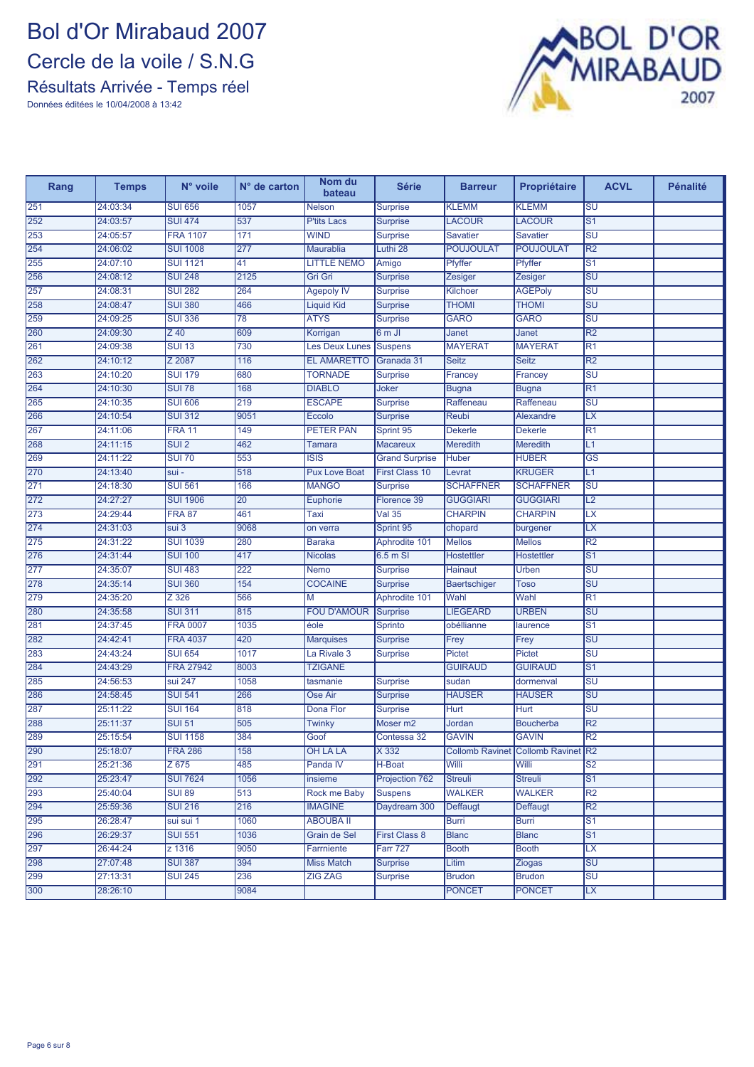### Bol d'Or Mirabaud 2007 Cercle de la voile / S.N.G Résultats Arrivée - Temps réel



| Rang | <b>Temps</b> | N° voile          | $N°$ de carton | Nom du<br>bateau      | Série                 | <b>Barreur</b>      | Propriétaire                       | <b>ACVL</b>                       | <b>Pénalité</b> |
|------|--------------|-------------------|----------------|-----------------------|-----------------------|---------------------|------------------------------------|-----------------------------------|-----------------|
| 251  | 24:03:34     | <b>SUI 656</b>    | 1057           | <b>Nelson</b>         | Surprise              | <b>KLEMM</b>        | <b>KLEMM</b>                       | SU                                |                 |
| 252  | 24:03:57     | <b>SUI 474</b>    | 537            | <b>P'tits Lacs</b>    | <b>Surprise</b>       | <b>LACOUR</b>       | <b>LACOUR</b>                      | $\overline{S1}$                   |                 |
| 253  | 24:05:57     | <b>FRA 1107</b>   | 171            | <b>WIND</b>           | <b>Surprise</b>       | <b>Savatier</b>     | <b>Savatier</b>                    | <b>SU</b>                         |                 |
| 254  | 24:06:02     | <b>SUI 1008</b>   | 277            | Maurablia             | Luthi 28              | <b>POUJOULAT</b>    | <b>POUJOULAT</b>                   | R2                                |                 |
| 255  | 24:07:10     | <b>SUI 1121</b>   | 41             | <b>LITTLE NEMO</b>    | Amigo                 | Pfyffer             | Pfyffer                            | S <sub>1</sub>                    |                 |
| 256  | 24:08:12     | <b>SUI 248</b>    | 2125           | Gri Gri               | <b>Surprise</b>       | Zesiger             | Zesiger                            | SU                                |                 |
| 257  | 24:08:31     | <b>SUI 282</b>    | 264            | <b>Agepoly IV</b>     | <b>Surprise</b>       | Kilchoer            | <b>AGEPoly</b>                     | SU                                |                 |
| 258  | 24:08:47     | <b>SUI 380</b>    | 466            | <b>Liquid Kid</b>     | <b>Surprise</b>       | <b>THOMI</b>        | <b>THOMI</b>                       | $\overline{\mathsf{SU}}$          |                 |
| 259  | 24:09:25     | <b>SUI 336</b>    | 78             | <b>ATYS</b>           | Surprise              | <b>GARO</b>         | <b>GARO</b>                        | SU                                |                 |
| 260  | 24:09:30     | $\overline{Z}$ 40 | 609            | Korrigan              | $6m$ JI               | Janet               | Janet                              | R2                                |                 |
| 261  | 24:09:38     | <b>SUI 13</b>     | 730            | <b>Les Deux Lunes</b> | <b>Suspens</b>        | <b>MAYERAT</b>      | <b>MAYERAT</b>                     | R <sub>1</sub>                    |                 |
| 262  | 24:10:12     | Z 2087            | 116            | <b>EL AMARETTO</b>    | Granada 31            | <b>Seitz</b>        | <b>Seitz</b>                       | R2                                |                 |
| 263  | 24:10:20     | <b>SUI 179</b>    | 680            | <b>TORNADE</b>        | <b>Surprise</b>       | Francey             | Francey                            | <b>SU</b>                         |                 |
| 264  | 24:10:30     | <b>SUI 78</b>     | 168            | <b>DIABLO</b>         | <b>Joker</b>          | <b>Bugna</b>        | <b>Bugna</b>                       | R <sub>1</sub>                    |                 |
| 265  | 24:10:35     | <b>SUI 606</b>    | 219            | <b>ESCAPE</b>         | <b>Surprise</b>       | Raffeneau           | Raffeneau                          | SU                                |                 |
| 266  | 24:10:54     | <b>SUI 312</b>    | 9051           | Eccolo                | <b>Surprise</b>       | <b>Reubi</b>        | Alexandre                          | <b>LX</b>                         |                 |
| 267  | 24:11:06     | FRA 11            | 149            | <b>PETER PAN</b>      | Sprint 95             | <b>Dekerle</b>      | <b>Dekerle</b>                     | R <sub>1</sub>                    |                 |
| 268  | 24:11:15     | SUI <sub>2</sub>  | 462            | Tamara                | <b>Macareux</b>       | Meredith            | Meredith                           | L1                                |                 |
| 269  | 24:11:22     | <b>SUI 70</b>     | 553            | <b>ISIS</b>           | <b>Grand Surprise</b> | <b>Huber</b>        | <b>HUBER</b>                       | GS                                |                 |
| 270  | 24:13:40     | $s$ ui -          | 518            | <b>Pux Love Boat</b>  | <b>First Class 10</b> | Levrat              | <b>KRUGER</b>                      | L1                                |                 |
| 271  | 24:18:30     | <b>SUI 561</b>    | 166            | <b>MANGO</b>          | <b>Surprise</b>       | <b>SCHAFFNER</b>    | <b>SCHAFFNER</b>                   | SU                                |                 |
| 272  | 24:27:27     | <b>SUI 1906</b>   | 20             | Euphorie              | Florence 39           | <b>GUGGIARI</b>     | <b>GUGGIARI</b>                    | L2                                |                 |
| 273  | 24:29:44     | <b>FRA 87</b>     | 461            | Taxi                  | Val 35                | <b>CHARPIN</b>      | <b>CHARPIN</b>                     | $\overline{\mathsf{L}\mathsf{X}}$ |                 |
| 274  | 24:31:03     | sui 3             | 9068           | on verra              | Sprint 95             | chopard             | burgener                           | LX                                |                 |
| 275  | 24:31:22     | <b>SUI 1039</b>   | 280            | <b>Baraka</b>         | Aphrodite 101         | <b>Mellos</b>       | <b>Mellos</b>                      | R <sub>2</sub>                    |                 |
| 276  | 24:31:44     | <b>SUI 100</b>    | 417            | <b>Nicolas</b>        | $6.5m$ SI             | <b>Hostettler</b>   | <b>Hostettler</b>                  | $\overline{S1}$                   |                 |
| 277  | 24:35:07     | <b>SUI 483</b>    | 222            | Nemo                  | <b>Surprise</b>       | <b>Hainaut</b>      | <b>Urben</b>                       | SU                                |                 |
| 278  | 24:35:14     | <b>SUI 360</b>    | 154            | <b>COCAINE</b>        | <b>Surprise</b>       | <b>Baertschiger</b> | <b>Toso</b>                        | <b>SU</b>                         |                 |
| 279  | 24:35:20     | $Z$ 326           | 566            | M                     | Aphrodite 101         | Wahl                | Wahl                               | R <sub>1</sub>                    |                 |
| 280  | 24:35:58     | <b>SUI 311</b>    | 815            | <b>FOU D'AMOUR</b>    | Surprise              | <b>LIEGEARD</b>     | <b>URBEN</b>                       | SU                                |                 |
| 281  | 24:37:45     | <b>FRA 0007</b>   | 1035           | éole                  | <b>Sprinto</b>        | obéllianne          | laurence                           | S <sub>1</sub>                    |                 |
| 282  | 24:42:41     | <b>FRA 4037</b>   | 420            | <b>Marquises</b>      | <b>Surprise</b>       | Frey                | Frey                               | $\overline{\mathsf{S}\mathsf{U}}$ |                 |
| 283  | 24:43:24     | <b>SUI 654</b>    | 1017           | La Rivale 3           | <b>Surprise</b>       | <b>Pictet</b>       | <b>Pictet</b>                      | SU                                |                 |
| 284  | 24:43:29     | <b>FRA 27942</b>  | 8003           | <b>TZIGANE</b>        |                       | <b>GUIRAUD</b>      | <b>GUIRAUD</b>                     | S <sub>1</sub>                    |                 |
| 285  | 24:56:53     | sui 247           | 1058           | tasmanie              | Surprise              | sudan               | dormenval                          | <b>SU</b>                         |                 |
| 286  | 24:58:45     | <b>SUI 541</b>    | 266            | Ose Air               | <b>Surprise</b>       | <b>HAUSER</b>       | <b>HAUSER</b>                      | <b>SU</b>                         |                 |
| 287  | 25:11:22     | <b>SUI 164</b>    | 818            | Dona Flor             | <b>Surprise</b>       | Hurt                | Hurt                               | SU                                |                 |
| 288  | 25:11:37     | <b>SUI 51</b>     | 505            | <b>Twinky</b>         | Moser <sub>m2</sub>   | Jordan              | <b>Boucherba</b>                   | R2                                |                 |
| 289  | 25:15:54     | <b>SUI 1158</b>   | 384            | Goof                  | Contessa 32           | <b>GAVIN</b>        | <b>GAVIN</b>                       | R2                                |                 |
| 290  | 25:18:07     | <b>FRA 286</b>    | 158            | OH LA LA              | X 332                 |                     | Collomb Ravinet Collomb Ravinet R2 |                                   |                 |
| 291  | 25:21:36     | Z675              | 485            | Panda IV              | H-Boat                | Willi               | Willi                              | S <sub>2</sub>                    |                 |
| 292  | 25:23:47     | <b>SUI 7624</b>   | 1056           | insieme               | Projection 762        | <b>Streuli</b>      | <b>Streuli</b>                     | $\overline{\mathsf{S}1}$          |                 |
| 293  | 25:40:04     | <b>SUI 89</b>     | 513            | Rock me Baby          | <b>Suspens</b>        | <b>WALKER</b>       | <b>WALKER</b>                      | R <sub>2</sub>                    |                 |
| 294  | 25:59:36     | <b>SUI 216</b>    | 216            | <b>IMAGINE</b>        | Daydream 300          | Deffaugt            | Deffaugt                           | R2                                |                 |
| 295  | 26:28:47     | sui sui 1         | 1060           | <b>ABOUBA II</b>      |                       | <b>Burri</b>        | Burri                              | S <sub>1</sub>                    |                 |
| 296  | 26:29:37     | <b>SUI 551</b>    | 1036           | <b>Grain de Sel</b>   | <b>First Class 8</b>  | <b>Blanc</b>        | <b>Blanc</b>                       | S <sub>1</sub>                    |                 |
| 297  | 26:44:24     | z 1316            | 9050           | <b>Farmiente</b>      | <b>Farr 727</b>       | <b>Booth</b>        | <b>Booth</b>                       | $\overline{\mathsf{L}\mathsf{X}}$ |                 |
| 298  | 27:07:48     | <b>SUI 387</b>    | 394            | <b>Miss Match</b>     | Surprise              | Litim               | Ziogas                             | SU                                |                 |
| 299  | 27:13:31     | <b>SUI 245</b>    | 236            | <b>ZIG ZAG</b>        | Surprise              | <b>Brudon</b>       | <b>Brudon</b>                      | SU                                |                 |
| 300  | 28:26:10     |                   | 9084           |                       |                       | <b>PONCET</b>       | <b>PONCET</b>                      | <b>LX</b>                         |                 |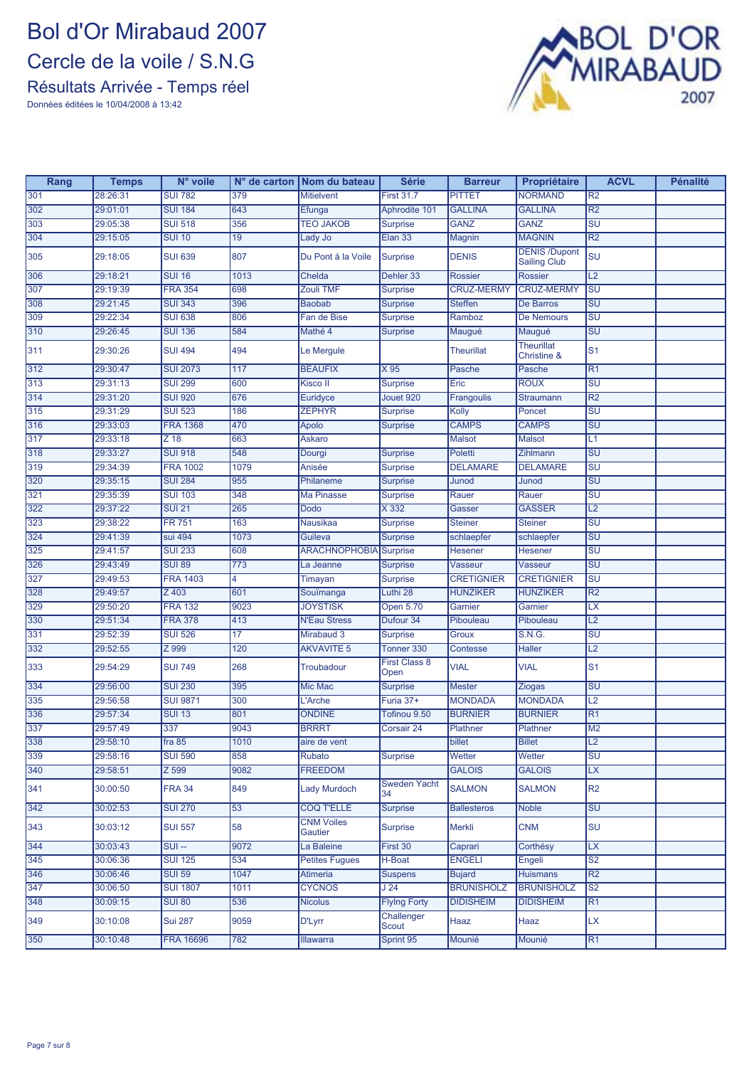### Bol d'Or Mirabaud 2007 Cercle de la voile / S.N.G Résultats Arrivée - Temps réel



| Rang | <b>Temps</b> | N° voile           |      | N° de carton   Nom du bateau | <b>Série</b>                 | <b>Barreur</b>     | Propriétaire                                | <b>ACVL</b>                        | <b>Pénalité</b> |
|------|--------------|--------------------|------|------------------------------|------------------------------|--------------------|---------------------------------------------|------------------------------------|-----------------|
| 301  | 28:26:31     | <b>SUI 782</b>     | 379  | <b>Mitielvent</b>            | <b>First 31.7</b>            | <b>PITTET</b>      | <b>NORMAND</b>                              | R2                                 |                 |
| 302  | 29:01:01     | <b>SUI 184</b>     | 643  | Efunga                       | Aphrodite 101                | <b>GALLINA</b>     | <b>GALLINA</b>                              | R <sub>2</sub>                     |                 |
| 303  | 29:05:38     | <b>SUI 518</b>     | 356  | <b>TEO JAKOB</b>             | <b>Surprise</b>              | <b>GANZ</b>        | <b>GANZ</b>                                 | <b>SU</b>                          |                 |
| 304  | 29:15:05     | <b>SUI 10</b>      | 19   | Lady Jo                      | Elan 33                      | <b>Magnin</b>      | <b>MAGNIN</b>                               | R <sub>2</sub>                     |                 |
| 305  | 29:18:05     | <b>SUI 639</b>     | 807  | Du Pont à la Voile           | <b>Surprise</b>              | <b>DENIS</b>       | <b>DENIS /Dupont</b><br><b>Sailing Club</b> | su                                 |                 |
| 306  | 29:18:21     | <b>SUI 16</b>      | 1013 | Chelda                       | Dehler 33                    | <b>Rossier</b>     | <b>Rossier</b>                              | L2                                 |                 |
| 307  | 29:19:39     | <b>FRA 354</b>     | 698  | Zouli TMF                    | <b>Surprise</b>              | <b>CRUZ-MERMY</b>  | <b>CRUZ-MERMY</b>                           | <b>SU</b>                          |                 |
| 308  | 29:21:45     | <b>SUI 343</b>     | 396  | <b>Baobab</b>                | <b>Surprise</b>              | <b>Steffen</b>     | De Barros                                   | <b>SU</b>                          |                 |
| 309  | 29:22:34     | <b>SUI 638</b>     | 806  | Fan de Bise                  | <b>Surprise</b>              | Ramboz             | <b>De Nemours</b>                           | <b>SU</b>                          |                 |
| 310  | 29:26:45     | <b>SUI 136</b>     | 584  | Mathé 4                      | <b>Surprise</b>              | Maugué             | Maugué                                      | SU                                 |                 |
| 311  | 29:30:26     | <b>SUI 494</b>     | 494  | Le Mergule                   |                              | <b>Theurillat</b>  | <b>Theurillat</b><br>Christine &            | S <sub>1</sub>                     |                 |
| 312  | 29:30:47     | <b>SUI 2073</b>    | 117  | <b>BEAUFIX</b>               | X95                          | Pasche             | Pasche                                      | R <sub>1</sub>                     |                 |
| 313  | 29:31:13     | <b>SUI 299</b>     | 600  | <b>Kisco II</b>              | <b>Surprise</b>              | Eric               | <b>ROUX</b>                                 | SU                                 |                 |
| 314  | 29:31:20     | <b>SUI 920</b>     | 676  | Euridyce                     | Jouet 920                    | Frangoulis         | <b>Straumann</b>                            | R <sub>2</sub>                     |                 |
| 315  | 29:31:29     | <b>SUI 523</b>     | 186  | <b>ZEPHYR</b>                | <b>Surprise</b>              | Kolly              | Poncet                                      | <b>SU</b>                          |                 |
| 316  | 29:33:03     | <b>FRA 1368</b>    | 470  | Apolo                        | <b>Surprise</b>              | <b>CAMPS</b>       | <b>CAMPS</b>                                | SU                                 |                 |
| 317  | 29:33:18     | $Z$ 18             | 663  | Askaro                       |                              | <b>Malsot</b>      | <b>Malsot</b>                               | L1                                 |                 |
| 318  | 29:33:27     | <b>SUI 918</b>     | 548  | Dourgi                       | <b>Surprise</b>              | Poletti            | Zihlmann                                    | <b>SU</b>                          |                 |
| 319  | 29:34:39     | <b>FRA 1002</b>    | 1079 | Anisée                       | <b>Surprise</b>              | <b>DELAMARE</b>    | <b>DELAMARE</b>                             | SU                                 |                 |
| 320  | 29:35:15     | <b>SUI 284</b>     | 955  | Philaneme                    | <b>Surprise</b>              | Junod              | Junod                                       | SU                                 |                 |
| 321  | 29:35:39     | <b>SUI 103</b>     | 348  | Ma Pinasse                   | <b>Surprise</b>              | Rauer              | Rauer                                       | $\overline{\text{SU}}$             |                 |
| 322  | 29:37:22     | <b>SUI 21</b>      | 265  | <b>Dodo</b>                  | X 332                        | Gasser             | <b>GASSER</b>                               | L2                                 |                 |
| 323  | 29:38:22     | <b>FR 751</b>      | 163  | Nausikaa                     | Surprise                     | <b>Steiner</b>     | <b>Steiner</b>                              | <b>SU</b>                          |                 |
| 324  | 29:41:39     | sui 494            | 1073 | Guileva                      | <b>Surprise</b>              | schlaepfer         | schlaepfer                                  | <b>SU</b>                          |                 |
| 325  | 29:41:57     | <b>SUI 233</b>     | 608  | ARACHNOPHOBIA Surprise       |                              | <b>Hesener</b>     | <b>Hesener</b>                              | <b>SU</b>                          |                 |
| 326  | 29:43:49     | <b>SUI 89</b>      | 773  | La Jeanne                    | <b>Surprise</b>              | Vasseur            | Vasseur                                     | SU                                 |                 |
| 327  | 29:49:53     | <b>FRA 1403</b>    | 4    | Timayan                      | <b>Surprise</b>              | <b>CRETIGNIER</b>  | <b>CRETIGNIER</b>                           | <b>SU</b>                          |                 |
| 328  | 29:49:57     | $\overline{Z}$ 403 | 601  | Souïmanga                    | Luthi 28                     | <b>HUNZIKER</b>    | <b>HUNZIKER</b>                             | R <sub>2</sub>                     |                 |
| 329  | 29:50:20     | <b>FRA 132</b>     | 9023 | <b>JOYSTISK</b>              | <b>Open 5.70</b>             | Garnier            | Garnier                                     | <b>LX</b>                          |                 |
| 330  | 29:51:34     | <b>FRA 378</b>     | 413  | <b>N'Eau Stress</b>          | Dufour 34                    | Pibouleau          | Pibouleau                                   | L2                                 |                 |
| 331  | 29:52:39     | <b>SUI 526</b>     | 17   | Mirabaud 3                   | <b>Surprise</b>              | <b>Groux</b>       | S.N.G.                                      | <b>SU</b>                          |                 |
| 332  | 29:52:55     | Z 999              | 120  | <b>AKVAVITE 5</b>            | Tonner 330                   | Contesse           | <b>Haller</b>                               | L2                                 |                 |
| 333  | 29:54:29     | <b>SUI 749</b>     | 268  | Troubadour                   | <b>First Class 8</b><br>Open | <b>VIAL</b>        | <b>VIAL</b>                                 | S <sub>1</sub>                     |                 |
| 334  | 29:56:00     | <b>SUI 230</b>     | 395  | <b>Mic Mac</b>               | <b>Surprise</b>              | <b>Mester</b>      | <b>Ziogas</b>                               | SU                                 |                 |
| 335  | 29:56:58     | <b>SUI 9871</b>    | 300  | L'Arche                      | Furia 37+                    | <b>MONDADA</b>     | <b>MONDADA</b>                              | L2                                 |                 |
| 336  | 29:57:34     | <b>SUI 13</b>      | 801  | <b>ONDINE</b>                | Tofinou 9.50                 | <b>BURNIER</b>     | <b>BURNIER</b>                              | R <sub>1</sub>                     |                 |
| 337  | 29:57:49     | 337                | 9043 | <b>BRRRT</b>                 | Corsair 24                   | Plathner           | Plathner                                    | M <sub>2</sub>                     |                 |
| 338  | 29:58:10     | fra 85             | 1010 | aire de vent                 |                              | billet             | <b>Billet</b>                               | L2                                 |                 |
| 339  | 29:58:16     | <b>SUI 590</b>     | 858  | Rubato                       | <b>Surprise</b>              | Wetter             | Wetter                                      | $\overline{\mathsf{S}\mathsf{U}}$  |                 |
| 340  | 29:58:51     | $\overline{Z}$ 599 | 9082 | <b>FREEDOM</b>               |                              | <b>GALOIS</b>      | <b>GALOIS</b>                               | $\overline{\mathsf{L} \mathsf{X}}$ |                 |
| 341  | 30:00:50     | <b>FRA 34</b>      | 849  | <b>Lady Murdoch</b>          | <b>Sweden Yacht</b><br>34    | <b>SALMON</b>      | <b>SALMON</b>                               | R2                                 |                 |
| 342  | 30:02:53     | <b>SUI 270</b>     | 53   | <b>COQ T'ELLE</b>            | <b>Surprise</b>              | <b>Ballesteros</b> | <b>Noble</b>                                | SU                                 |                 |
| 343  | 30:03:12     | <b>SUI 557</b>     | 58   | <b>CNM Voiles</b><br>Gautier | <b>Surprise</b>              | Merkli             | <b>CNM</b>                                  | <b>SU</b>                          |                 |
| 344  | 30:03:43     | $SUI -$            | 9072 | La Baleine                   | First 30                     | Caprari            | Corthésy                                    | <b>LX</b>                          |                 |
| 345  | 30:06:36     | <b>SUI 125</b>     | 534  | <b>Petites Fugues</b>        | H-Boat                       | <b>ENGELI</b>      | Engeli                                      | S <sub>2</sub>                     |                 |
| 346  | 30:06:46     | <b>SUI 59</b>      | 1047 | Atimeria                     | <b>Suspens</b>               | <b>Bujard</b>      | <b>Huismans</b>                             | R2                                 |                 |
| 347  | 30:06:50     | <b>SUI 1807</b>    | 1011 | <b>CYCNOS</b>                | J <sub>24</sub>              | <b>BRUNISHOLZ</b>  | <b>BRUNISHOLZ</b>                           | $\overline{\text{S2}}$             |                 |
| 348  | 30:09:15     | <b>SUI 80</b>      | 536  | <b>Nicolus</b>               | <b>Flying Forty</b>          | <b>DIDISHEIM</b>   | <b>DIDISHEIM</b>                            | R1                                 |                 |
| 349  | 30:10:08     | <b>Sui 287</b>     | 9059 | D'Lyrr                       | Challenger<br>Scout          | Haaz               | Haaz                                        | <b>LX</b>                          |                 |
| 350  | 30:10:48     | <b>FRA 16696</b>   | 782  | <b>Illawarra</b>             | Sprint 95                    | Mounié             | Mounié                                      | R <sub>1</sub>                     |                 |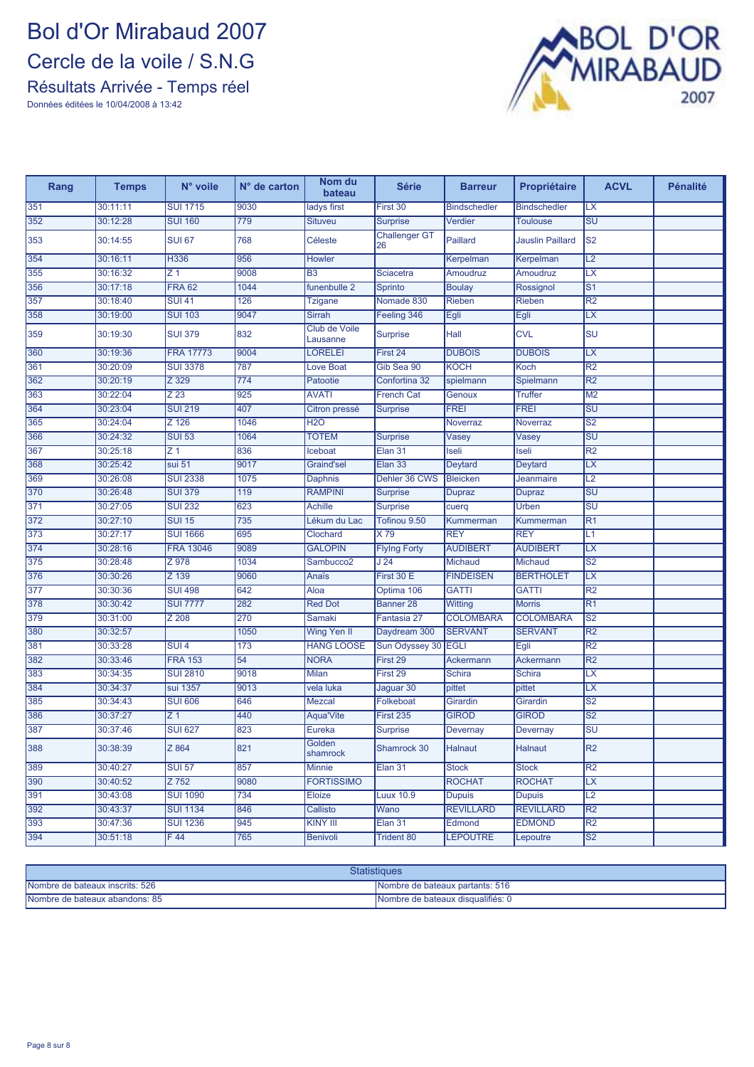Résultats Arrivée - Temps réel



| Rang | <b>Temps</b> | N° voile           | $N°$ de carton  | Nom du<br>bateau                 | <b>Série</b>               | <b>Barreur</b>      | Propriétaire            | <b>ACVL</b>                       | <b>Pénalité</b> |
|------|--------------|--------------------|-----------------|----------------------------------|----------------------------|---------------------|-------------------------|-----------------------------------|-----------------|
| 351  | 30:11:11     | <b>SUI 1715</b>    | 9030            | ladys first                      | First 30                   | <b>Bindschedler</b> | <b>Bindschedler</b>     | LX                                |                 |
| 352  | 30:12:28     | <b>SUI 160</b>     | 779             | <b>Situveu</b>                   | <b>Surprise</b>            | Verdier             | <b>Toulouse</b>         | $\overline{\mathsf{SU}}$          |                 |
| 353  | 30:14:55     | <b>SUI 67</b>      | 768             | Céleste                          | <b>Challenger GT</b><br>26 | Paillard            | <b>Jauslin Paillard</b> | <b>S2</b>                         |                 |
| 354  | 30:16:11     | H336               | 956             | Howler                           |                            | Kerpelman           | Kerpelman               | L <sub>2</sub>                    |                 |
| 355  | 30:16:32     | Z <sub>1</sub>     | 9008            | B <sub>3</sub>                   | <b>Sciacetra</b>           | Amoudruz            | Amoudruz                | LX                                |                 |
| 356  | 30:17:18     | <b>FRA 62</b>      | 1044            | funenbulle 2                     | Sprinto                    | <b>Boulay</b>       | Rossignol               | S <sub>1</sub>                    |                 |
| 357  | 30:18:40     | <b>SUI 41</b>      | 126             | <b>Tzigane</b>                   | Nomade 830                 | <b>Rieben</b>       | <b>Rieben</b>           | R2                                |                 |
| 358  | 30:19:00     | <b>SUI 103</b>     | 9047            | <b>Sirrah</b>                    | Feeling 346                | Egli                | Egli                    | LX                                |                 |
| 359  | 30:19:30     | <b>SUI 379</b>     | 832             | <b>Club de Voile</b><br>Lausanne | <b>Surprise</b>            | Hall                | <b>CVL</b>              | SU                                |                 |
| 360  | 30:19:36     | <b>FRA 17773</b>   | 9004            | <b>LORELEI</b>                   | First 24                   | <b>DUBOIS</b>       | <b>DUBOIS</b>           | LX                                |                 |
| 361  | 30:20:09     | <b>SUI 3378</b>    | 787             | Love Boat                        | Gib Sea 90                 | <b>KOCH</b>         | Koch                    | R <sub>2</sub>                    |                 |
| 362  | 30:20:19     | Z 329              | 774             | Patootie                         | Confortina 32              | spielmann           | Spielmann               | $\overline{\mathsf{R2}}$          |                 |
| 363  | 30:22:04     | Z 23               | 925             | <b>AVATI</b>                     | <b>French Cat</b>          | Genoux              | <b>Truffer</b>          | M <sub>2</sub>                    |                 |
| 364  | 30:23:04     | <b>SUI 219</b>     | 407             | Citron pressé                    | <b>Surprise</b>            | <b>FREI</b>         | <b>FREI</b>             | $\overline{\mathsf{SU}}$          |                 |
| 365  | 30:24:04     | $\overline{Z}$ 126 | 1046            | H2O                              |                            | Noverraz            | <b>Noverraz</b>         | $\overline{\mathsf{S2}}$          |                 |
| 366  | 30:24:32     | <b>SUI 53</b>      | 1064            | <b>TOTEM</b>                     | <b>Surprise</b>            | Vasey               | Vasey                   | SU                                |                 |
| 367  | 30:25:18     | Z <sub>1</sub>     | 836             | Iceboat                          | Elan 31                    | Iseli               | Iseli                   | R <sub>2</sub>                    |                 |
| 368  | 30:25:42     | sui 51             | 9017            | <b>Graind'sel</b>                | Elan 33                    | <b>Deytard</b>      | Deytard                 | LX                                |                 |
| 369  | 30:26:08     | <b>SUI 2338</b>    | 1075            | Daphnis                          | Dehler 36 CWS              | <b>Bleicken</b>     | <b>Jeanmaire</b>        | L <sub>2</sub>                    |                 |
| 370  | 30:26:48     | <b>SUI 379</b>     | 119             | <b>RAMPINI</b>                   | <b>Surprise</b>            | <b>Dupraz</b>       | <b>Dupraz</b>           | $\overline{\mathsf{SU}}$          |                 |
| 371  | 30:27:05     | <b>SUI 232</b>     | 623             | <b>Achille</b>                   | <b>Surprise</b>            | cuerq               | <b>Urben</b>            | SU                                |                 |
| 372  | 30:27:10     | <b>SUI 15</b>      | 735             | Lékum du Lac                     | Tofinou 9.50               | Kummerman           | Kummerman               | R <sub>1</sub>                    |                 |
| 373  | 30:27:17     | <b>SUI 1666</b>    | 695             | Clochard                         | X79                        | <b>REY</b>          | <b>REY</b>              | L1                                |                 |
| 374  | 30:28:16     | <b>FRA 13046</b>   | 9089            | <b>GALOPIN</b>                   | <b>Flying Forty</b>        | <b>AUDIBERT</b>     | <b>AUDIBERT</b>         | $\overline{\mathsf{L}\mathsf{X}}$ |                 |
| 375  | 30:28:48     | Z 978              | 1034            | Sambucco2                        | J24                        | Michaud             | Michaud                 | S <sub>2</sub>                    |                 |
| 376  | 30:30:26     | $\overline{Z}$ 139 | 9060            | Anaïs                            | First 30 E                 | <b>FINDEISEN</b>    | <b>BERTHOLET</b>        | LX                                |                 |
| 377  | 30:30:36     | <b>SUI 498</b>     | 642             | Aloa                             | Optima 106                 | <b>GATTI</b>        | <b>GATTI</b>            | $\overline{\mathsf{R2}}$          |                 |
| 378  | 30:30:42     | <b>SUI 7777</b>    | 282             | <b>Red Dot</b>                   | Banner 28                  | Witting             | <b>Morris</b>           | R <sub>1</sub>                    |                 |
| 379  | 30:31:00     | Z 208              | 270             | Samaki                           | Fantasia 27                | <b>COLOMBARA</b>    | <b>COLOMBARA</b>        | S <sub>2</sub>                    |                 |
| 380  | 30:32:57     |                    | 1050            | Wing Yen II                      | Daydream 300               | <b>SERVANT</b>      | <b>SERVANT</b>          | $\overline{\mathsf{R2}}$          |                 |
| 381  | 30:33:28     | SUI <sub>4</sub>   | 173             | <b>HANG LOOSE</b>                | Sun Odyssey 30             | <b>EGLI</b>         | Egli                    | R <sub>2</sub>                    |                 |
| 382  | 30:33:46     | <b>FRA 153</b>     | $\overline{54}$ | <b>NORA</b>                      | First 29                   | Ackermann           | Ackermann               | R <sub>2</sub>                    |                 |
| 383  | 30:34:35     | <b>SUI 2810</b>    | 9018            | Milan                            | First 29                   | <b>Schira</b>       | <b>Schira</b>           | LX                                |                 |
| 384  | 30:34:37     | sui 1357           | 9013            | vela luka                        | Jaguar 30                  | pittet              | pittet                  | LX                                |                 |
| 385  | 30:34:43     | <b>SUI 606</b>     | 646             | Mezcal                           | <b>Folkeboat</b>           | Girardin            | Girardin                | S2                                |                 |
| 386  | 30:37:27     | Z <sub>1</sub>     | 440             | <b>Aqua'Vite</b>                 | First 235                  | <b>GIROD</b>        | <b>GIROD</b>            | $\overline{\text{S2}}$            |                 |
| 387  | 30:37:46     | <b>SUI 627</b>     | 823             | Eureka                           | <b>Surprise</b>            | <b>Devernay</b>     | Devernay                | SU                                |                 |
| 388  | 30:38:39     | Z 864              | 821             | Golden<br>shamrock               | Shamrock 30                | <b>Halnaut</b>      | Halnaut                 | IR2                               |                 |
| 389  | 30:40:27     | <b>SUI 57</b>      | 857             | Minnie                           | Elan 31                    | <b>Stock</b>        | <b>Stock</b>            | R <sub>2</sub>                    |                 |
| 390  | 30:40:52     | $\overline{Z}$ 752 | 9080            | <b>FORTISSIMO</b>                |                            | <b>ROCHAT</b>       | <b>ROCHAT</b>           | LX                                |                 |
| 391  | 30:43:08     | <b>SUI 1090</b>    | 734             | Eloize                           | <b>Luux 10.9</b>           | <b>Dupuis</b>       | <b>Dupuis</b>           | L <sub>2</sub>                    |                 |
| 392  | 30:43:37     | <b>SUI 1134</b>    | 846             | Callisto                         | Wano                       | <b>REVILLARD</b>    | <b>REVILLARD</b>        | R <sub>2</sub>                    |                 |
| 393  | 30:47:36     | <b>SUI 1236</b>    | 945             | <b>KINY III</b>                  | Elan 31                    | Edmond              | <b>EDMOND</b>           | R <sub>2</sub>                    |                 |
| 394  | 30:51:18     | F44                | 765             | Benivoli                         | <b>Trident 80</b>          | <b>LEPOUTRE</b>     | Lepoutre                | S <sub>2</sub>                    |                 |

| Statistiques                    |                                   |  |  |  |  |  |
|---------------------------------|-----------------------------------|--|--|--|--|--|
| Nombre de bateaux inscrits: 526 | Nombre de bateaux partants: 516   |  |  |  |  |  |
| Nombre de bateaux abandons: 85  | Nombre de bateaux disqualifiés: 0 |  |  |  |  |  |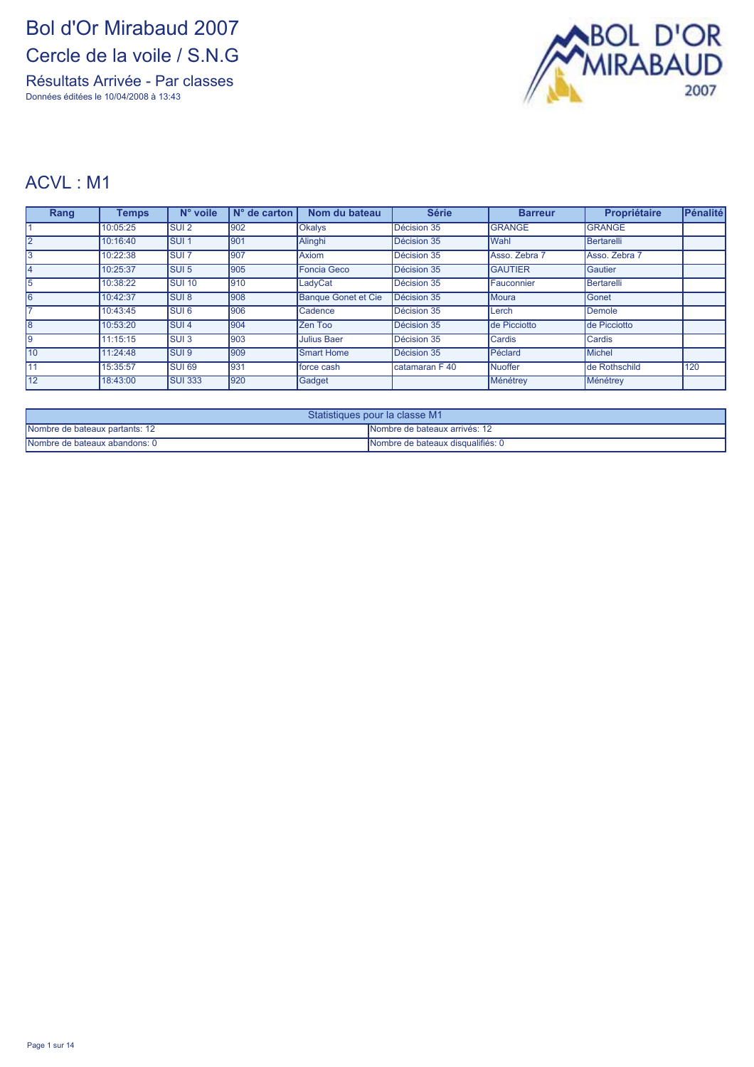Résultats Arrivée - Par classes Données éditées le 10/04/2008 à 13:43



#### ACVL : M1

| Rang            | Temps    | N° voile         | $N°$ de carton | Nom du bateau              | <b>Série</b>   | <b>Barreur</b> | Propriétaire  | Pénalité |
|-----------------|----------|------------------|----------------|----------------------------|----------------|----------------|---------------|----------|
|                 | 10:05:25 | <b>SUI2</b>      | 902            | <b>Okalys</b>              | Décision 35    | <b>GRANGE</b>  | <b>GRANGE</b> |          |
| l2              | 10:16:40 | <b>SUI1</b>      | 901            | Alinghi                    | Décision 35    | Wahl           | Bertarelli    |          |
| l3              | 10:22:38 | <b>SUI 7</b>     | 907            | Axiom                      | Décision 35    | Asso, Zebra 7  | Asso, Zebra 7 |          |
| 14              | 10:25:37 | <b>SUI 5</b>     | 905            | Foncia Geco                | Décision 35    | <b>GAUTIER</b> | Gautier       |          |
| l5              | 10:38:22 | <b>SUI 10</b>    | 910            | LadyCat                    | Décision 35    | Fauconnier     | Bertarelli    |          |
| l6              | 10:42:37 | <b>SUI 8</b>     | 908            | <b>Banque Gonet et Cie</b> | Décision 35    | <b>Moura</b>   | Gonet         |          |
|                 | 10:43:45 | SUI <sub>6</sub> | 906            | Cadence                    | Décision 35    | Lerch          | Demole        |          |
| 18              | 10:53:20 | <b>SUI4</b>      | 904            | Zen Too                    | Décision 35    | de Picciotto   | de Picciotto  |          |
| l9              | 11:15:15 | <b>SUI3</b>      | 903            | <b>Julius Baer</b>         | Décision 35    | Cardis         | <b>Cardis</b> |          |
| 110             | 11:24:48 | SUI <sub>9</sub> | 909            | <b>Smart Home</b>          | Décision 35    | Péclard        | Michel        |          |
| <b>111</b>      | 15:35:57 | <b>SUI 69</b>    | 931            | force cash                 | catamaran F 40 | <b>Nuoffer</b> | de Rothschild | 120      |
| $\overline{12}$ | 18:43:00 | <b>SUI 333</b>   | 920            | Gadget                     |                | Ménétrey       | Ménétrey      |          |

| Statistiques pour la classe M1                                  |                                    |  |  |  |  |
|-----------------------------------------------------------------|------------------------------------|--|--|--|--|
| Nombre de bateaux partants: 12<br>Nombre de bateaux arrivés: 12 |                                    |  |  |  |  |
| Nombre de bateaux abandons: 0                                   | INombre de bateaux disqualifiés: 0 |  |  |  |  |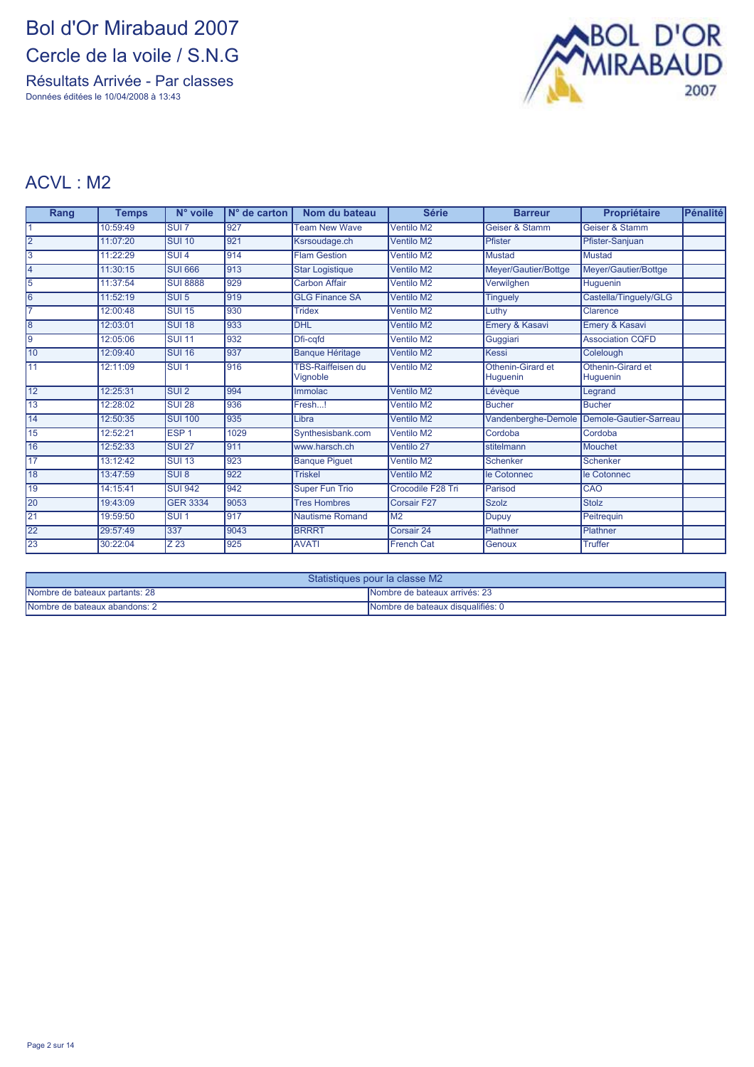Résultats Arrivée - Par classes Données éditées le 10/04/2008 à 13:43



#### ACVL : M2

| Rang            | <b>Temps</b> | N° voile          | $No$ de carton | Nom du bateau                        | <b>Série</b>      | <b>Barreur</b>                | Propriétaire                  | Pénalité |
|-----------------|--------------|-------------------|----------------|--------------------------------------|-------------------|-------------------------------|-------------------------------|----------|
| 11              | 10:59:49     | SUI               | 927            | <b>Team New Wave</b>                 | Ventilo M2        | Geiser & Stamm                | Geiser & Stamm                |          |
| 12              | 11:07:20     | <b>SUI 10</b>     | 921            | Ksrsoudage.ch                        | Ventilo M2        | Pfister                       | Pfister-Sanjuan               |          |
| 3               | 11:22:29     | SUI <sub>4</sub>  | 914            | <b>Flam Gestion</b>                  | Ventilo M2        | <b>Mustad</b>                 | Mustad                        |          |
| l4              | 11:30:15     | <b>SUI 666</b>    | 913            | <b>Star Logistique</b>               | Ventilo M2        | Meyer/Gautier/Bottge          | Meyer/Gautier/Bottge          |          |
| 5               | 11:37:54     | <b>SUI 8888</b>   | 929            | <b>Carbon Affair</b>                 | <b>Ventilo M2</b> | Verwilghen                    | Huguenin                      |          |
| l6              | 11:52:19     | $SUI$ 5           | 919            | <b>GLG Finance SA</b>                | Ventilo M2        | <b>Tinguely</b>               | Castella/Tinguely/GLG         |          |
| 17              | 12:00:48     | <b>SUI 15</b>     | 930            | <b>Tridex</b>                        | <b>Ventilo M2</b> | Luthy                         | Clarence                      |          |
| l8              | 12:03:01     | <b>SUI 18</b>     | 933            | <b>DHL</b>                           | Ventilo M2        | Emery & Kasavi                | Emery & Kasavi                |          |
| l9              | 12:05:06     | <b>SUI 11</b>     | 932            | Dfi-cafd                             | <b>Ventilo M2</b> | Guggiari                      | <b>Association CQFD</b>       |          |
| 10              | 12:09:40     | <b>SUI 16</b>     | 937            | <b>Banque Héritage</b>               | Ventilo M2        | <b>Kessi</b>                  | Colelough                     |          |
| 11              | 12:11:09     | SUI <sub>1</sub>  | 916            | <b>FBS-Raiffeisen du</b><br>Vignoble | Ventilo M2        | Othenin-Girard et<br>Huguenin | Othenin-Girard et<br>Huguenin |          |
| $\overline{12}$ | 12:25:31     | SUI <sub>2</sub>  | 994            | Immolac                              | Ventilo M2        | Lévèque                       | Legrand                       |          |
| 13              | 12:28:02     | <b>SUI 28</b>     | 936            | Fresh!                               | Ventilo M2        | <b>Bucher</b>                 | <b>Bucher</b>                 |          |
| $\overline{14}$ | 12:50:35     | <b>SUI 100</b>    | 935            | Libra                                | <b>Ventilo M2</b> | Vandenberghe-Demole           | Demole-Gautier-Sarreau        |          |
| 15              | 12:52:21     | ESP <sub>1</sub>  | 1029           | Synthesisbank.com                    | Ventilo M2        | Cordoba                       | Cordoba                       |          |
| 16              | 12:52:33     | <b>SUI 27</b>     | 911            | www.harsch.ch                        | Ventilo 27        | stitelmann                    | Mouchet                       |          |
| $\overline{17}$ | 13:12:42     | <b>SUI 13</b>     | 923            | <b>Banque Piquet</b>                 | Ventilo M2        | Schenker                      | Schenker                      |          |
| 18              | 13:47:59     | SUI <sub>8</sub>  | 922            | <b>Triskel</b>                       | Ventilo M2        | le Cotonnec                   | le Cotonnec                   |          |
| 19              | 14:15:41     | <b>SUI 942</b>    | 942            | <b>Super Fun Trio</b>                | Crocodile F28 Tri | Parisod                       | CAO                           |          |
| 20              | 19:43:09     | <b>GER 3334</b>   | 9053           | <b>Tres Hombres</b>                  | Corsair F27       | <b>Szolz</b>                  | <b>Stolz</b>                  |          |
| 21              | 19:59:50     | SUI <sub>1</sub>  | 917            | <b>Nautisme Romand</b>               | M <sub>2</sub>    | <b>Dupuy</b>                  | Peitreguin                    |          |
| 22              | 29:57:49     | 337               | 9043           | <b>BRRRT</b>                         | Corsair 24        | Plathner                      | Plathner                      |          |
| 23              | 30:22:04     | $\overline{Z}$ 23 | 925            | <b>AVATI</b>                         | <b>French Cat</b> | Genoux                        | <b>Truffer</b>                |          |

| Statistiques pour la classe M2 |                                    |  |  |  |
|--------------------------------|------------------------------------|--|--|--|
| Nombre de bateaux partants: 28 | INombre de bateaux arrivés: 23     |  |  |  |
| Nombre de bateaux abandons: 2  | INombre de bateaux disqualifiés: 0 |  |  |  |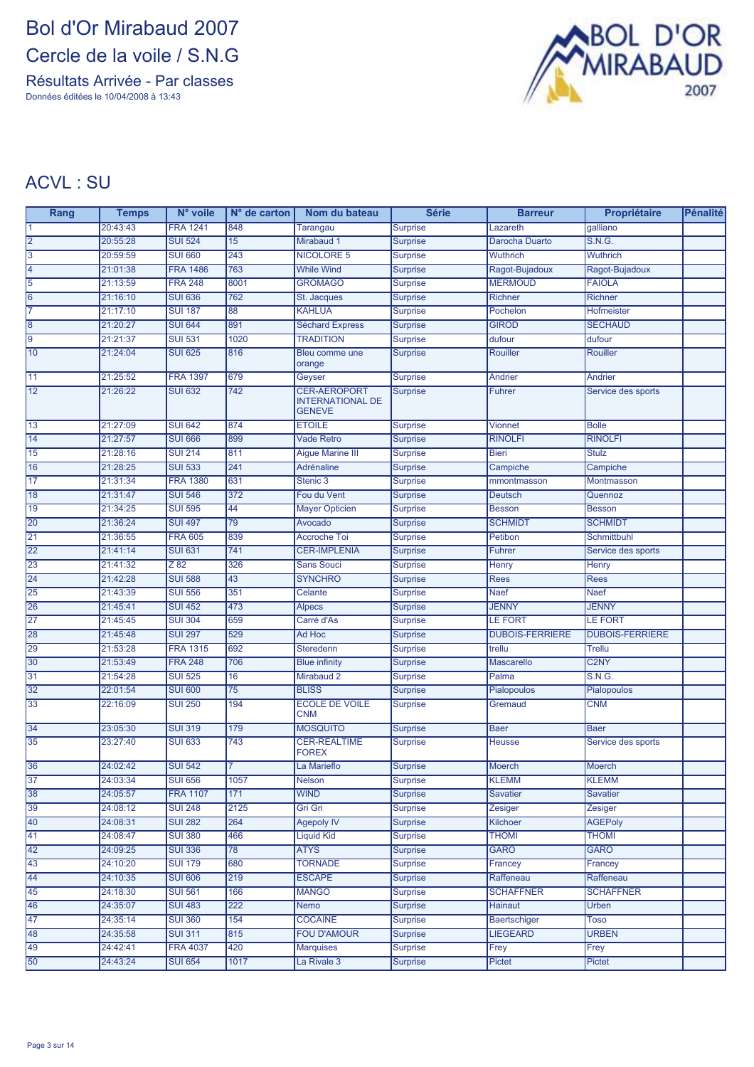Résultats Arrivée - Par classes Données éditées le 10/04/2008 à 13:43



#### ACVL : SU

| Rang           | <b>Temps</b> | N° voile         | $N°$ de carton   | Nom du bateau                                                   | <b>Série</b>    | <b>Barreur</b>         | Propriétaire           | <b>Pénalité</b> |
|----------------|--------------|------------------|------------------|-----------------------------------------------------------------|-----------------|------------------------|------------------------|-----------------|
|                | 20:43:43     | <b>FRA 1241</b>  | 848              | Tarangau                                                        | <b>Surprise</b> | _azareth               | qalliano               |                 |
| 2              | 20:55:28     | <b>SUI 524</b>   | 15               | Mirabaud 1                                                      | <b>Surprise</b> | Darocha Duarto         | S.N.G.                 |                 |
| $\overline{3}$ | 20:59:59     | <b>SUI 660</b>   | 243              | <b>NICOLORE 5</b>                                               | <b>Surprise</b> | <b>Wuthrich</b>        | <b>Wuthrich</b>        |                 |
| 4              | 21:01:38     | <b>FRA 1486</b>  | 763              | <b>While Wind</b>                                               | <b>Surprise</b> | Ragot-Bujadoux         | Ragot-Bujadoux         |                 |
| 5              | 21:13:59     | <b>FRA 248</b>   | 8001             | <b>GROMAGO</b>                                                  | <b>Surprise</b> | <b>MERMOUD</b>         | <b>FAIOLA</b>          |                 |
| 6              | 21:16:10     | <b>SUI 636</b>   | 762              | St. Jacques                                                     | <b>Surprise</b> | <b>Richner</b>         | Richner                |                 |
| 17             | 21:17:10     | <b>SUI 187</b>   | 88               | <b>KAHLUA</b>                                                   | <b>Surprise</b> | Pochelon               | Hofmeister             |                 |
| 8              | 21:20:27     | <b>SUI 644</b>   | 891              | <b>Séchard Express</b>                                          | <b>Surprise</b> | <b>GIROD</b>           | <b>SECHAUD</b>         |                 |
| $\overline{9}$ | 21:21:37     | <b>SUI 531</b>   | 1020             | <b>TRADITION</b>                                                | <b>Surprise</b> | dufour                 | dufour                 |                 |
| 10             | 21:24:04     | <b>SUI 625</b>   | 816              | Bleu comme une<br>orange                                        | <b>Surprise</b> | <b>Rouiller</b>        | Rouiller               |                 |
| 11             | 21:25:52     | <b>FRA 1397</b>  | 679              | Geyser                                                          | <b>Surprise</b> | Andrier                | Andrier                |                 |
| 12             | 21:26:22     | <b>SUI 632</b>   | 742              | <b>CER-AEROPORT</b><br><b>INTERNATIONAL DE</b><br><b>GENEVE</b> | <b>Surprise</b> | Fuhrer                 | Service des sports     |                 |
| 13             | 21:27:09     | <b>SUI 642</b>   | 874              | <b>ETOILE</b>                                                   | <b>Surprise</b> | <b>Vionnet</b>         | <b>Bolle</b>           |                 |
| 14             | 21:27:57     | <b>SUI 666</b>   | 899              | <b>Vade Retro</b>                                               | <b>Surprise</b> | <b>RINOLFI</b>         | <b>RINOLFI</b>         |                 |
| 15             | 21:28:16     | <b>SUI 214</b>   | 811              | <b>Aigue Marine III</b>                                         | <b>Surprise</b> | <b>Bieri</b>           | <b>Stulz</b>           |                 |
| 16             | 21:28:25     | <b>SUI 533</b>   | 241              | <b>Adrénaline</b>                                               | <b>Surprise</b> | Campiche               | Campiche               |                 |
| 17             | 21:31:34     | <b>FRA 1380</b>  | 631              | Stenic 3                                                        | <b>Surprise</b> | mmontmasson            | Montmasson             |                 |
| 18             | 21:31:47     | <b>SUI 546</b>   | 372              | Fou du Vent                                                     | <b>Surprise</b> | <b>Deutsch</b>         | Quennoz                |                 |
| 19             | 21:34:25     | <b>SUI 595</b>   | 44               | <b>Mayer Opticien</b>                                           | <b>Surprise</b> | <b>Besson</b>          | <b>Besson</b>          |                 |
| 20             | 21:36:24     | <b>SUI 497</b>   | $\overline{79}$  | Avocado                                                         | <b>Surprise</b> | <b>SCHMIDT</b>         | <b>SCHMIDT</b>         |                 |
| 21             | 21:36:55     | <b>FRA 605</b>   | 839              | <b>Accroche Toi</b>                                             | <b>Surprise</b> | Petibon                | Schmittbuhl            |                 |
| 22             | 21:41:14     | <b>SUI 631</b>   | 741              | <b>CER-IMPLENIA</b>                                             | <b>Surprise</b> | Fuhrer                 | Service des sports     |                 |
| 23             | 21:41:32     | $\overline{Z82}$ | 326              | <b>Sans Souci</b>                                               | <b>Surprise</b> | Henry                  | Henry                  |                 |
| 24             | 21:42:28     | <b>SUI 588</b>   | 43               | <b>SYNCHRO</b>                                                  | <b>Surprise</b> | Rees                   | <b>Rees</b>            |                 |
| 25             | 21:43:39     | <b>SUI 556</b>   | 351              | Celante                                                         | <b>Surprise</b> | <b>Naef</b>            | Naef                   |                 |
| 26             | 21:45:41     | <b>SUI 452</b>   | 473              | <b>Alpecs</b>                                                   | <b>Surprise</b> | <b>JENNY</b>           | <b>JENNY</b>           |                 |
| 27             | 21:45:45     | <b>SUI 304</b>   | 659              | Carré d'As                                                      | <b>Surprise</b> | <b>LE FORT</b>         | <b>LE FORT</b>         |                 |
| 28             | 21:45:48     | <b>SUI 297</b>   | 529              | Ad Hoc                                                          | <b>Surprise</b> | <b>DUBOIS-FERRIERE</b> | <b>DUBOIS-FERRIERE</b> |                 |
| 29             | 21:53:28     | <b>FRA 1315</b>  | 692              | <b>Steredenn</b>                                                | <b>Surprise</b> | trellu                 | <b>Trellu</b>          |                 |
| 30             | 21:53:49     | <b>FRA 248</b>   | 706              | <b>Blue infinity</b>                                            | <b>Surprise</b> | <b>Mascarello</b>      | C <sub>2</sub> NY      |                 |
| 31             | 21:54:28     | <b>SUI 525</b>   | 16               | Mirabaud 2                                                      | <b>Surprise</b> | Palma                  | <b>S.N.G.</b>          |                 |
| 32             | 22:01:54     | <b>SUI 600</b>   | $\overline{75}$  | <b>BLISS</b>                                                    | <b>Surprise</b> | <b>Pialopoulos</b>     | Pialopoulos            |                 |
| 33             | 22:16:09     | <b>SUI 250</b>   | 194              | <b>ECOLE DE VOILE</b><br><b>CNM</b>                             | <b>Surprise</b> | Gremaud                | <b>CNM</b>             |                 |
| 34             | 23:05:30     | <b>SUI 319</b>   | 179              | <b>MOSQUITO</b>                                                 | <b>Surprise</b> | <b>Baer</b>            | <b>Baer</b>            |                 |
| 35             | 23:27:40     | <b>SUI 633</b>   | 743              | <b>CER-REALTIME</b><br><b>FOREX</b>                             | <b>Surprise</b> | Heusse                 | Service des sports     |                 |
| 36             | 24:02:42     | <b>SUI 542</b>   |                  | La Marieflo                                                     | <b>Surprise</b> | <b>Moerch</b>          | <b>Moerch</b>          |                 |
| 37             | 24:03:34     | SUI 656          | 1057             | <b>Nelson</b>                                                   | Surprise        | <b>KLEMM</b>           | <b>KLEMM</b>           |                 |
| 38             | 24:05:57     | <b>FRA 1107</b>  | 171              | <b>WIND</b>                                                     | <b>Surprise</b> | <b>Savatier</b>        | <b>Savatier</b>        |                 |
| 39             | 24:08:12     | <b>SUI 248</b>   | 2125             | Gri Gri                                                         | <b>Surprise</b> | Zesiger                | Zesiger                |                 |
| 40             | 24:08:31     | <b>SUI 282</b>   | 264              | <b>Agepoly IV</b>                                               | <b>Surprise</b> | Kilchoer               | <b>AGEPoly</b>         |                 |
| 41             | 24:08:47     | <b>SUI 380</b>   | 466              | <b>Liquid Kid</b>                                               | <b>Surprise</b> | <b>THOMI</b>           | <b>THOMI</b>           |                 |
| 42             | 24:09:25     | <b>SUI 336</b>   | 78               | <b>ATYS</b>                                                     | <b>Surprise</b> | <b>GARO</b>            | <b>GARO</b>            |                 |
| 43             | 24:10:20     | <b>SUI 179</b>   | 680              | <b>TORNADE</b>                                                  | <b>Surprise</b> | Francey                | Francey                |                 |
| 44             | 24:10:35     | <b>SUI 606</b>   | 219              | <b>ESCAPE</b>                                                   | <b>Surprise</b> | Raffeneau              | Raffeneau              |                 |
| 45             | 24:18:30     | <b>SUI 561</b>   | 166              | <b>MANGO</b>                                                    | <b>Surprise</b> | <b>SCHAFFNER</b>       | <b>SCHAFFNER</b>       |                 |
| 46             | 24:35:07     | <b>SUI 483</b>   | $\overline{222}$ | Nemo                                                            | <b>Surprise</b> | <b>Hainaut</b>         | <b>Urben</b>           |                 |
| 47             | 24:35:14     | <b>SUI 360</b>   | 154              | <b>COCAINE</b>                                                  | <b>Surprise</b> | <b>Baertschiger</b>    | Toso                   |                 |
| 48             | 24:35:58     | <b>SUI 311</b>   | 815              | <b>FOU D'AMOUR</b>                                              | <b>Surprise</b> | <b>LIEGEARD</b>        | <b>URBEN</b>           |                 |
| 49             | 24:42:41     | <b>FRA 4037</b>  | 420              | <b>Marquises</b>                                                | <b>Surprise</b> | Frey                   | Frey                   |                 |
| 50             | 24:43:24     | <b>SUI 654</b>   | 1017             | La Rivale 3                                                     | <b>Surprise</b> | Pictet                 | Pictet                 |                 |
|                |              |                  |                  |                                                                 |                 |                        |                        |                 |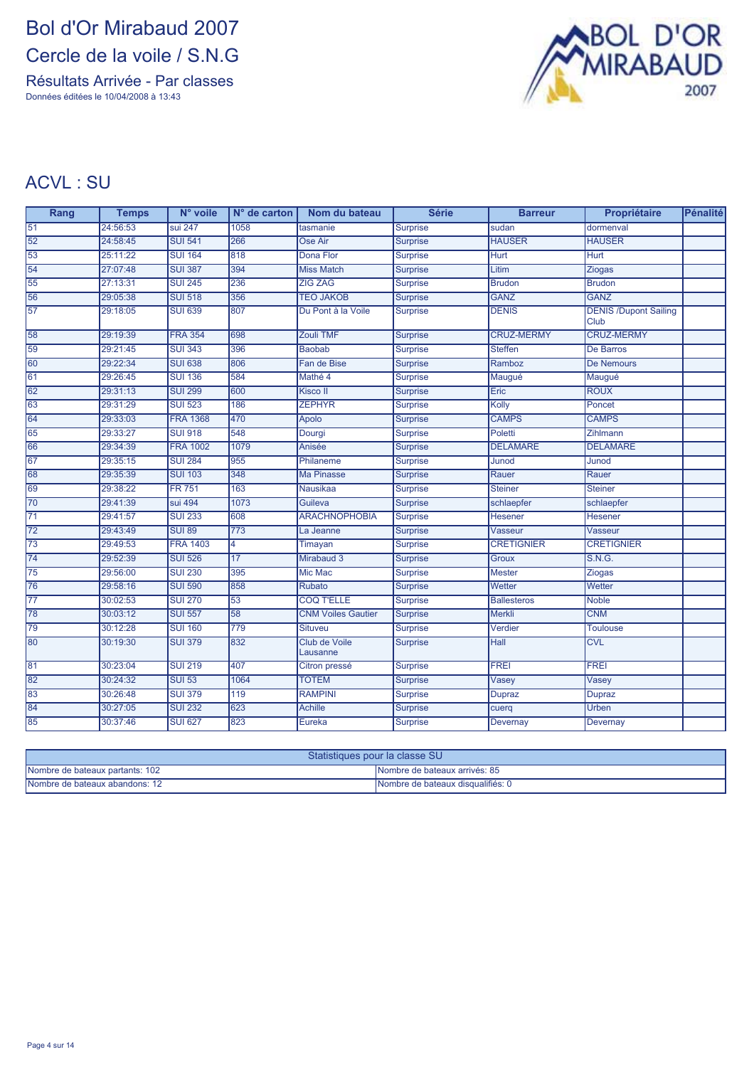Résultats Arrivée - Par classes Données éditées le 10/04/2008 à 13:43



#### ACVL : SU

| Rang | <b>Temps</b> | N° voile        | $N^{\circ}$ de carton | Nom du bateau             | <b>Série</b>    | <b>Barreur</b>     | Propriétaire                         | Pénalité |
|------|--------------|-----------------|-----------------------|---------------------------|-----------------|--------------------|--------------------------------------|----------|
| 51   | 24:56:53     | sui 247         | 1058                  | tasmanie                  | Surprise        | sudan              | dormenval                            |          |
| 52   | 24:58:45     | <b>SUI 541</b>  | 266                   | Ose Air                   | <b>Surprise</b> | <b>HAUSER</b>      | <b>HAUSER</b>                        |          |
| 53   | 25:11:22     | <b>SUI 164</b>  | 818                   | Dona Flor                 | <b>Surprise</b> | <b>Hurt</b>        | <b>Hurt</b>                          |          |
| 54   | 27:07:48     | <b>SUI 387</b>  | 394                   | <b>Miss Match</b>         | <b>Surprise</b> | Litim              | Ziogas                               |          |
| 55   | 27:13:31     | <b>SUI 245</b>  | 236                   | <b>ZIG ZAG</b>            | <b>Surprise</b> | <b>Brudon</b>      | <b>Brudon</b>                        |          |
| 56   | 29:05:38     | <b>SUI 518</b>  | 356                   | <b>TEO JAKOB</b>          | <b>Surprise</b> | <b>GANZ</b>        | <b>GANZ</b>                          |          |
| 57   | 29:18:05     | <b>SUI 639</b>  | 807                   | Du Pont à la Voile        | <b>Surprise</b> | <b>DENIS</b>       | <b>DENIS /Dupont Sailing</b><br>Club |          |
| 58   | 29:19:39     | <b>FRA 354</b>  | 698                   | Zouli TMF                 | <b>Surprise</b> | <b>CRUZ-MERMY</b>  | <b>CRUZ-MERMY</b>                    |          |
| 59   | 29:21:45     | <b>SUI 343</b>  | 396                   | <b>Baobab</b>             | <b>Surprise</b> | <b>Steffen</b>     | De Barros                            |          |
| 60   | 29:22:34     | <b>SUI 638</b>  | 806                   | Fan de Bise               | <b>Surprise</b> | Ramboz             | <b>De Nemours</b>                    |          |
| 61   | 29:26:45     | <b>SUI 136</b>  | 584                   | Mathé 4                   | <b>Surprise</b> | Maugué             | Maugué                               |          |
| 62   | 29:31:13     | <b>SUI 299</b>  | 600                   | Kisco II                  | Surprise        | Eric               | <b>ROUX</b>                          |          |
| 63   | 29:31:29     | <b>SUI 523</b>  | 186                   | <b>ZEPHYR</b>             | <b>Surprise</b> | Kolly              | Poncet                               |          |
| 64   | 29:33:03     | <b>FRA 1368</b> | 470                   | <b>Apolo</b>              | <b>Surprise</b> | <b>CAMPS</b>       | <b>CAMPS</b>                         |          |
| 65   | 29:33:27     | <b>SUI 918</b>  | 548                   | Dourgi                    | <b>Surprise</b> | Poletti            | Zihlmann                             |          |
| 66   | 29:34:39     | <b>FRA 1002</b> | 1079                  | Anisée                    | <b>Surprise</b> | <b>DELAMARE</b>    | <b>DELAMARE</b>                      |          |
| 67   | 29:35:15     | <b>SUI 284</b>  | 955                   | Philaneme                 | <b>Surprise</b> | Junod              | Junod                                |          |
| 68   | 29:35:39     | <b>SUI 103</b>  | $\frac{348}{ }$       | Ma Pinasse                | <b>Surprise</b> | Rauer              | Rauer                                |          |
| 69   | 29:38:22     | <b>FR 751</b>   | 163                   | Nausikaa                  | <b>Surprise</b> | <b>Steiner</b>     | <b>Steiner</b>                       |          |
| 70   | 29:41:39     | sui 494         | 1073                  | Guileva                   | <b>Surprise</b> | schlaepfer         | schlaepfer                           |          |
| 71   | 29:41:57     | <b>SUI 233</b>  | 608                   | <b>ARACHNOPHOBIA</b>      | Surprise        | <b>Hesener</b>     | <b>Hesener</b>                       |          |
| 72   | 29:43:49     | <b>SUI 89</b>   | 773                   | La Jeanne                 | <b>Surprise</b> | Vasseur            | Vasseur                              |          |
| 73   | 29:49:53     | <b>FRA 1403</b> | 4                     | Timayan                   | <b>Surprise</b> | <b>CRETIGNIER</b>  | <b>CRETIGNIER</b>                    |          |
| 74   | 29:52:39     | <b>SUI 526</b>  | 17                    | Mirabaud 3                | Surprise        | <b>Groux</b>       | S.N.G.                               |          |
| 75   | 29:56:00     | <b>SUI 230</b>  | 395                   | Mic Mac                   | <b>Surprise</b> | <b>Mester</b>      | Ziogas                               |          |
| 76   | 29:58:16     | <b>SUI 590</b>  | 858                   | <b>Rubato</b>             | <b>Surprise</b> | Wetter             | Wetter                               |          |
| 77   | 30:02:53     | <b>SUI 270</b>  | 53                    | <b>COQ T'ELLE</b>         | Surprise        | <b>Ballesteros</b> | <b>Noble</b>                         |          |
| 78   | 30:03:12     | <b>SUI 557</b>  | 58                    | <b>CNM Voiles Gautier</b> | <b>Surprise</b> | <b>Merkli</b>      | <b>CNM</b>                           |          |
| 79   | 30:12:28     | <b>SUI 160</b>  | 779                   | <b>Situveu</b>            | <b>Surprise</b> | Verdier            | <b>Toulouse</b>                      |          |
| 80   | 30:19:30     | <b>SUI 379</b>  | 832                   | Club de Voile<br>Lausanne | <b>Surprise</b> | Hall               | <b>CVL</b>                           |          |
| 81   | 30:23:04     | <b>SUI 219</b>  | 407                   | Citron pressé             | <b>Surprise</b> | <b>FREI</b>        | <b>FREI</b>                          |          |
| 82   | 30:24:32     | <b>SUI 53</b>   | 1064                  | <b>TOTEM</b>              | <b>Surprise</b> | Vasey              | Vasey                                |          |
| 83   | 30:26:48     | <b>SUI 379</b>  | 119                   | <b>RAMPINI</b>            | <b>Surprise</b> | <b>Dupraz</b>      | <b>Dupraz</b>                        |          |
| 84   | 30:27:05     | <b>SUI 232</b>  | 623                   | <b>Achille</b>            | <b>Surprise</b> | cuerq              | <b>Urben</b>                         |          |
| 85   | 30:37:46     | <b>SUI 627</b>  | 823                   | Eureka                    | <b>Surprise</b> | Devernay           | Devernay                             |          |

| Statistiques pour la classe SU  |                                   |  |  |  |
|---------------------------------|-----------------------------------|--|--|--|
| Nombre de bateaux partants: 102 | INombre de bateaux arrivés: 85    |  |  |  |
| Nombre de bateaux abandons: 12  | Nombre de bateaux disqualifiés: 0 |  |  |  |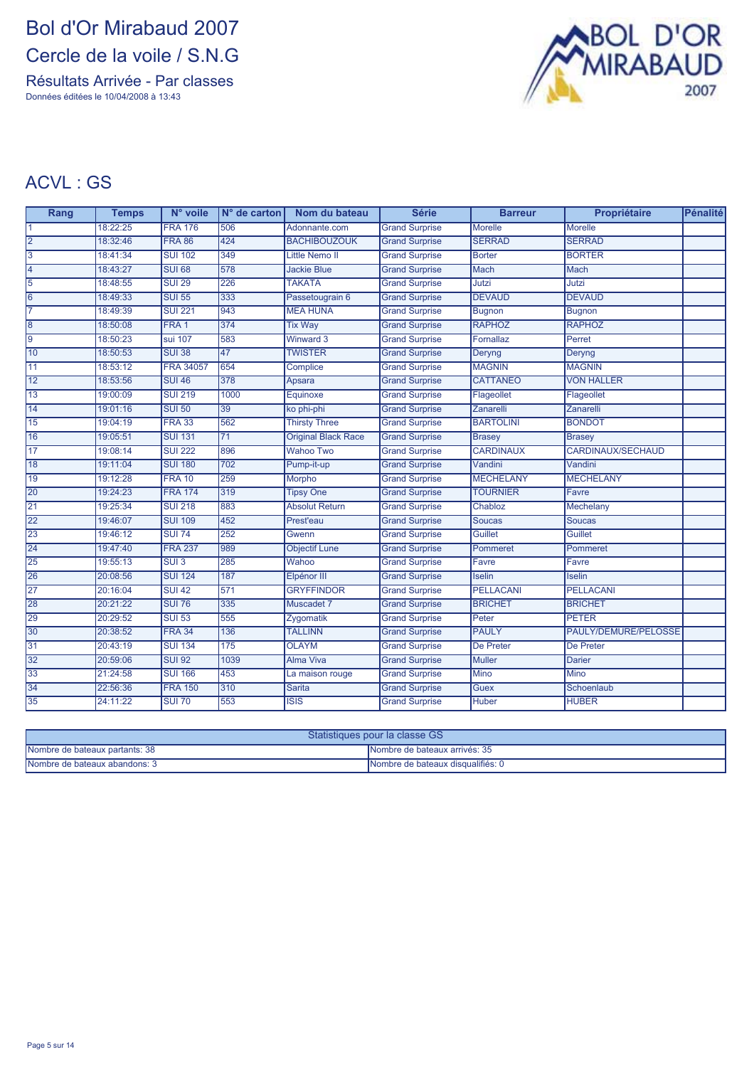Résultats Arrivée - Par classes Données éditées le 10/04/2008 à 13:43



#### ACVL : GS

| Rang           | <b>Temps</b> | N° voile         | $N°$ de carton  | Nom du bateau              | <b>Série</b>          | <b>Barreur</b>   | Propriétaire         | <b>Pénalité</b> |
|----------------|--------------|------------------|-----------------|----------------------------|-----------------------|------------------|----------------------|-----------------|
| 1              | 18:22:25     | <b>FRA 176</b>   | 506             | Adonnante.com              | <b>Grand Surprise</b> | <b>Morelle</b>   | <b>Morelle</b>       |                 |
| $\overline{2}$ | 18:32:46     | <b>FRA 86</b>    | 424             | <b>BACHIBOUZOUK</b>        | <b>Grand Surprise</b> | <b>SERRAD</b>    | <b>SERRAD</b>        |                 |
| $\overline{3}$ | 18:41:34     | <b>SUI 102</b>   | 349             | <b>Little Nemo II</b>      | <b>Grand Surprise</b> | <b>Borter</b>    | <b>BORTER</b>        |                 |
| 4              | 18:43:27     | <b>SUI 68</b>    | 578             | <b>Jackie Blue</b>         | <b>Grand Surprise</b> | <b>Mach</b>      | Mach                 |                 |
| $\overline{5}$ | 18:48:55     | <b>SUI 29</b>    | 226             | <b>TAKATA</b>              | <b>Grand Surprise</b> | Jutzi            | Jutzi                |                 |
| $\overline{6}$ | 18:49:33     | <b>SUI 55</b>    | 333             | Passetougrain 6            | <b>Grand Surprise</b> | <b>DEVAUD</b>    | <b>DEVAUD</b>        |                 |
| $\overline{7}$ | 18:49:39     | <b>SUI 221</b>   | 943             | <b>MEA HUNA</b>            | <b>Grand Surprise</b> | <b>Bugnon</b>    | <b>Bugnon</b>        |                 |
| $\overline{8}$ | 18:50:08     | FRA 1            | 374             | <b>Tix Way</b>             | <b>Grand Surprise</b> | <b>RAPHOZ</b>    | <b>RAPHOZ</b>        |                 |
| $\overline{9}$ | 18:50:23     | sui 107          | 583             | <b>Winward 3</b>           | <b>Grand Surprise</b> | Fornallaz        | Perret               |                 |
| 10             | 18:50:53     | <b>SUI 38</b>    | 47              | <b>TWISTER</b>             | <b>Grand Surprise</b> | Deryng           | Deryng               |                 |
| 11             | 18:53:12     | <b>FRA 34057</b> | 654             | Complice                   | <b>Grand Surprise</b> | <b>MAGNIN</b>    | <b>MAGNIN</b>        |                 |
| 12             | 18:53:56     | <b>SUI 46</b>    | 378             | Apsara                     | <b>Grand Surprise</b> | <b>CATTANEO</b>  | <b>VON HALLER</b>    |                 |
| 13             | 19:00:09     | <b>SUI 219</b>   | 1000            | Equinoxe                   | <b>Grand Surprise</b> | Flageollet       | Flageollet           |                 |
| 14             | 19:01:16     | <b>SUI 50</b>    | 39              | ko phi-phi                 | <b>Grand Surprise</b> | Zanarelli        | Zanarelli            |                 |
| 15             | 19:04:19     | <b>FRA 33</b>    | 562             | <b>Thirsty Three</b>       | <b>Grand Surprise</b> | <b>BARTOLINI</b> | <b>BONDOT</b>        |                 |
| 16             | 19:05:51     | <b>SUI 131</b>   | $\overline{71}$ | <b>Original Black Race</b> | <b>Grand Surprise</b> | <b>Brasey</b>    | <b>Brasey</b>        |                 |
| 17             | 19:08:14     | <b>SUI 222</b>   | 896             | <b>Wahoo Two</b>           | <b>Grand Surprise</b> | <b>CARDINAUX</b> | CARDINAUX/SECHAUD    |                 |
| 18             | 19:11:04     | <b>SUI 180</b>   | 702             | Pump-it-up                 | <b>Grand Surprise</b> | Vandini          | Vandini              |                 |
| 19             | 19:12:28     | <b>FRA 10</b>    | 259             | Morpho                     | <b>Grand Surprise</b> | <b>MECHELANY</b> | <b>MECHELANY</b>     |                 |
| 20             | 19:24:23     | <b>FRA 174</b>   | 319             | <b>Tipsy One</b>           | <b>Grand Surprise</b> | <b>TOURNIER</b>  | Favre                |                 |
| 21             | 19:25:34     | <b>SUI 218</b>   | 883             | <b>Absolut Return</b>      | <b>Grand Surprise</b> | Chabloz          | Mechelany            |                 |
| 22             | 19:46:07     | <b>SUI 109</b>   | 452             | Prest'eau                  | <b>Grand Surprise</b> | <b>Soucas</b>    | <b>Soucas</b>        |                 |
| 23             | 19:46:12     | <b>SUI 74</b>    | 252             | Gwenn                      | <b>Grand Surprise</b> | <b>Guillet</b>   | <b>Guillet</b>       |                 |
| 24             | 19:47:40     | <b>FRA 237</b>   | 989             | <b>Objectif Lune</b>       | <b>Grand Surprise</b> | Pommeret         | Pommeret             |                 |
| 25             | 19:55:13     | $SUI$ 3          | 285             | Wahoo                      | <b>Grand Surprise</b> | Favre            | Favre                |                 |
| 26             | 20:08:56     | <b>SUI 124</b>   | 187             | Elpénor III                | <b>Grand Surprise</b> | <b>Iselin</b>    | <b>Iselin</b>        |                 |
| 27             | 20:16:04     | <b>SUI 42</b>    | 571             | <b>GRYFFINDOR</b>          | <b>Grand Surprise</b> | <b>PELLACANI</b> | <b>PELLACANI</b>     |                 |
| 28             | 20:21:22     | <b>SUI 76</b>    | 335             | Muscadet 7                 | <b>Grand Surprise</b> | <b>BRICHET</b>   | <b>BRICHET</b>       |                 |
| 29             | 20:29:52     | <b>SUI 53</b>    | 555             | Zygomatik                  | <b>Grand Surprise</b> | Peter            | <b>PETER</b>         |                 |
| 30             | 20:38:52     | <b>FRA 34</b>    | 136             | <b>TALLINN</b>             | <b>Grand Surprise</b> | <b>PAULY</b>     | PAULY/DEMURE/PELOSSE |                 |
| 31             | 20:43:19     | <b>SUI 134</b>   | 175             | <b>OLAYM</b>               | <b>Grand Surprise</b> | De Preter        | De Preter            |                 |
| 32             | 20:59:06     | <b>SUI 92</b>    | 1039            | <b>Alma Viva</b>           | <b>Grand Surprise</b> | <b>Muller</b>    | <b>Darier</b>        |                 |
| 33             | 21:24:58     | <b>SUI 166</b>   | 453             | La maison rouge            | <b>Grand Surprise</b> | Mino             | Mino                 |                 |
| 34             | 22:56:36     | <b>FRA 150</b>   | 310             | <b>Sarita</b>              | <b>Grand Surprise</b> | <b>Guex</b>      | Schoenlaub           |                 |
| 35             | 24:11:22     | <b>SUI 70</b>    | 553             | <b>ISIS</b>                | <b>Grand Surprise</b> | Huber            | <b>HUBER</b>         |                 |

| Statistiques pour la classe GS |                                   |  |  |  |
|--------------------------------|-----------------------------------|--|--|--|
| Nombre de bateaux partants: 38 | INombre de bateaux arrivés: 35    |  |  |  |
| Nombre de bateaux abandons: 3  | Nombre de bateaux disqualifiés: 0 |  |  |  |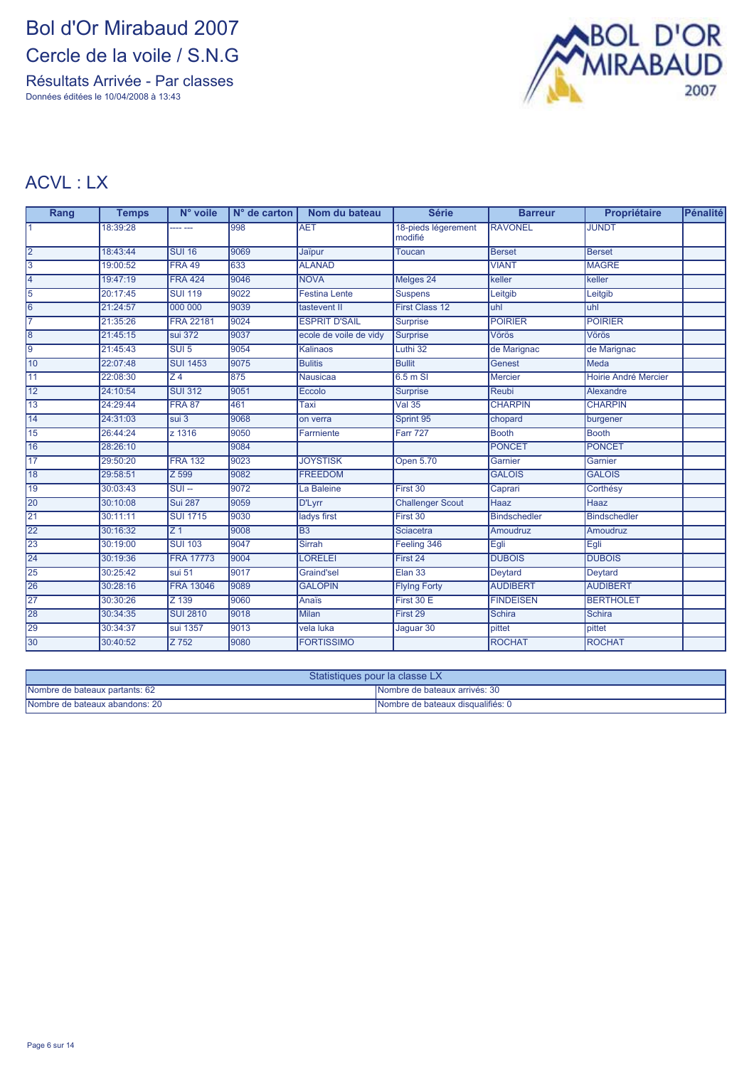Résultats Arrivée - Par classes Données éditées le 10/04/2008 à 13:43



#### **ACVL:LX**

| Rang            | <b>Temps</b> | N° voile           | $N°$ de carton | Nom du bateau          | <b>Série</b>                   | <b>Barreur</b>      | Propriétaire         | <b>Pénalité</b> |
|-----------------|--------------|--------------------|----------------|------------------------|--------------------------------|---------------------|----------------------|-----------------|
| $\overline{1}$  | 18:39:28     | --- ---            | 998            | <b>AET</b>             | 18-pieds légerement<br>modifié | <b>RAVONEL</b>      | <b>JUNDT</b>         |                 |
| $\overline{2}$  | 18:43:44     | <b>SUI 16</b>      | 9069           | Jaïpur                 | <b>Toucan</b>                  | <b>Berset</b>       | <b>Berset</b>        |                 |
| $\overline{3}$  | 19:00:52     | <b>FRA 49</b>      | 633            | <b>ALANAD</b>          |                                | <b>VIANT</b>        | <b>MAGRE</b>         |                 |
| $\overline{4}$  | 19:47:19     | <b>FRA 424</b>     | 9046           | <b>NOVA</b>            | Melges 24                      | keller              | keller               |                 |
| $\overline{5}$  | 20:17:45     | <b>SUI 119</b>     | 9022           | <b>Festina Lente</b>   | <b>Suspens</b>                 | Leitgib             | Leitgib              |                 |
| $\overline{6}$  | 21:24:57     | 000 000            | 9039           | tastevent II           | <b>First Class 12</b>          | uhl                 | uhl                  |                 |
| 7               | 21:35:26     | <b>FRA 22181</b>   | 9024           | <b>ESPRIT D'SAIL</b>   | Surprise                       | <b>POIRIER</b>      | <b>POIRIER</b>       |                 |
| $\overline{8}$  | 21:45:15     | <b>sui 372</b>     | 9037           | ecole de voile de vidy | Surprise                       | Vörös               | Vörös                |                 |
| $\overline{9}$  | 21:45:43     | SU <sub>15</sub>   | 9054           | <b>Kalinaos</b>        | Luthi 32                       | de Marignac         | de Marignac          |                 |
| 10              | 22:07:48     | <b>SUI 1453</b>    | 9075           | <b>Bulitis</b>         | <b>Bullit</b>                  | Genest              | Meda                 |                 |
| 11              | 22:08:30     | $\overline{Z4}$    | 875            | <b>Nausicaa</b>        | $6.5m$ SI                      | <b>Mercier</b>      | Hoirie André Mercier |                 |
| $\overline{12}$ | 24:10:54     | <b>SUI 312</b>     | 9051           | Eccolo                 | Surprise                       | Reubi               | Alexandre            |                 |
| $\overline{13}$ | 24:29:44     | FRA 87             | 461            | Taxi                   | <b>Val 35</b>                  | <b>CHARPIN</b>      | <b>CHARPIN</b>       |                 |
| $\overline{14}$ | 24:31:03     | sui 3              | 9068           | on verra               | Sprint 95                      | chopard             | burgener             |                 |
| $\overline{15}$ | 26:44:24     | z 1316             | 9050           | Farrniente             | <b>Farr 727</b>                | <b>Booth</b>        | <b>Booth</b>         |                 |
| 16              | 28:26:10     |                    | 9084           |                        |                                | <b>PONCET</b>       | <b>PONCET</b>        |                 |
| $\overline{17}$ | 29:50:20     | <b>FRA 132</b>     | 9023           | <b>JOYSTISK</b>        | <b>Open 5.70</b>               | Garnier             | Garnier              |                 |
| 18              | 29:58:51     | $\overline{Z}$ 599 | 9082           | <b>FREEDOM</b>         |                                | <b>GALOIS</b>       | <b>GALOIS</b>        |                 |
| 19              | 30:03:43     | $SUI -$            | 9072           | La Baleine             | First 30                       | Caprari             | Corthésy             |                 |
| 20              | 30:10:08     | <b>Sui 287</b>     | 9059           | <b>D'Lyrr</b>          | <b>Challenger Scout</b>        | Haaz                | <b>Haaz</b>          |                 |
| 21              | 30:11:11     | <b>SUI 1715</b>    | 9030           | ladys first            | First 30                       | <b>Bindschedler</b> | <b>Bindschedler</b>  |                 |
| $\overline{22}$ | 30:16:32     | Z <sub>1</sub>     | 9008           | $\overline{B3}$        | Sciacetra                      | Amoudruz            | Amoudruz             |                 |
| $\overline{23}$ | 30:19:00     | <b>SUI 103</b>     | 9047           | <b>Sirrah</b>          | Feeling 346                    | Egli                | Egli                 |                 |
| 24              | 30:19:36     | <b>FRA 17773</b>   | 9004           | <b>LORELEI</b>         | First 24                       | <b>DUBOIS</b>       | <b>DUBOIS</b>        |                 |
| $\overline{25}$ | 30:25:42     | <b>sui 51</b>      | 9017           | Graind'sel             | Elan 33                        | <b>Deytard</b>      | Deytard              |                 |
| 26              | 30:28:16     | <b>FRA 13046</b>   | 9089           | <b>GALOPIN</b>         | <b>Flying Forty</b>            | <b>AUDIBERT</b>     | <b>AUDIBERT</b>      |                 |
| $\overline{27}$ | 30:30:26     | Z 139              | 9060           | <b>Anaïs</b>           | First 30 E                     | <b>FINDEISEN</b>    | <b>BERTHOLET</b>     |                 |
| 28              | 30:34:35     | <b>SUI 2810</b>    | 9018           | <b>Milan</b>           | First 29                       | <b>Schira</b>       | <b>Schira</b>        |                 |
| 29              | 30:34:37     | sui 1357           | 9013           | vela luka              | Jaguar 30                      | pittet              | pittet               |                 |
| 30              | 30:40:52     | $Z$ 752            | 9080           | <b>FORTISSIMO</b>      |                                | <b>ROCHAT</b>       | <b>ROCHAT</b>        |                 |

| Statistiques pour la classe LX |                                    |  |  |  |
|--------------------------------|------------------------------------|--|--|--|
| Nombre de bateaux partants: 62 | INombre de bateaux arrivés: 30     |  |  |  |
| Nombre de bateaux abandons: 20 | INombre de bateaux disqualifiés: 0 |  |  |  |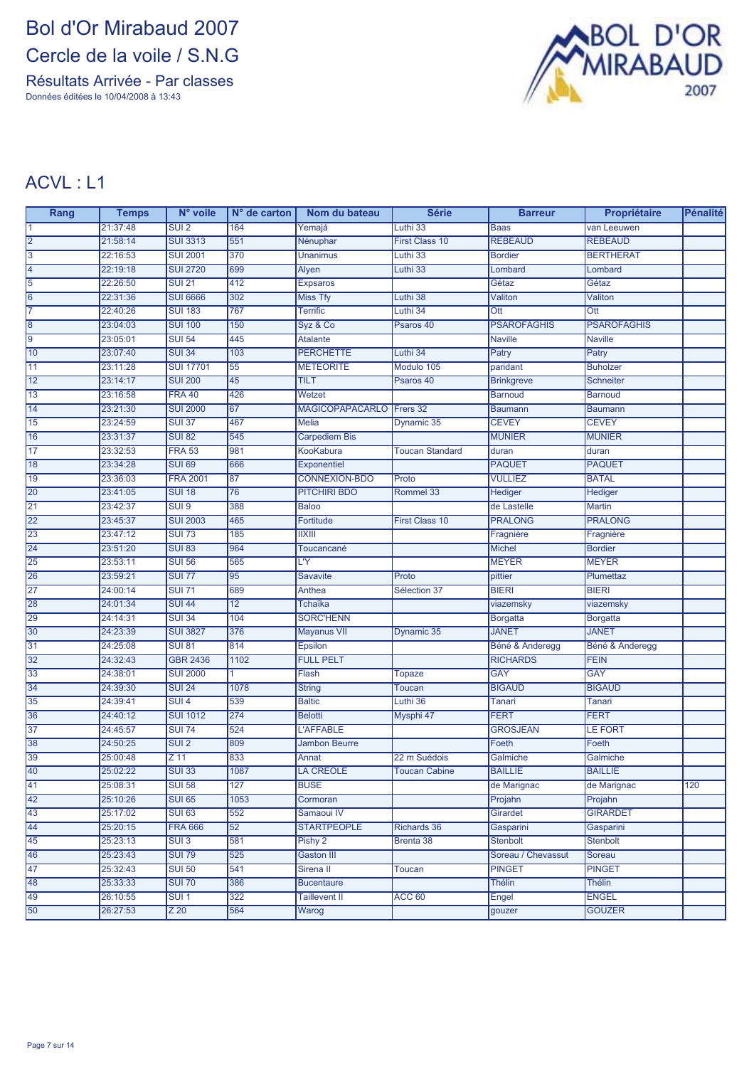Résultats Arrivée - Par classes Données éditées le 10/04/2008 à 13:43



#### ACVL : L1

| <b>Série</b><br>Rang<br>N° voile<br>$N°$ de carton<br><b>Temps</b><br>Nom du bateau                   | <b>Barreur</b>     | Propriétaire       | Pénalité |
|-------------------------------------------------------------------------------------------------------|--------------------|--------------------|----------|
| 21:37:48<br>SU <sub>1</sub> 2<br>164<br>Luthi 33<br>Yemajá<br><b>Baas</b>                             |                    | van Leeuwen        |          |
| 21:58:14<br><b>SUI 3313</b><br>2<br>551<br>Nénuphar<br><b>First Class 10</b>                          | <b>REBEAUD</b>     | <b>REBEAUD</b>     |          |
| $\overline{3}$<br>22:16:53<br><b>SUI 2001</b><br>370<br>Unanimus<br>Luthi 33<br><b>Bordier</b>        |                    | <b>BERTHERAT</b>   |          |
| 4<br>22:19:18<br><b>SUI 2720</b><br>699<br>Alyen<br>Luthi 33                                          | Lombard            | Lombard            |          |
| 22:26:50<br><b>SUI 21</b><br>412<br>5<br>Gétaz<br><b>Expsaros</b>                                     |                    | Gétaz              |          |
| 6<br>22:31:36<br>302<br>Luthi 38<br><b>SUI 6666</b><br><b>Miss Tfy</b><br>Valiton                     |                    | Valiton            |          |
| 22:40:26<br>767<br>Luthi 34<br><b>SUI 183</b><br><b>Terrific</b><br>17<br>Ott                         |                    | Ott                |          |
| $\overline{8}$<br>150<br>23:04:03<br><b>SUI 100</b><br>Syz & Co<br>Psaros 40                          | <b>PSAROFAGHIS</b> | <b>PSAROFAGHIS</b> |          |
| $\overline{9}$<br><b>SUI 54</b><br>445<br>23:05:01<br><b>Atalante</b><br><b>Naville</b>               |                    | <b>Naville</b>     |          |
| 23:07:40<br><b>SUI 34</b><br>103<br>Luthi 34<br>10<br><b>PERCHETTE</b><br>Patry                       |                    | Patry              |          |
| 23:11:28<br><b>SUI 17701</b><br>55<br>11<br><b>METEORITE</b><br>Modulo 105<br>paridant                |                    | <b>Buholzer</b>    |          |
| 12<br>23:14:17<br><b>SUI 200</b><br>45<br><b>TILT</b><br>Psaros 40                                    | <b>Brinkgreve</b>  | <b>Schneiter</b>   |          |
| 13<br>23:16:58<br><b>FRA 40</b><br>426<br>Wetzet                                                      | <b>Barnoud</b>     | <b>Barnoud</b>     |          |
| 23:21:30<br><b>SUI 2000</b><br><b>MAGICOPAPACARLO</b><br>14<br>67<br>Frers 32                         | <b>Baumann</b>     | <b>Baumann</b>     |          |
| <b>SUI 37</b><br>15<br>23:24:59<br>467<br><b>Melia</b><br><b>CEVEY</b><br>Dynamic 35                  |                    | <b>CEVEY</b>       |          |
| 23:31:37<br><b>SUI 82</b><br>545<br>16<br><b>Carpediem Bis</b>                                        | <b>MUNIER</b>      | <b>MUNIER</b>      |          |
| $\overline{17}$<br>23:32:53<br><b>FRA 53</b><br>981<br><b>Toucan Standard</b><br>KooKabura<br>duran   |                    | duran              |          |
| 18<br>23:34:28<br><b>SUI 69</b><br>666<br><b>Exponentiel</b>                                          | <b>PAQUET</b>      | <b>PAQUET</b>      |          |
| 19<br>23:36:03<br><b>FRA 2001</b><br>87<br><b>CONNEXION-BDO</b><br>Proto                              | <b>VULLIEZ</b>     | <b>BATAL</b>       |          |
| PITCHIRI BDO<br>20<br>23:41:05<br><b>SUI 18</b><br>76<br>Rommel 33<br>Hediger                         |                    | <b>Hediger</b>     |          |
| SUI <sub>9</sub><br>21<br>23:42:37<br>388<br><b>Baloo</b>                                             | de Lastelle        | <b>Martin</b>      |          |
| 23:45:37<br><b>SUI 2003</b><br>465<br>22<br>Fortitude<br>First Class 10                               | <b>PRALONG</b>     | <b>PRALONG</b>     |          |
| 23<br>23:47:12<br><b>SUI 73</b><br>185<br>$\overline{  X   }$                                         | Fragnière          | Fragnière          |          |
| 24<br>23:51:20<br><b>SUI 83</b><br>964<br><b>Michel</b><br><b>Toucancané</b>                          |                    | <b>Bordier</b>     |          |
| L'Y<br>25<br>23:53:11<br><b>SUI 56</b><br>565<br><b>MEYER</b>                                         |                    | <b>MEYER</b>       |          |
| 23:59:21<br><b>SUI 77</b><br>26<br>95<br>Proto<br><b>Savavite</b><br>pittier                          |                    | <b>Plumettaz</b>   |          |
| 24:00:14<br><b>SUI 71</b><br><b>BIERI</b><br>27<br>689<br>Anthea<br>Sélection 37                      |                    | <b>BIERI</b>       |          |
| <b>SUI 44</b><br>12<br>28<br>24:01:34<br><b>Tchaïka</b>                                               | viazemsky          | viazemsky          |          |
| 29<br><b>SUI 34</b><br>104<br><b>SORC'HENN</b><br>24:14:31<br><b>Borgatta</b>                         |                    | <b>Borgatta</b>    |          |
| 30<br>24:23:39<br><b>SUI 3827</b><br>376<br><b>JANET</b><br>Dynamic 35<br><b>Mayanus VII</b>          |                    | <b>JANET</b>       |          |
| 24:25:08<br><b>SUI 81</b><br>814<br>31<br>Epsilon                                                     | Béné & Anderegg    | Béné & Anderegg    |          |
| 24:32:43<br>1102<br><b>FULL PELT</b><br>32<br><b>GBR 2436</b>                                         | <b>RICHARDS</b>    | <b>FEIN</b>        |          |
| 24:38:01<br>33<br><b>SUI 2000</b><br>Flash<br><b>GAY</b><br>Topaze                                    |                    | <b>GAY</b>         |          |
| 24:39:30<br><b>SUI 24</b><br>1078<br>34<br><b>String</b><br>Toucan                                    | <b>BIGAUD</b>      | <b>BIGAUD</b>      |          |
| 35<br>24:39:41<br>$SUI$ 4<br>539<br><b>Baltic</b><br>Luthi 36<br>Tanari                               |                    | Tanari             |          |
| 24:40:12<br><b>SUI 1012</b><br>274<br><b>FERT</b><br>36<br><b>Belotti</b><br>Mysphi 47                |                    | <b>FERT</b>        |          |
| 24:45:57<br><b>SUI 74</b><br>524<br><b>L'AFFABLE</b><br>37                                            | <b>GROSJEAN</b>    | <b>LE FORT</b>     |          |
| 24:50:25<br>$SUI$ 2<br>809<br>38<br><b>Jambon Beurre</b><br>Foeth                                     |                    | Foeth              |          |
| 39<br>25:00:48<br>Z 11<br>833<br>22 m Suédois<br>Annat                                                | Galmiche           | Galmiche           |          |
| 25:02:22<br><b>SUI 33</b><br>1087<br>40<br><b>LA CREOLE</b><br><b>BAILLIE</b><br><b>Toucan Cabine</b> |                    | <b>BAILLIE</b>     |          |
| 41<br>25:08:31<br><b>SUI 58</b><br>127<br><b>BUSE</b>                                                 | de Marignac        | de Marignac        | 120      |
| 42<br>25:10:26<br><b>SUI 65</b><br>1053<br>Projahn<br>Cormoran                                        |                    | Projahn            |          |
| 25:17:02<br>43<br><b>SUI 63</b><br>552<br>Samaoui IV<br>Girardet                                      |                    | <b>GIRARDET</b>    |          |
| 44<br>25:20:15<br><b>FRA 666</b><br>52<br><b>STARTPEOPLE</b><br>Richards 36                           | Gasparini          | Gasparini          |          |
| $SUI$ $3$<br>45<br>25:23:13<br>581<br>Pishy 2<br>Stenbolt<br>Brenta 38                                |                    | <b>Stenbolt</b>    |          |
| 25:23:43<br><b>SUI 79</b><br>525<br>46<br><b>Gaston III</b>                                           | Soreau / Chevassut | Soreau             |          |
| 47<br>25:32:43<br><b>SUI 50</b><br>541<br><b>PINGET</b><br>Sirena II<br>Toucan                        |                    | <b>PINGET</b>      |          |
| 25:33:33<br><b>SUI 70</b><br>48<br>386<br><b>Thélin</b><br><b>Bucentaure</b>                          |                    | <b>Thélin</b>      |          |
| 26:10:55<br>SUI <sub>1</sub><br><b>Taillevent II</b><br>ACC 60<br>49<br>322<br>Engel                  |                    | <b>ENGEL</b>       |          |
| 26:27:53<br>$Z$ 20<br>50<br>564<br>Warog<br>gouzer                                                    |                    | <b>GOUZER</b>      |          |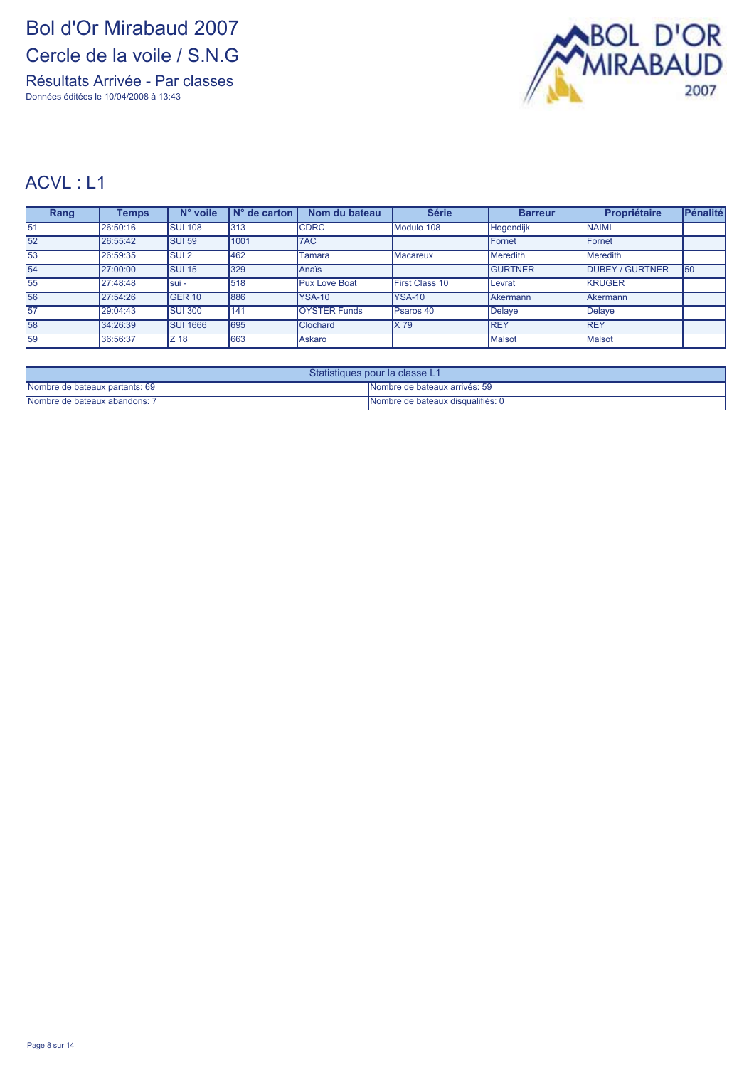Résultats Arrivée - Par classes Données éditées le 10/04/2008 à 13:43



#### ACVL : L1

| Rang | Temps    | N° voile        | $N°$ de carton | Nom du bateau        | <b>Série</b>          | <b>Barreur</b> | Propriétaire            | Pénalité |
|------|----------|-----------------|----------------|----------------------|-----------------------|----------------|-------------------------|----------|
| 51   | 26:50:16 | <b>SUI 108</b>  | 313            | <b>CDRC</b>          | Modulo 108            | Hogendijk      | <b>NAIMI</b>            |          |
| 52   | 26:55:42 | <b>SUI 59</b>   | 1001           | 7AC                  |                       | <b>IFornet</b> | Fornet                  |          |
| 53   | 26:59:35 | <b>SUI2</b>     | 462            | <b>Tamara</b>        | <b>Macareux</b>       | Meredith       | <b>Meredith</b>         |          |
| 54   | 27:00:00 | <b>SUI 15</b>   | 329            | Anaïs                |                       | <b>GURTNER</b> | <b>IDUBEY / GURTNER</b> | 50       |
| 55   | 27:48:48 | Isui -          | 518            | <b>Pux Love Boat</b> | <b>First Class 10</b> | Levrat         | <b>KRUGER</b>           |          |
| 56   | 27:54:26 | <b>GER 10</b>   | 886            | <b>YSA-10</b>        | <b>YSA-10</b>         | Akermann       | Akermann                |          |
| 57   | 29:04:43 | <b>SUI 300</b>  | 141            | <b>OYSTER Funds</b>  | Psaros 40             | Delaye         | Delaye                  |          |
| 58   | 34:26:39 | <b>SUI 1666</b> | 695            | <b>Clochard</b>      | X 79                  | <b>REY</b>     | <b>REY</b>              |          |
| 59   | 36:56:37 | Z <sub>18</sub> | 663            | Askaro               |                       | Malsot         | <b>Malsot</b>           |          |

| Statistiques pour la classe L1 |                                   |  |  |  |
|--------------------------------|-----------------------------------|--|--|--|
| Nombre de bateaux partants: 69 | INombre de bateaux arrivés: 59    |  |  |  |
| Nombre de bateaux abandons: 7  | Nombre de bateaux disqualifiés: 0 |  |  |  |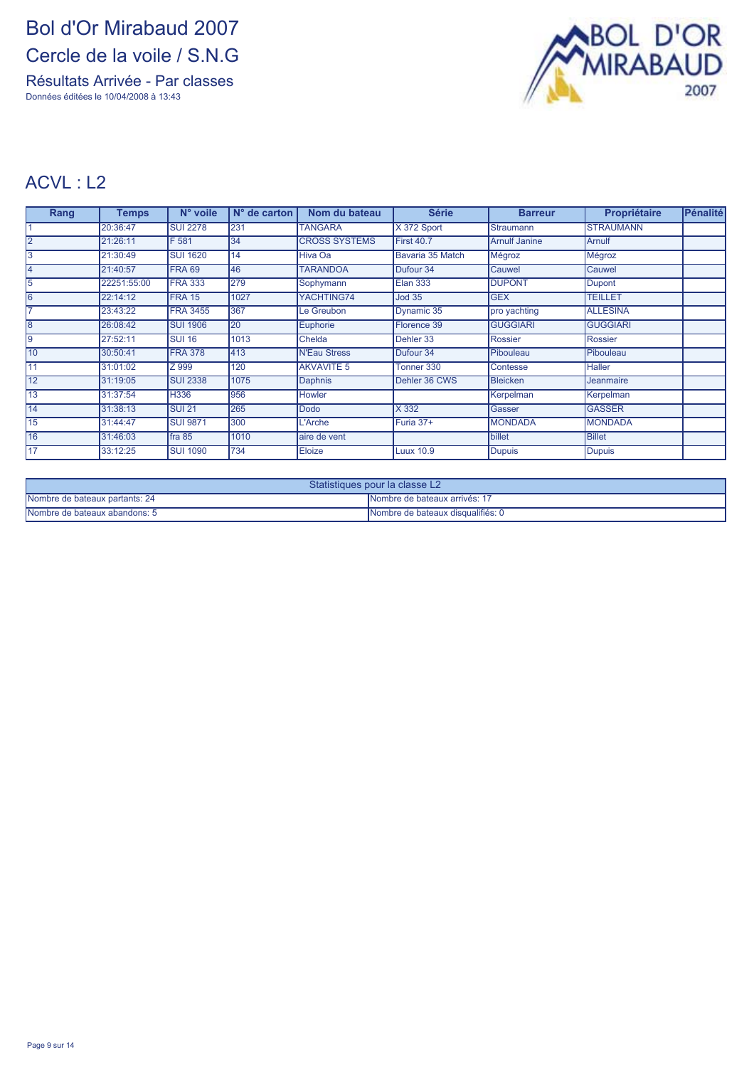Résultats Arrivée - Par classes Données éditées le 10/04/2008 à 13:43



#### ACVL : L2

| Rang            | <b>Temps</b> | N° voile        | $No$ de carton | Nom du bateau        | <b>Série</b>     | <b>Barreur</b>       | Propriétaire     | Pénalité |
|-----------------|--------------|-----------------|----------------|----------------------|------------------|----------------------|------------------|----------|
|                 | 20:36:47     | <b>SUI 2278</b> | 231            | <b>TANGARA</b>       | X 372 Sport      | Straumann            | <b>STRAUMANN</b> |          |
|                 | 21:26:11     | F 581           | 34             | <b>CROSS SYSTEMS</b> | First 40.7       | <b>Arnulf Janine</b> | Arnulf           |          |
| 3               | 21:30:49     | <b>SUI 1620</b> | 14             | Hiva Oa              | Bavaria 35 Match | Mégroz               | Mégroz           |          |
| 4               | 21:40:57     | <b>FRA 69</b>   | 46             | <b>TARANDOA</b>      | Dufour 34        | Cauwel               | Cauwel           |          |
| 5               | 22251:55:00  | <b>FRA 333</b>  | 279            | Sophymann            | <b>Elan 333</b>  | <b>DUPONT</b>        | <b>Dupont</b>    |          |
| 6               | 22:14:12     | <b>FRA 15</b>   | 1027           | YACHTING74           | <b>Jod 35</b>    | <b>GEX</b>           | TEILLET          |          |
|                 | 23:43:22     | <b>FRA 3455</b> | 367            | Le Greubon           | Dynamic 35       | pro yachting         | <b>ALLESINA</b>  |          |
| 8               | 26:08:42     | <b>SUI 1906</b> | 20             | Euphorie             | Florence 39      | <b>GUGGIARI</b>      | <b>GUGGIARI</b>  |          |
| Ι9              | 27:52:11     | <b>SUI 16</b>   | 1013           | Chelda               | Dehler 33        | <b>Rossier</b>       | <b>Rossier</b>   |          |
| 10              | 30:50:41     | <b>FRA 378</b>  | 413            | N'Eau Stress         | Dufour 34        | Pibouleau            | Pibouleau        |          |
| 11              | 31:01:02     | Z 999           | 120            | <b>AKVAVITE 5</b>    | Tonner 330       | Contesse             | <b>Haller</b>    |          |
| $\overline{12}$ | 31:19:05     | <b>SUI 2338</b> | 1075           | <b>Daphnis</b>       | Dehler 36 CWS    | <b>Bleicken</b>      | <b>Jeanmaire</b> |          |
| 13              | 31:37:54     | <b>H336</b>     | 956            | Howler               |                  | Kerpelman            | Kerpelman        |          |
| 14              | 31:38:13     | <b>SUI 21</b>   | 265            | Dodo                 | X 332            | Gasser               | <b>GASSER</b>    |          |
| 15              | 31:44:47     | <b>SUI 9871</b> | 300            | L'Arche              | Furia 37+        | <b>MONDADA</b>       | <b>MONDADA</b>   |          |
| 16              | 31:46:03     | fra 85          | 1010           | aire de vent         |                  | billet               | <b>Billet</b>    |          |
| <b>17</b>       | 33:12:25     | <b>SUI 1090</b> | 734            | Eloize               | Luux 10.9        | <b>Dupuis</b>        | <b>Dupuis</b>    |          |

| Statistiques pour la classe L2 |                                   |  |  |  |
|--------------------------------|-----------------------------------|--|--|--|
| Nombre de bateaux partants: 24 | INombre de bateaux arrivés: 17    |  |  |  |
| Nombre de bateaux abandons: 5  | Nombre de bateaux disqualifiés: 0 |  |  |  |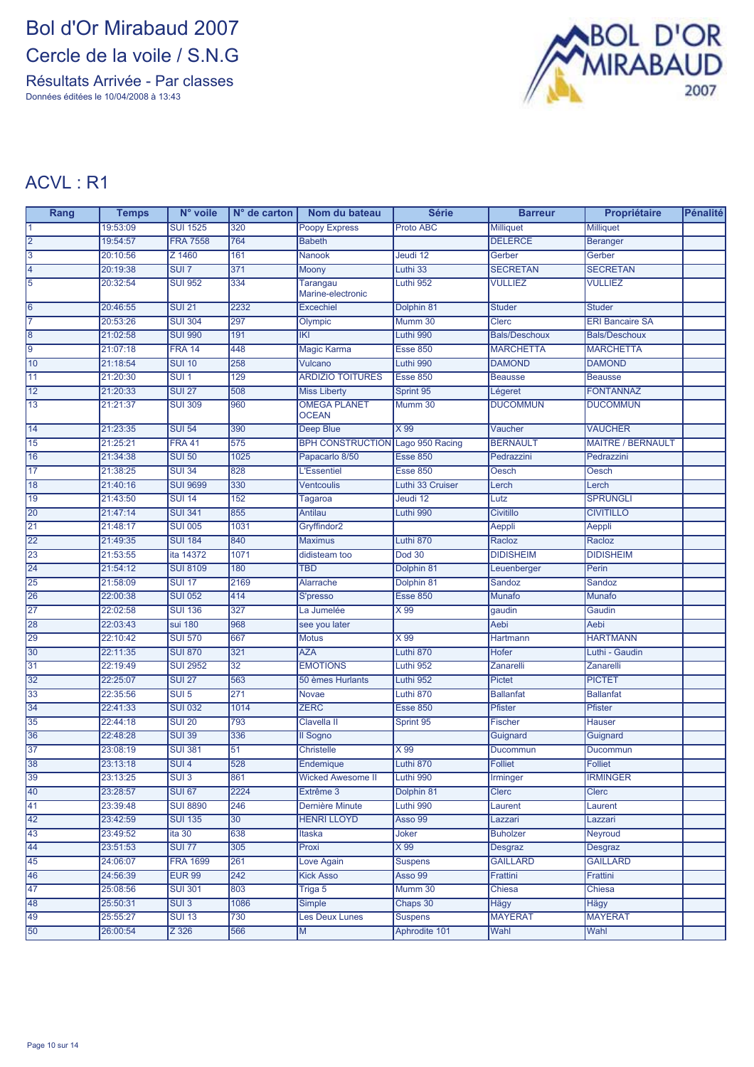Résultats Arrivée - Par classes Données éditées le 10/04/2008 à 13:43



#### ACVL : R1

| Rang           | <b>Temps</b> | N° voile         | $N°$ de carton | Nom du bateau                           | <b>Série</b>     | <b>Barreur</b>       | Propriétaire             | Pénalité |
|----------------|--------------|------------------|----------------|-----------------------------------------|------------------|----------------------|--------------------------|----------|
|                | 19:53:09     | <b>SUI 1525</b>  | 320            | <b>Poopy Express</b>                    | Proto ABC        | <b>Milliquet</b>     | <b>Milliquet</b>         |          |
| 2              | 19:54:57     | <b>FRA 7558</b>  | 764            | <b>Babeth</b>                           |                  | <b>DELERCE</b>       | <b>Beranger</b>          |          |
| 3              | 20:10:56     | Z 1460           | 161            | <b>Nanook</b>                           | Jeudi 12         | Gerber               | Gerber                   |          |
| 4              | 20:19:38     | SUI <sub>7</sub> | 371            | Moony                                   | Luthi 33         | <b>SECRETAN</b>      | <b>SECRETAN</b>          |          |
| 5              | 20:32:54     | <b>SUI 952</b>   | 334            | Tarangau<br>Marine-electronic           | Luthi 952        | <b>VULLIEZ</b>       | <b>VULLIEZ</b>           |          |
| 16             | 20:46:55     | <b>SUI 21</b>    | 2232           | <b>Excechiel</b>                        | Dolphin 81       | <b>Studer</b>        | <b>Studer</b>            |          |
| 7              | 20:53:26     | <b>SUI 304</b>   | 297            | Olympic                                 | Mumm 30          | Clerc                | <b>ERI Bancaire SA</b>   |          |
| $\overline{8}$ | 21:02:58     | <b>SUI 990</b>   | 191            | $\overline{ \mathsf{K} }$               | Luthi 990        | <b>Bals/Deschoux</b> | <b>Bals/Deschoux</b>     |          |
| l9             | 21:07:18     | <b>FRA 14</b>    | 448            | Magic Karma                             | <b>Esse 850</b>  | <b>MARCHETTA</b>     | <b>MARCHETTA</b>         |          |
| 10             | 21:18:54     | <b>SUI 10</b>    | 258            | Vulcano                                 | Luthi 990        | <b>DAMOND</b>        | <b>DAMOND</b>            |          |
| 11             | 21:20:30     | SUI <sub>1</sub> | 129            | <b>ARDIZIO TOITURES</b>                 | <b>Esse 850</b>  | <b>Beausse</b>       | <b>Beausse</b>           |          |
| 12             | 21:20:33     | <b>SUI 27</b>    | 508            | <b>Miss Liberty</b>                     | Sprint 95        | Légeret              | <b>FONTANNAZ</b>         |          |
| 13             | 21:21:37     | <b>SUI 309</b>   | 960            | <b>OMEGA PLANET</b><br><b>OCEAN</b>     | Mumm 30          | <b>DUCOMMUN</b>      | <b>DUCOMMUN</b>          |          |
| 14             | 21:23:35     | <b>SUI 54</b>    | 390            | <b>Deep Blue</b>                        | X 99             | Vaucher              | <b>VAUCHER</b>           |          |
| 15             | 21:25:21     | <b>FRA 41</b>    | 575            | <b>BPH CONSTRUCTION Lago 950 Racing</b> |                  | <b>BERNAULT</b>      | <b>MAITRE / BERNAULT</b> |          |
| 16             | 21:34:38     | <b>SUI 50</b>    | 1025           | Papacarlo 8/50                          | <b>Esse 850</b>  | Pedrazzini           | Pedrazzini               |          |
| 17             | 21:38:25     | <b>SUI 34</b>    | 828            | L'Essentiel                             | <b>Esse 850</b>  | Oesch                | Oesch                    |          |
| 18             | 21:40:16     | <b>SUI 9699</b>  | 330            | <b>Ventcoulis</b>                       | Luthi 33 Cruiser | Lerch                | Lerch                    |          |
| 19             | 21:43:50     | <b>SUI 14</b>    | 152            | Tagaroa                                 | Jeudi 12         | Lutz                 | <b>SPRUNGLI</b>          |          |
| 20             | 21:47:14     | <b>SUI 341</b>   | 855            | <b>Antilau</b>                          | Luthi 990        | Civitillo            | <b>CIVITILLO</b>         |          |
| 21             | 21:48:17     | <b>SUI 005</b>   | 1031           | Gryffindor <sub>2</sub>                 |                  | Aeppli               | Aeppli                   |          |
| 22             | 21:49:35     | <b>SUI 184</b>   | 840            | <b>Maximus</b>                          | Luthi 870        | Racloz               | Racloz                   |          |
| 23             | 21:53:55     | ita 14372        | 1071           | didisteam too                           | <b>Dod 30</b>    | <b>DIDISHEIM</b>     | <b>DIDISHEIM</b>         |          |
| 24             | 21:54:12     | <b>SUI 8109</b>  | 180            | <b>TBD</b>                              | Dolphin 81       | Leuenberger          | Perin                    |          |
| 25             | 21:58:09     | <b>SUI 17</b>    | 2169           | Alarrache                               | Dolphin 81       | Sandoz               | Sandoz                   |          |
| 26             | 22:00:38     | <b>SUI 052</b>   | 414            | S'presso                                | <b>Esse 850</b>  | <b>Munafo</b>        | <b>Munafo</b>            |          |
| 27             | 22:02:58     | <b>SUI 136</b>   | 327            | La Jumelée                              | X99              | gaudin               | Gaudin                   |          |
| 28             | 22:03:43     | sui 180          | 968            | see you later                           |                  | Aebi                 | Aebi                     |          |
| 29             | 22:10:42     | <b>SUI 570</b>   | 667            | <b>Motus</b>                            | X 99             | Hartmann             | <b>HARTMANN</b>          |          |
| 30             | 22:11:35     | <b>SUI 870</b>   | 321            | <b>AZA</b>                              | Luthi 870        | Hofer                | Luthi - Gaudin           |          |
| 31             | 22:19:49     | <b>SUI 2952</b>  | 32             | <b>EMOTIONS</b>                         | Luthi 952        | Zanarelli            | Zanarelli                |          |
| 32             | 22:25:07     | <b>SUI 27</b>    | 563            | 50 èmes Hurlants                        | Luthi 952        | <b>Pictet</b>        | <b>PICTET</b>            |          |
| 33             | 22:35:56     | SUI <sub>5</sub> | 271            | <b>Novae</b>                            | Luthi 870        | <b>Ballanfat</b>     | <b>Ballanfat</b>         |          |
| 34             | 22:41:33     | <b>SUI 032</b>   | 1014           | <b>ZERC</b>                             | <b>Esse 850</b>  | <b>Pfister</b>       | <b>Pfister</b>           |          |
| 35             | 22:44:18     | <b>SUI 20</b>    | 793            | Clavella II                             | Sprint 95        | Fischer              | <b>Hauser</b>            |          |
| 36             | 22:48:28     | <b>SUI 39</b>    | 336            | <b>Il Sogno</b>                         |                  | Guignard             | Guignard                 |          |
| 37             | 23:08:19     | <b>SUI 381</b>   | 51             | <b>Christelle</b>                       | X 99             | Ducommun             | Ducommun                 |          |
| 38             | 23:13:18     | $SUI$ 4          | 528            | Endemique                               | Luthi 870        | <b>Folliet</b>       | <b>Folliet</b>           |          |
| 39             | 23:13:25     | $SUI$ 3          | 861            | <b>Wicked Awesome II</b>                | Luthi 990        | Irminger             | <b>IRMINGER</b>          |          |
| 40             | 23:28:57     | <b>SUI 67</b>    | 2224           | Extrême 3                               | Dolphin 81       | <b>Clerc</b>         | <b>Clerc</b>             |          |
| 41             | 23:39:48     | <b>SUI 8890</b>  | 246            | Dernière Minute                         | Luthi 990        | Laurent              | Laurent                  |          |
| 42             | 23:42:59     | <b>SUI 135</b>   | 30             | <b>HENRI LLOYD</b>                      | Asso 99          | Lazzari              | Lazzari                  |          |
| 43             | 23:49:52     | ita 30           | 638            | Itaska                                  | Joker            | <b>Buholzer</b>      | Neyroud                  |          |
| 44             | 23:51:53     | <b>SUI 77</b>    | 305            | Proxi                                   | X99              | <b>Desgraz</b>       | Desgraz                  |          |
| 45             | 24:06:07     | <b>FRA 1699</b>  | 261            | Love Again                              | <b>Suspens</b>   | <b>GAILLARD</b>      | <b>GAILLARD</b>          |          |
| 46             | 24:56:39     | <b>EUR 99</b>    | 242            | <b>Kick Asso</b>                        | Asso 99          | Frattini             | Frattini                 |          |
| 47             | 25:08:56     | <b>SUI 301</b>   | 803            | Triga 5                                 | Mumm 30          | Chiesa               | Chiesa                   |          |
| 48             | 25:50:31     | SUI3             | 1086           | <b>Simple</b>                           | Chaps 30         | Hägy                 | Hägy                     |          |
| 49             | 25:55:27     | <b>SUI 13</b>    | 730            | Les Deux Lunes                          | <b>Suspens</b>   | <b>MAYERAT</b>       | <b>MAYERAT</b>           |          |
| 50             | 26:00:54     | Z 326            | 566            | M                                       | Aphrodite 101    | Wahl                 | Wahl                     |          |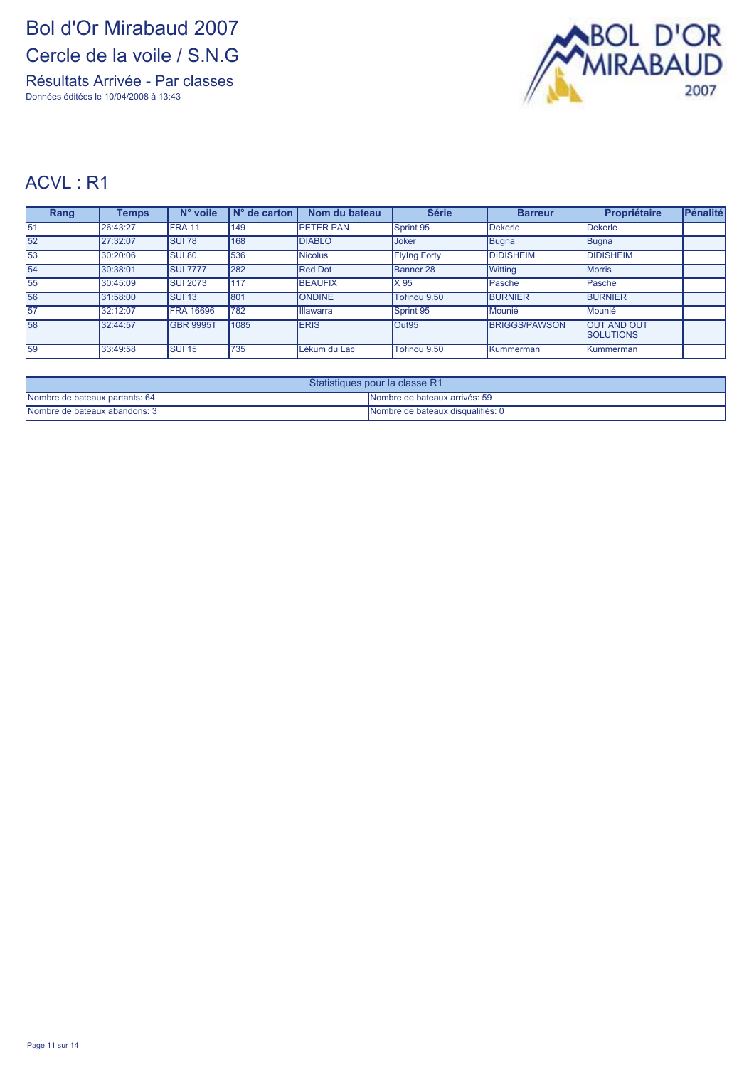Résultats Arrivée - Par classes Données éditées le 10/04/2008 à 13:43



#### ACVL : R1

| Rang | <b>Temps</b> | $N^{\circ}$ voile | $N^{\circ}$ de carton | Nom du bateau    | <b>Série</b>        | <b>Barreur</b>       | Propriétaire                            | Pénalité |
|------|--------------|-------------------|-----------------------|------------------|---------------------|----------------------|-----------------------------------------|----------|
| 51   | 26:43:27     | <b>FRA11</b>      | 149                   | <b>PETER PAN</b> | Sprint 95           | Dekerle              | <b>Dekerle</b>                          |          |
| 52   | 27:32:07     | <b>SUI 78</b>     | 168                   | <b>DIABLO</b>    | <b>Joker</b>        | Bugna                | Bugna                                   |          |
| 53   | 30:20:06     | <b>SUI 80</b>     | 536                   | <b>Nicolus</b>   | <b>Flying Forty</b> | <b>DIDISHEIM</b>     | <b>DIDISHEIM</b>                        |          |
| 54   | 30:38:01     | <b>SUI 7777</b>   | 282                   | <b>Red Dot</b>   | <b>Banner 28</b>    | <b>Witting</b>       | <b>Morris</b>                           |          |
| 55   | 30:45:09     | <b>SUI 2073</b>   | 1117                  | <b>BEAUFIX</b>   | X 95                | <b>I</b> Pasche      | Pasche                                  |          |
| 56   | 31:58:00     | <b>SUI 13</b>     | 801                   | <b>ONDINE</b>    | Tofinou 9.50        | <b>BURNIER</b>       | <b>BURNIER</b>                          |          |
| 57   | 32:12:07     | <b>FRA 16696</b>  | 782                   | <b>Illawarra</b> | Sprint 95           | Mounié               | Mounié                                  |          |
| 58   | 32:44:57     | <b>GBR 9995T</b>  | 1085                  | <b>IERIS</b>     | Out95               | <b>BRIGGS/PAWSON</b> | <b>OUT AND OUT</b><br><b>ISOLUTIONS</b> |          |
| 59   | 33:49:58     | <b>SUI 15</b>     | 735                   | Lékum du Lac     | Tofinou 9.50        | <b>Kummerman</b>     | <b>Kummerman</b>                        |          |

| Statistiques pour la classe R1 |                                   |  |  |  |
|--------------------------------|-----------------------------------|--|--|--|
| Nombre de bateaux partants: 64 | INombre de bateaux arrivés: 59    |  |  |  |
| Nombre de bateaux abandons: 3  | Nombre de bateaux disqualifiés: 0 |  |  |  |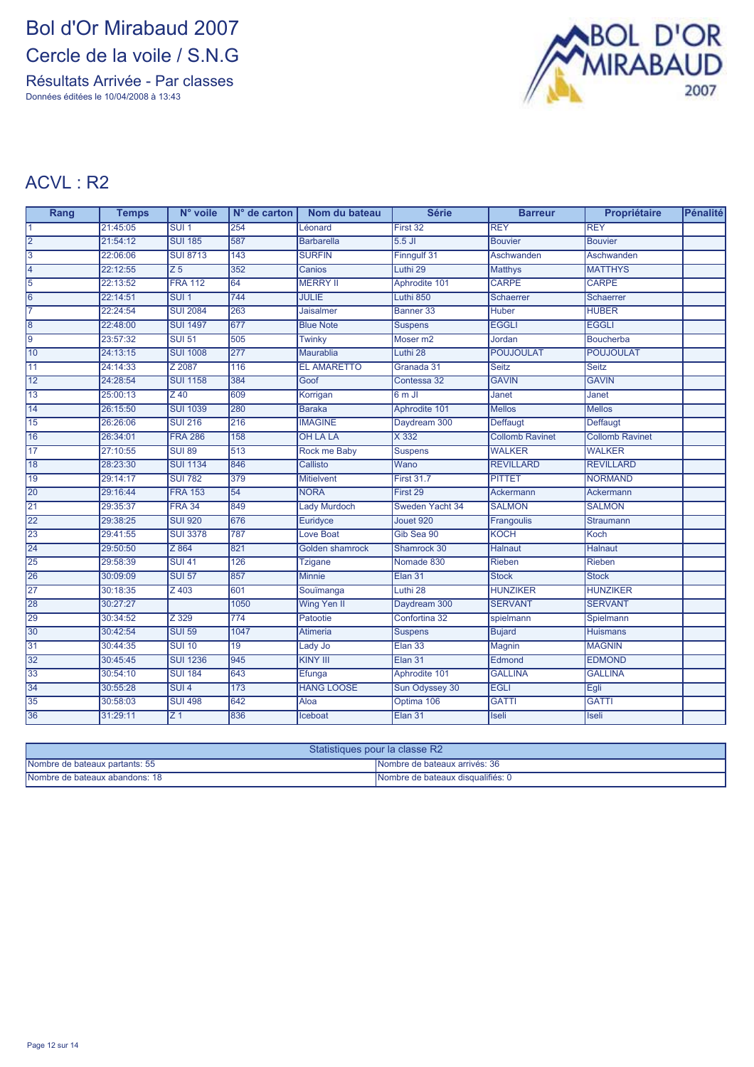Résultats Arrivée - Par classes Données éditées le 10/04/2008 à 13:43



#### ACVL : R2

| Rang            | <b>Temps</b> | N° voile          | $No$ de carton | Nom du bateau          | <b>Série</b>        | <b>Barreur</b>         | Propriétaire           | Pénalité |
|-----------------|--------------|-------------------|----------------|------------------------|---------------------|------------------------|------------------------|----------|
| $\overline{1}$  | 21:45:05     | SUI <sub>1</sub>  | 254            | Léonard                | First 32            | <b>REY</b>             | <b>REY</b>             |          |
| $\overline{2}$  | 21:54:12     | <b>SUI 185</b>    | 587            | Barbarella             | $5.5$ JI            | <b>Bouvier</b>         | <b>Bouvier</b>         |          |
| $\overline{3}$  | 22:06:06     | <b>SUI 8713</b>   | 143            | <b>SURFIN</b>          | Finngulf 31         | Aschwanden             | Aschwanden             |          |
| $\vert 4$       | 22:12:55     | $Z$ <sub>5</sub>  | 352            | Canios                 | Luthi 29            | <b>Matthys</b>         | <b>MATTHYS</b>         |          |
| $\overline{5}$  | 22:13:52     | <b>FRA 112</b>    | 64             | <b>MERRY II</b>        | Aphrodite 101       | <b>CARPE</b>           | <b>CARPE</b>           |          |
| $\overline{6}$  | 22:14:51     | SUI <sub>1</sub>  | 744            | <b>JULIE</b>           | Luthi 850           | <b>Schaerrer</b>       | Schaerrer              |          |
| 7               | 22:24:54     | <b>SUI 2084</b>   | 263            | Jaisalmer              | Banner 33           | Huber                  | <b>HUBER</b>           |          |
| $\overline{8}$  | 22:48:00     | <b>SUI 1497</b>   | 677            | <b>Blue Note</b>       | <b>Suspens</b>      | <b>EGGLI</b>           | <b>EGGLI</b>           |          |
| 9               | 23:57:32     | <b>SUI 51</b>     | 505            | <b>Twinky</b>          | Moser <sub>m2</sub> | Jordan                 | <b>Boucherba</b>       |          |
| 10              | 24:13:15     | <b>SUI 1008</b>   | 277            | Maurablia              | Luthi 28            | <b>POUJOULAT</b>       | <b>POUJOULAT</b>       |          |
| $\overline{11}$ | 24:14:33     | Z 2087            | 116            | <b>EL AMARETTO</b>     | Granada 31          | <b>Seitz</b>           | <b>Seitz</b>           |          |
| $\overline{12}$ | 24:28:54     | <b>SUI 1158</b>   | 384            | Goof                   | Contessa 32         | <b>GAVIN</b>           | <b>GAVIN</b>           |          |
| $\overline{13}$ | 25:00:13     | $\overline{Z}$ 40 | 609            | Korrigan               | $6m$ JI             | Janet                  | Janet                  |          |
| $\overline{14}$ | 26:15:50     | <b>SUI 1039</b>   | 280            | <b>Baraka</b>          | Aphrodite 101       | <b>Mellos</b>          | <b>Mellos</b>          |          |
| 15              | 26:26:06     | <b>SUI 216</b>    | 216            | <b>IMAGINE</b>         | Daydream 300        | Deffaugt               | Deffaugt               |          |
| 16              | 26:34:01     | <b>FRA 286</b>    | 158            | <b>OH LA LA</b>        | $\times 332$        | <b>Collomb Ravinet</b> | <b>Collomb Ravinet</b> |          |
| $\overline{17}$ | 27:10:55     | <b>SUI 89</b>     | 513            | Rock me Baby           | <b>Suspens</b>      | <b>WALKER</b>          | <b>WALKER</b>          |          |
| 18              | 28:23:30     | <b>SUI 1134</b>   | 846            | Callisto               | Wano                | <b>REVILLARD</b>       | <b>REVILLARD</b>       |          |
| 19              | 29:14:17     | <b>SUI 782</b>    | 379            | <b>Mitielvent</b>      | <b>First 31.7</b>   | <b>PITTET</b>          | <b>NORMAND</b>         |          |
| 20              | 29:16:44     | <b>FRA 153</b>    | 54             | <b>NORA</b>            | First 29            | Ackermann              | Ackermann              |          |
| $\overline{21}$ | 29:35:37     | <b>FRA 34</b>     | 849            | <b>Lady Murdoch</b>    | Sweden Yacht 34     | <b>SALMON</b>          | <b>SALMON</b>          |          |
| 22              | 29:38:25     | <b>SUI 920</b>    | 676            | Euridyce               | Jouet 920           | Frangoulis             | Straumann              |          |
| 23              | 29:41:55     | <b>SUI 3378</b>   | 787            | Love Boat              | Gib Sea 90          | <b>KOCH</b>            | Koch                   |          |
| $\overline{24}$ | 29:50:50     | Z 864             | 821            | <b>Golden shamrock</b> | Shamrock 30         | <b>Halnaut</b>         | <b>Halnaut</b>         |          |
| $\overline{25}$ | 29:58:39     | <b>SUI 41</b>     | 126            | <b>Tzigane</b>         | Nomade 830          | Rieben                 | Rieben                 |          |
| 26              | 30:09:09     | <b>SUI 57</b>     | 857            | Minnie                 | Elan 31             | <b>Stock</b>           | <b>Stock</b>           |          |
| $\overline{27}$ | 30:18:35     | Z 403             | 601            | Souïmanga              | Luthi 28            | <b>HUNZIKER</b>        | <b>HUNZIKER</b>        |          |
| 28              | 30:27:27     |                   | 1050           | Wing Yen II            | Daydream 300        | <b>SERVANT</b>         | <b>SERVANT</b>         |          |
| 29              | 30:34:52     | Z 329             | 774            | Patootie               | Confortina 32       | spielmann              | Spielmann              |          |
| 30              | 30:42:54     | <b>SUI 59</b>     | 1047           | <b>Atimeria</b>        | <b>Suspens</b>      | <b>Bujard</b>          | <b>Huismans</b>        |          |
| 31              | 30:44:35     | <b>SUI 10</b>     | 19             | Lady Jo                | Elan 33             | Magnin                 | <b>MAGNIN</b>          |          |
| 32              | 30:45:45     | <b>SUI 1236</b>   | 945            | <b>KINY III</b>        | Elan 31             | Edmond                 | <b>EDMOND</b>          |          |
| 33              | 30:54:10     | <b>SUI 184</b>    | 643            | Efunga                 | Aphrodite 101       | <b>GALLINA</b>         | <b>GALLINA</b>         |          |
| 34              | 30:55:28     | SUI <sub>4</sub>  | 173            | <b>HANG LOOSE</b>      | Sun Odyssey 30      | <b>EGLI</b>            | Egli                   |          |
| 35              | 30:58:03     | <b>SUI 498</b>    | 642            | Aloa                   | Optima 106          | <b>GATTI</b>           | <b>GATTI</b>           |          |
| 36              | 31:29:11     | $\overline{Z}$ 1  | 836            | <b>Iceboat</b>         | Elan 31             | <b>Iseli</b>           | <b>Iseli</b>           |          |

| Statistiques pour la classe R2 |                                    |  |  |
|--------------------------------|------------------------------------|--|--|
| Nombre de bateaux partants: 55 | INombre de bateaux arrivés: 36     |  |  |
| Nombre de bateaux abandons: 18 | INombre de bateaux disqualifiés: 0 |  |  |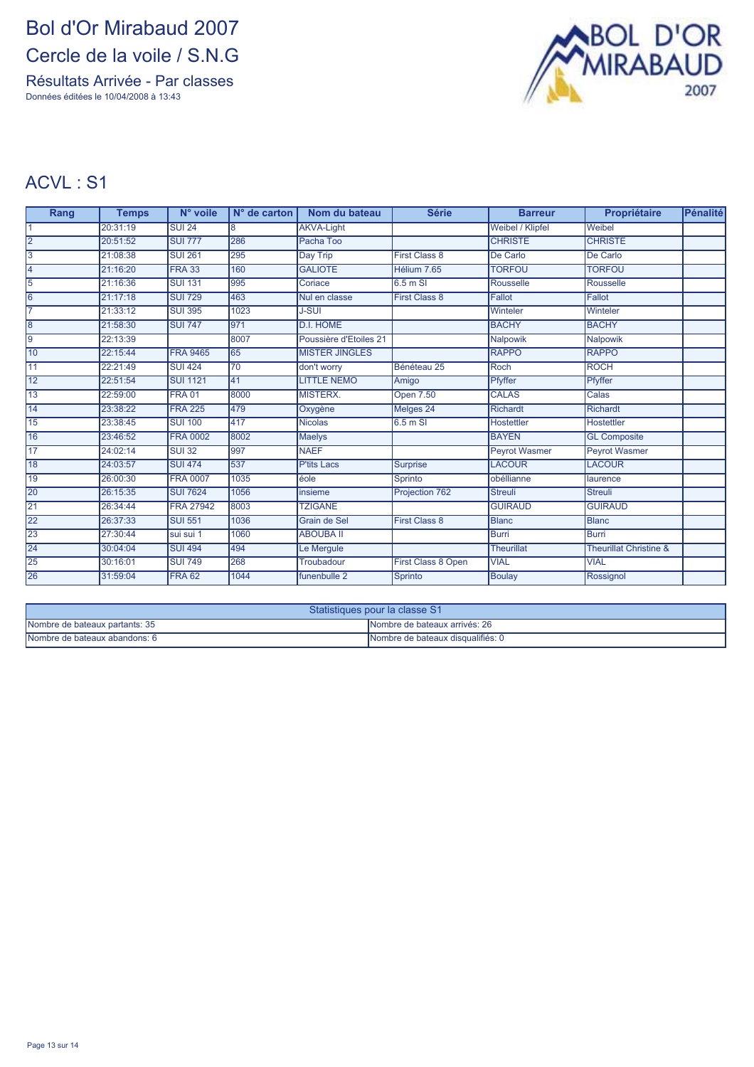Résultats Arrivée - Par classes Données éditées le 10/04/2008 à 13:43



#### **ACVL:S1**

| Rang            | <b>Temps</b> | N° voile         | N° de carton | Nom du bateau          | <b>Série</b>         | <b>Barreur</b>          | Propriétaire                      | <b>Pénalité</b> |
|-----------------|--------------|------------------|--------------|------------------------|----------------------|-------------------------|-----------------------------------|-----------------|
| 11              | 20:31:19     | <b>SUI 24</b>    | 8            | <b>AKVA-Light</b>      |                      | <b>Weibel / Klipfel</b> | Weibel                            |                 |
| $\overline{2}$  | 20:51:52     | <b>SUI 777</b>   | 286          | Pacha Too              |                      | <b>CHRISTE</b>          | <b>CHRISTE</b>                    |                 |
| 3               | 21:08:38     | <b>SUI 261</b>   | 295          | Day Trip               | <b>First Class 8</b> | De Carlo                | De Carlo                          |                 |
| l4              | 21:16:20     | <b>FRA 33</b>    | 160          | <b>GALIOTE</b>         | Hélium 7.65          | <b>TORFOU</b>           | <b>TORFOU</b>                     |                 |
| l5              | 21:16:36     | <b>SUI 131</b>   | 995          | Coriace                | $6.5m$ SI            | Rousselle               | Rousselle                         |                 |
| 6               | 21:17:18     | <b>SUI 729</b>   | 463          | Nul en classe          | <b>First Class 8</b> | Fallot                  | Fallot                            |                 |
| 17              | 21:33:12     | <b>SUI 395</b>   | 1023         | <b>J-SUI</b>           |                      | Winteler                | Winteler                          |                 |
| l8              | 21:58:30     | <b>SUI 747</b>   | 971          | <b>D.I. HOME</b>       |                      | <b>BACHY</b>            | <b>BACHY</b>                      |                 |
| l9              | 22:13:39     |                  | 8007         | Poussière d'Etoiles 21 |                      | <b>Nalpowik</b>         | Nalpowik                          |                 |
| 10              | 22:15:44     | <b>FRA 9465</b>  | 65           | <b>MISTER JINGLES</b>  |                      | <b>RAPPO</b>            | <b>RAPPO</b>                      |                 |
| 11              | 22:21:49     | <b>SUI 424</b>   | 70           | don't worry            | Bénéteau 25          | Roch                    | <b>ROCH</b>                       |                 |
| $\overline{12}$ | 22:51:54     | <b>SUI 1121</b>  | 41           | <b>LITTLE NEMO</b>     | Amigo                | Pfyffer                 | <b>Pfyffer</b>                    |                 |
| 13              | 22:59:00     | <b>FRA 01</b>    | 8000         | <b>MISTERX.</b>        | Open 7.50            | <b>CALAS</b>            | Calas                             |                 |
| 14              | 23:38:22     | <b>FRA 225</b>   | 479          | Oxygène                | Melges 24            | Richardt                | Richardt                          |                 |
| 15              | 23:38:45     | <b>SUI 100</b>   | 417          | <b>Nicolas</b>         | $6.5m$ SI            | <b>Hostettler</b>       | <b>Hostettler</b>                 |                 |
| 16              | 23:46:52     | <b>FRA 0002</b>  | 8002         | <b>Maelys</b>          |                      | <b>BAYEN</b>            | <b>GL Composite</b>               |                 |
| $\overline{17}$ | 24:02:14     | <b>SUI 32</b>    | 997          | <b>NAEF</b>            |                      | <b>Peyrot Wasmer</b>    | <b>Peyrot Wasmer</b>              |                 |
| 18              | 24:03:57     | <b>SUI 474</b>   | 537          | <b>P'tits Lacs</b>     | Surprise             | <b>LACOUR</b>           | <b>LACOUR</b>                     |                 |
| 19              | 26:00:30     | <b>FRA 0007</b>  | 1035         | éole                   | Sprinto              | obéllianne              | laurence                          |                 |
| 20              | 26:15:35     | <b>SUI 7624</b>  | 1056         | insieme                | Projection 762       | <b>Streuli</b>          | <b>Streuli</b>                    |                 |
| 21              | 26:34:44     | <b>FRA 27942</b> | 8003         | <b>TZIGANE</b>         |                      | <b>GUIRAUD</b>          | <b>GUIRAUD</b>                    |                 |
| 22              | 26:37:33     | <b>SUI 551</b>   | 1036         | Grain de Sel           | <b>First Class 8</b> | <b>Blanc</b>            | <b>Blanc</b>                      |                 |
| 23              | 27:30:44     | sui sui 1        | 1060         | <b>ABOUBA II</b>       |                      | <b>Burri</b>            | <b>Burri</b>                      |                 |
| 24              | 30:04:04     | <b>SUI 494</b>   | 494          | Le Mergule             |                      | <b>Theurillat</b>       | <b>Theurillat Christine &amp;</b> |                 |
| 25              | 30:16:01     | <b>SUI 749</b>   | 268          | Troubadour             | First Class 8 Open   | <b>VIAL</b>             | <b>VIAL</b>                       |                 |
| 26              | 31:59:04     | <b>FRA 62</b>    | 1044         | funenbulle 2           | Sprinto              | <b>Boulay</b>           | Rossignol                         |                 |

| Statistiques pour la classe S1 |                                    |  |  |
|--------------------------------|------------------------------------|--|--|
| Nombre de bateaux partants: 35 | INombre de bateaux arrivés: 26     |  |  |
| Nombre de bateaux abandons: 6  | INombre de bateaux disqualifiés: 0 |  |  |